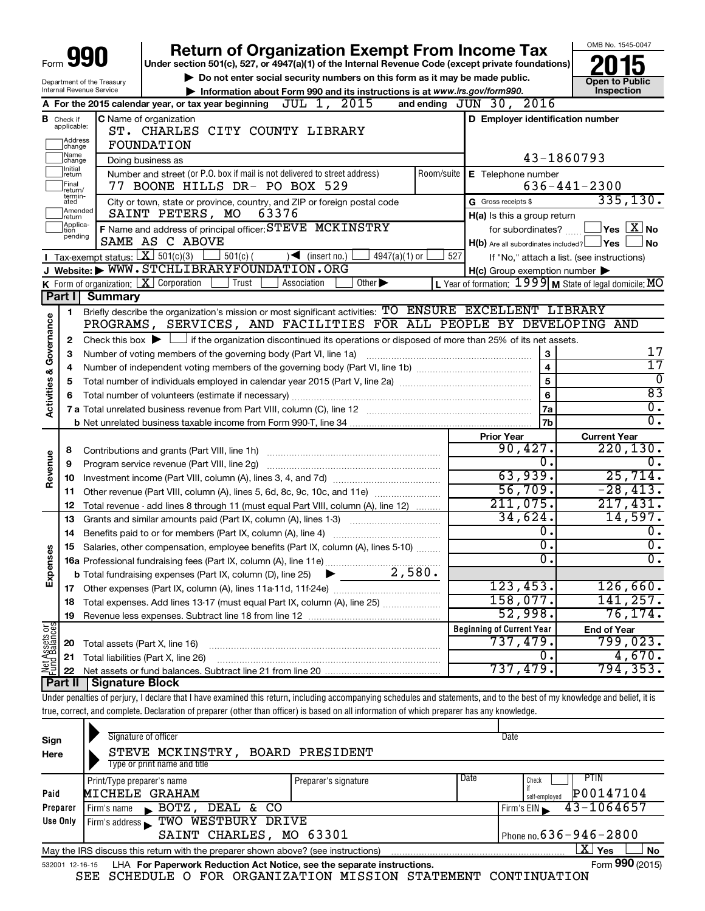|                         |                             |                                                                     | <b>Return of Organization Exempt From Income Tax</b>                                                                                                                                                                  |               |     |                                                     | OMB No. 1545-0047                                                      |  |  |  |
|-------------------------|-----------------------------|---------------------------------------------------------------------|-----------------------------------------------------------------------------------------------------------------------------------------------------------------------------------------------------------------------|---------------|-----|-----------------------------------------------------|------------------------------------------------------------------------|--|--|--|
| Form                    |                             |                                                                     | Under section 501(c), 527, or 4947(a)(1) of the Internal Revenue Code (except private foundations)                                                                                                                    |               |     |                                                     |                                                                        |  |  |  |
|                         |                             |                                                                     | Do not enter social security numbers on this form as it may be made public.                                                                                                                                           |               |     |                                                     | <b>Open to Public</b>                                                  |  |  |  |
|                         |                             | Department of the Treasury<br>Internal Revenue Service              | Information about Form 990 and its instructions is at www.irs.gov/form990.                                                                                                                                            |               |     |                                                     | Inspection                                                             |  |  |  |
|                         |                             |                                                                     | A For the 2015 calendar year, or tax year beginning $JUL$ 1, $2015$                                                                                                                                                   |               |     | and ending JUN 30, 2016                             |                                                                        |  |  |  |
|                         | <b>B</b> Check if           |                                                                     | C Name of organization                                                                                                                                                                                                |               |     | D Employer identification number                    |                                                                        |  |  |  |
|                         | applicable:                 |                                                                     | ST. CHARLES CITY COUNTY LIBRARY                                                                                                                                                                                       |               |     |                                                     |                                                                        |  |  |  |
|                         | Address<br> change          |                                                                     | FOUNDATION                                                                                                                                                                                                            |               |     |                                                     |                                                                        |  |  |  |
|                         | Name<br> change             |                                                                     | Doing business as                                                                                                                                                                                                     |               |     |                                                     | 43-1860793                                                             |  |  |  |
|                         | Initial<br>return           |                                                                     | Number and street (or P.O. box if mail is not delivered to street address)                                                                                                                                            |               |     | Room/suite   E Telephone number                     |                                                                        |  |  |  |
|                         | Final<br>return/            |                                                                     | 77 BOONE HILLS DR- PO BOX 529                                                                                                                                                                                         |               |     |                                                     | $636 - 441 - 2300$                                                     |  |  |  |
|                         | termin-<br>ated             |                                                                     | City or town, state or province, country, and ZIP or foreign postal code                                                                                                                                              |               |     | G Gross receipts \$                                 | 335,130.                                                               |  |  |  |
|                         | Amended<br>return           |                                                                     | SAINT PETERS, MO<br>63376                                                                                                                                                                                             |               |     | H(a) Is this a group return                         |                                                                        |  |  |  |
|                         | Applica-<br>tion<br>pending |                                                                     | F Name and address of principal officer: STEVE MCKINSTRY                                                                                                                                                              |               |     |                                                     | for subordinates? $\begin{array}{c} \boxed{\mathbf{X}} \end{array}$ No |  |  |  |
|                         |                             |                                                                     | SAME AS C ABOVE                                                                                                                                                                                                       |               |     | $H(b)$ Are all subordinates included? $\Box$ Yes    | <b>No</b>                                                              |  |  |  |
|                         |                             | <b>I</b> Tax-exempt status: $X \over 301(c)(3)$                     | $\frac{1}{2}$ 501(c) (<br>$\sqrt{\phantom{a}}$ (insert no.)                                                                                                                                                           | 4947(a)(1) or | 527 |                                                     | If "No," attach a list. (see instructions)                             |  |  |  |
|                         |                             |                                                                     | J Website: WWW.STCHLIBRARYFOUNDATION.ORG                                                                                                                                                                              |               |     | $H(c)$ Group exemption number $\blacktriangleright$ |                                                                        |  |  |  |
|                         |                             |                                                                     | <b>K</b> Form of organization: $\boxed{\textbf{X}}$ Corporation<br>Other $\blacktriangleright$<br>  Trust<br>Association                                                                                              |               |     |                                                     | L Year of formation: $1999$ M State of legal domicile: MO              |  |  |  |
|                         | <b>Part II</b>              | Summary                                                             |                                                                                                                                                                                                                       |               |     |                                                     |                                                                        |  |  |  |
|                         | 1.                          |                                                                     | Briefly describe the organization's mission or most significant activities: TO ENSURE EXCELLENT LIBRARY                                                                                                               |               |     |                                                     |                                                                        |  |  |  |
| Governance              |                             | PROGRAMS, SERVICES, AND FACILITIES FOR ALL PEOPLE BY DEVELOPING AND |                                                                                                                                                                                                                       |               |     |                                                     |                                                                        |  |  |  |
|                         | 2                           |                                                                     | Check this box $\blacktriangleright$ $\Box$ if the organization discontinued its operations or disposed of more than 25% of its net assets.<br>3<br>Number of voting members of the governing body (Part VI, line 1a) |               |     |                                                     |                                                                        |  |  |  |
|                         | 3                           |                                                                     | 17<br>$\overline{17}$                                                                                                                                                                                                 |               |     |                                                     |                                                                        |  |  |  |
|                         | 4                           |                                                                     | $\overline{0}$                                                                                                                                                                                                        |               |     |                                                     |                                                                        |  |  |  |
|                         | 5                           |                                                                     |                                                                                                                                                                                                                       |               |     | 5                                                   | $\overline{83}$                                                        |  |  |  |
| <b>Activities &amp;</b> | 6                           |                                                                     |                                                                                                                                                                                                                       |               |     | 6                                                   | $\overline{\mathfrak{o}}$ .                                            |  |  |  |
|                         |                             |                                                                     |                                                                                                                                                                                                                       |               |     | 7a<br>7b                                            | $\overline{0}$ .                                                       |  |  |  |
|                         |                             |                                                                     |                                                                                                                                                                                                                       |               |     | <b>Prior Year</b>                                   | <b>Current Year</b>                                                    |  |  |  |
|                         | 8                           |                                                                     |                                                                                                                                                                                                                       |               |     | 90,427.                                             | 220, 130.                                                              |  |  |  |
|                         | 9                           |                                                                     | Program service revenue (Part VIII, line 2g)                                                                                                                                                                          |               |     | 0.                                                  |                                                                        |  |  |  |
|                         | 10                          |                                                                     |                                                                                                                                                                                                                       |               |     | 63,939.                                             | 25,714.                                                                |  |  |  |
|                         | 11                          |                                                                     | Other revenue (Part VIII, column (A), lines 5, 6d, 8c, 9c, 10c, and 11e)                                                                                                                                              |               |     | 56,709.                                             | $-28,413.$                                                             |  |  |  |
|                         | 12                          |                                                                     | Total revenue - add lines 8 through 11 (must equal Part VIII, column (A), line 12)                                                                                                                                    |               |     | 211,075.                                            | 217,431.                                                               |  |  |  |
|                         | 13                          |                                                                     | Grants and similar amounts paid (Part IX, column (A), lines 1-3)                                                                                                                                                      |               |     | 34,624.                                             | 14,597.                                                                |  |  |  |
|                         | 14                          |                                                                     | Benefits paid to or for members (Part IX, column (A), line 4)                                                                                                                                                         |               |     | 0.                                                  | Ο.                                                                     |  |  |  |
|                         |                             |                                                                     | 15 Salaries, other compensation, employee benefits (Part IX, column (A), lines 5-10)                                                                                                                                  |               |     | σ.                                                  | σ.                                                                     |  |  |  |
| Revenue<br>8<br>Expens  |                             |                                                                     |                                                                                                                                                                                                                       |               |     | $\overline{0}$ .                                    | υ.                                                                     |  |  |  |
|                         |                             |                                                                     |                                                                                                                                                                                                                       |               |     |                                                     |                                                                        |  |  |  |
|                         | 17                          |                                                                     |                                                                                                                                                                                                                       |               |     | 123,453.                                            | 126,660.                                                               |  |  |  |
|                         | 18                          |                                                                     | Total expenses. Add lines 13-17 (must equal Part IX, column (A), line 25)                                                                                                                                             |               |     | 158,077.                                            | 141,257.                                                               |  |  |  |
|                         | 19                          |                                                                     |                                                                                                                                                                                                                       |               |     | 52,998.                                             | $\overline{76,174}$ .                                                  |  |  |  |
|                         |                             |                                                                     |                                                                                                                                                                                                                       |               |     | <b>Beginning of Current Year</b>                    | <b>End of Year</b>                                                     |  |  |  |
| Net Assets or           | 20                          | Total assets (Part X, line 16)                                      |                                                                                                                                                                                                                       |               |     | 737,479.                                            | 799,023 <b>.</b>                                                       |  |  |  |
|                         | 21                          |                                                                     | Total liabilities (Part X, line 26)                                                                                                                                                                                   |               |     | 0.                                                  | 4,670.                                                                 |  |  |  |
|                         | 22                          |                                                                     |                                                                                                                                                                                                                       |               |     | 737,479.                                            | 794,353.                                                               |  |  |  |
|                         | Part II                     | <b>Signature Block</b>                                              |                                                                                                                                                                                                                       |               |     |                                                     |                                                                        |  |  |  |
|                         |                             |                                                                     | Under penalties of perjury, I declare that I have examined this return, including accompanying schedules and statements, and to the best of my knowledge and belief, it is                                            |               |     |                                                     |                                                                        |  |  |  |
|                         |                             |                                                                     | true, correct, and complete. Declaration of preparer (other than officer) is based on all information of which preparer has any knowledge.                                                                            |               |     |                                                     |                                                                        |  |  |  |
|                         |                             |                                                                     | Signature of officer                                                                                                                                                                                                  |               |     | nata                                                |                                                                        |  |  |  |

| Sign<br>Here    | Signature of officer<br>STEVE MCKINSTRY,<br>Type or print name and title          | BOARD PRESIDENT      | Date                                                       |           |
|-----------------|-----------------------------------------------------------------------------------|----------------------|------------------------------------------------------------|-----------|
| Paid            | Print/Type preparer's name<br>MICHELE GRAHAM                                      | Preparer's signature | Date<br><b>PTIN</b><br>Check<br>P00147104<br>self-emploved |           |
| Preparer        | DEAL & CO<br>$\mathbf{E}$ BOTZ,<br>Firm's name                                    |                      | $43 - 1064657$<br>Firm's $EIN$                             |           |
| Use Only        | TWO WESTBURY DRIVE<br>Firm's address<br>SAINT CHARLES, MO 63301                   |                      | Phone no. $636 - 946 - 2800$                               |           |
|                 | May the IRS discuss this return with the preparer shown above? (see instructions) |                      | ΧI<br>Yes                                                  | <b>No</b> |
| 532001 12-16-15 | LHA For Paperwork Reduction Act Notice, see the separate instructions.            |                      | Form 990 (2015)                                            |           |

SEE SCHEDULE O FOR ORGANIZATION MISSION STATEMENT CONTINUATION

**990**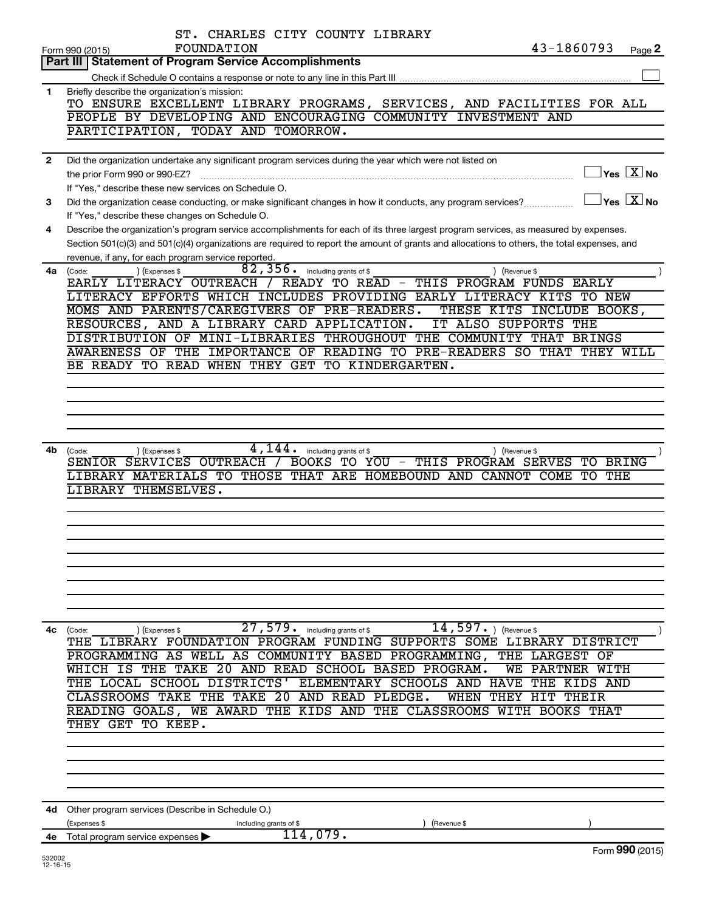|                          | ST. CHARLES CITY COUNTY LIBRARY                                                                                                                                      |
|--------------------------|----------------------------------------------------------------------------------------------------------------------------------------------------------------------|
|                          | 43-1860793<br>FOUNDATION<br>Page 2<br>Form 990 (2015)                                                                                                                |
|                          | Part III   Statement of Program Service Accomplishments                                                                                                              |
| 1                        | Briefly describe the organization's mission:                                                                                                                         |
|                          | TO ENSURE EXCELLENT LIBRARY PROGRAMS, SERVICES, AND FACILITIES FOR ALL                                                                                               |
|                          | PEOPLE BY DEVELOPING AND ENCOURAGING COMMUNITY INVESTMENT AND                                                                                                        |
|                          | PARTICIPATION, TODAY AND TOMORROW.                                                                                                                                   |
|                          |                                                                                                                                                                      |
| $\mathbf{2}$             | Did the organization undertake any significant program services during the year which were not listed on<br>$\sqrt{}$ Yes $\sqrt{}\frac{\text{X}}{\text{N}}$ No      |
|                          | the prior Form 990 or 990-EZ?<br>If "Yes," describe these new services on Schedule O.                                                                                |
| 3                        | $\overline{\mathsf{Yes}}$ $\overline{\mathsf{X}}$ No<br>Did the organization cease conducting, or make significant changes in how it conducts, any program services? |
|                          | If "Yes," describe these changes on Schedule O.                                                                                                                      |
| 4                        | Describe the organization's program service accomplishments for each of its three largest program services, as measured by expenses.                                 |
|                          | Section 501(c)(3) and 501(c)(4) organizations are required to report the amount of grants and allocations to others, the total expenses, and                         |
|                          | revenue, if any, for each program service reported.                                                                                                                  |
| 4a                       | 82,356.<br>including grants of \$<br>(Expenses \$<br>) (Revenue \$<br>(Code:                                                                                         |
|                          | EARLY LITERACY OUTREACH / READY TO READ -<br>THIS PROGRAM FUNDS<br><b>EARLY</b>                                                                                      |
|                          | LITERACY EFFORTS WHICH INCLUDES PROVIDING EARLY LITERACY KITS TO NEW<br>MOMS AND PARENTS/CAREGIVERS OF PRE-READERS.<br>THESE KITS INCLUDE BOOKS,                     |
|                          | RESOURCES, AND A LIBRARY CARD APPLICATION.<br>IT ALSO SUPPORTS THE                                                                                                   |
|                          | DISTRIBUTION OF MINI-LIBRARIES THROUGHOUT THE COMMUNITY THAT BRINGS                                                                                                  |
|                          | AWARENESS OF THE IMPORTANCE OF READING TO PRE-READERS SO THAT THEY WILL                                                                                              |
|                          | BE READY TO READ WHEN THEY GET TO KINDERGARTEN.                                                                                                                      |
|                          |                                                                                                                                                                      |
|                          |                                                                                                                                                                      |
|                          |                                                                                                                                                                      |
|                          |                                                                                                                                                                      |
| 4b                       | 4,144.<br>(Expenses \$<br>including grants of \$<br>) (Revenue \$                                                                                                    |
|                          | (Code:<br>SENIOR SERVICES OUTREACH<br>BOOKS TO YOU - THIS PROGRAM SERVES<br>TO<br><b>BRING</b>                                                                       |
|                          | LIBRARY MATERIALS TO THOSE THAT ARE HOMEBOUND AND CANNOT COME TO THE                                                                                                 |
|                          | LIBRARY THEMSELVES.                                                                                                                                                  |
|                          |                                                                                                                                                                      |
|                          |                                                                                                                                                                      |
|                          |                                                                                                                                                                      |
|                          |                                                                                                                                                                      |
|                          |                                                                                                                                                                      |
|                          |                                                                                                                                                                      |
|                          |                                                                                                                                                                      |
|                          |                                                                                                                                                                      |
| 4с                       | $\overline{27}$ , 579. including grants of \$<br>$\overline{14}$ , 597. ) (Revenue \$<br>(Code:<br>(Expenses \$                                                      |
|                          | THE LIBRARY FOUNDATION PROGRAM FUNDING SUPPORTS SOME LIBRARY DISTRICT                                                                                                |
|                          | PROGRAMMING AS WELL AS COMMUNITY BASED PROGRAMMING, THE LARGEST OF<br>IS THE TAKE<br>20 AND READ SCHOOL BASED PROGRAM.<br>WE PARTNER WITH                            |
|                          | THE LOCAL SCHOOL DISTRICTS'<br>ELEMENTARY SCHOOLS AND HAVE<br>THE KIDS AND                                                                                           |
|                          | CLASSROOMS TAKE THE TAKE 20 AND READ PLEDGE.<br>WHEN THEY HIT THEIR                                                                                                  |
|                          | READING GOALS, WE AWARD THE KIDS AND THE CLASSROOMS WITH BOOKS THAT                                                                                                  |
|                          | THEY GET TO KEEP.                                                                                                                                                    |
|                          |                                                                                                                                                                      |
|                          |                                                                                                                                                                      |
|                          |                                                                                                                                                                      |
|                          |                                                                                                                                                                      |
|                          |                                                                                                                                                                      |
|                          | 4d Other program services (Describe in Schedule O.)                                                                                                                  |
|                          | (Expenses \$<br>(Revenue \$<br>including grants of \$<br>114,079.<br>4e Total program service expenses                                                               |
|                          | Form 990 (2015)                                                                                                                                                      |
| 532002<br>$12 - 16 - 15$ |                                                                                                                                                                      |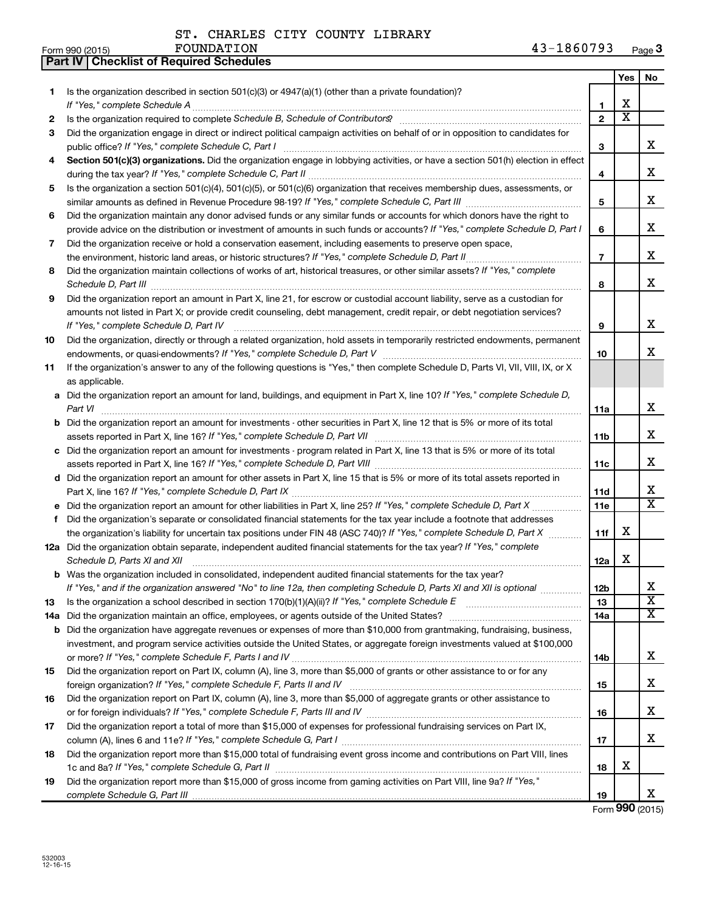**Part IV Checklist of Required Schedules**

|    |                                                                                                                                                                                                                             |                 | Yes                     | No                      |
|----|-----------------------------------------------------------------------------------------------------------------------------------------------------------------------------------------------------------------------------|-----------------|-------------------------|-------------------------|
| 1  | Is the organization described in section $501(c)(3)$ or $4947(a)(1)$ (other than a private foundation)?                                                                                                                     |                 |                         |                         |
|    | If "Yes," complete Schedule A                                                                                                                                                                                               | 1               | х                       |                         |
| 2  |                                                                                                                                                                                                                             | $\mathbf{2}$    | $\overline{\textbf{x}}$ |                         |
| 3  | Did the organization engage in direct or indirect political campaign activities on behalf of or in opposition to candidates for<br>public office? If "Yes," complete Schedule C, Part I                                     | 3               |                         | x                       |
| 4  | Section 501(c)(3) organizations. Did the organization engage in lobbying activities, or have a section 501(h) election in effect                                                                                            |                 |                         |                         |
|    |                                                                                                                                                                                                                             | 4               |                         | x                       |
| 5  | Is the organization a section 501(c)(4), 501(c)(5), or 501(c)(6) organization that receives membership dues, assessments, or                                                                                                |                 |                         |                         |
|    |                                                                                                                                                                                                                             | 5               |                         | x                       |
| 6  | Did the organization maintain any donor advised funds or any similar funds or accounts for which donors have the right to                                                                                                   |                 |                         |                         |
|    | provide advice on the distribution or investment of amounts in such funds or accounts? If "Yes," complete Schedule D, Part I                                                                                                | 6               |                         | х                       |
| 7  | Did the organization receive or hold a conservation easement, including easements to preserve open space,                                                                                                                   |                 |                         |                         |
|    |                                                                                                                                                                                                                             | $\overline{7}$  |                         | x                       |
| 8  | Did the organization maintain collections of works of art, historical treasures, or other similar assets? If "Yes," complete<br>Schedule D, Part III <b>www.communications.communications.communications.communications</b> | 8               |                         | x                       |
| 9  | Did the organization report an amount in Part X, line 21, for escrow or custodial account liability, serve as a custodian for                                                                                               |                 |                         |                         |
|    | amounts not listed in Part X; or provide credit counseling, debt management, credit repair, or debt negotiation services?                                                                                                   |                 |                         |                         |
|    | If "Yes," complete Schedule D, Part IV                                                                                                                                                                                      | 9               |                         | x                       |
| 10 | Did the organization, directly or through a related organization, hold assets in temporarily restricted endowments, permanent                                                                                               |                 |                         |                         |
|    |                                                                                                                                                                                                                             | 10              |                         | х                       |
| 11 | If the organization's answer to any of the following questions is "Yes," then complete Schedule D, Parts VI, VII, VIII, IX, or X                                                                                            |                 |                         |                         |
|    | as applicable.                                                                                                                                                                                                              |                 |                         |                         |
|    | a Did the organization report an amount for land, buildings, and equipment in Part X, line 10? If "Yes," complete Schedule D,<br>Part VI                                                                                    | 11a             |                         | x                       |
|    | <b>b</b> Did the organization report an amount for investments - other securities in Part X, line 12 that is 5% or more of its total                                                                                        |                 |                         |                         |
|    | assets reported in Part X, line 16? If "Yes," complete Schedule D, Part VII [11] [11] [12] [12] [12] [12] [12] [                                                                                                            | 11b             |                         | x                       |
|    | c Did the organization report an amount for investments - program related in Part X, line 13 that is 5% or more of its total                                                                                                |                 |                         |                         |
|    | d Did the organization report an amount for other assets in Part X, line 15 that is 5% or more of its total assets reported in                                                                                              | 11c             |                         | x                       |
|    |                                                                                                                                                                                                                             | 11d             |                         | х                       |
|    | e Did the organization report an amount for other liabilities in Part X, line 25? If "Yes," complete Schedule D, Part X                                                                                                     | 11e             |                         | $\overline{\mathtt{x}}$ |
| f. | Did the organization's separate or consolidated financial statements for the tax year include a footnote that addresses                                                                                                     |                 |                         |                         |
|    | the organization's liability for uncertain tax positions under FIN 48 (ASC 740)? If "Yes," complete Schedule D, Part X                                                                                                      | 11f             | х                       |                         |
|    | 12a Did the organization obtain separate, independent audited financial statements for the tax year? If "Yes," complete                                                                                                     |                 |                         |                         |
|    | Schedule D, Parts XI and XII                                                                                                                                                                                                | 12a             | х                       |                         |
|    | <b>b</b> Was the organization included in consolidated, independent audited financial statements for the tax year?                                                                                                          |                 |                         |                         |
|    | If "Yes," and if the organization answered "No" to line 12a, then completing Schedule D, Parts XI and XII is optional                                                                                                       | 12 <sub>b</sub> |                         | х                       |
| 13 |                                                                                                                                                                                                                             | 13              |                         | $\overline{\textbf{x}}$ |
|    | 14a Did the organization maintain an office, employees, or agents outside of the United States?                                                                                                                             | 14a             |                         | $\overline{\mathbf{X}}$ |
|    | <b>b</b> Did the organization have aggregate revenues or expenses of more than \$10,000 from grantmaking, fundraising, business,                                                                                            |                 |                         |                         |
|    | investment, and program service activities outside the United States, or aggregate foreign investments valued at \$100,000                                                                                                  |                 |                         |                         |
|    |                                                                                                                                                                                                                             | 14b             |                         | x                       |
| 15 | Did the organization report on Part IX, column (A), line 3, more than \$5,000 of grants or other assistance to or for any                                                                                                   |                 |                         |                         |
|    |                                                                                                                                                                                                                             | 15              |                         | x                       |
| 16 | Did the organization report on Part IX, column (A), line 3, more than \$5,000 of aggregate grants or other assistance to                                                                                                    | 16              |                         | x                       |
| 17 | Did the organization report a total of more than \$15,000 of expenses for professional fundraising services on Part IX,                                                                                                     |                 |                         |                         |
|    |                                                                                                                                                                                                                             | 17              |                         | x                       |
| 18 | Did the organization report more than \$15,000 total of fundraising event gross income and contributions on Part VIII, lines                                                                                                |                 |                         |                         |
|    |                                                                                                                                                                                                                             | 18              | х                       |                         |
| 19 | Did the organization report more than \$15,000 of gross income from gaming activities on Part VIII, line 9a? If "Yes,"                                                                                                      |                 |                         |                         |
|    |                                                                                                                                                                                                                             | 19              |                         | x                       |

Form **990** (2015)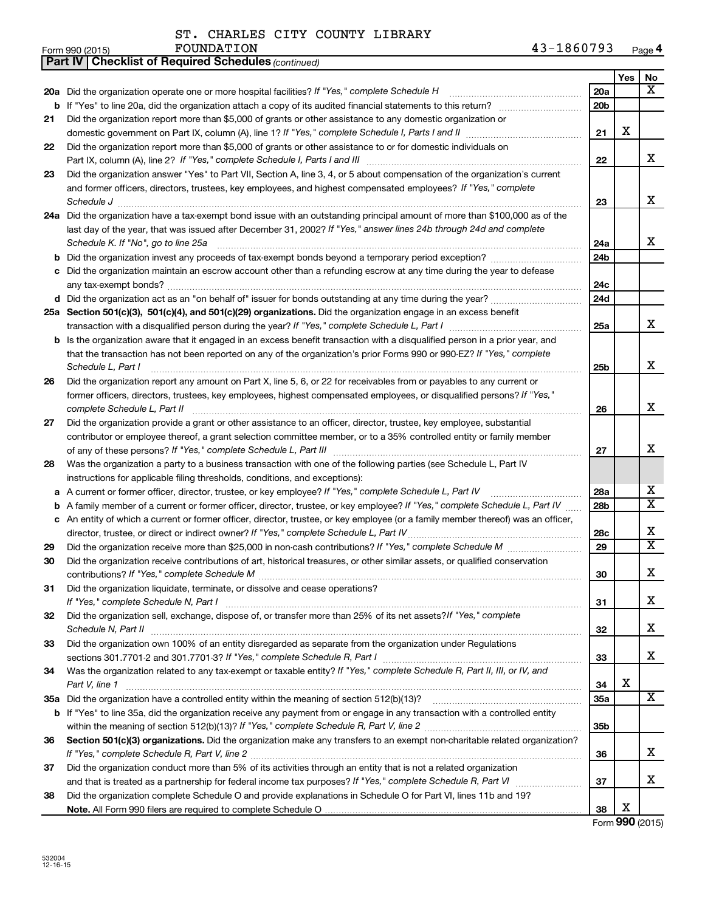**Part IV Checklist of Required Schedules**

ST. CHARLES CITY COUNTY LIBRARY

*(continued)*

|    |                                                                                                                                                        |                 | Yes | No                      |
|----|--------------------------------------------------------------------------------------------------------------------------------------------------------|-----------------|-----|-------------------------|
|    | 20a Did the organization operate one or more hospital facilities? If "Yes," complete Schedule H                                                        | 20a             |     | x                       |
| b  | If "Yes" to line 20a, did the organization attach a copy of its audited financial statements to this return?                                           | 20 <sub>b</sub> |     |                         |
| 21 | Did the organization report more than \$5,000 of grants or other assistance to any domestic organization or                                            |                 |     |                         |
|    | domestic government on Part IX, column (A), line 1? If "Yes," complete Schedule I, Parts I and II                                                      | 21              | х   |                         |
| 22 | Did the organization report more than \$5,000 of grants or other assistance to or for domestic individuals on                                          |                 |     |                         |
|    |                                                                                                                                                        | 22              |     | x                       |
| 23 | Did the organization answer "Yes" to Part VII, Section A, line 3, 4, or 5 about compensation of the organization's current                             |                 |     |                         |
|    | and former officers, directors, trustees, key employees, and highest compensated employees? If "Yes," complete                                         |                 |     |                         |
|    | Schedule J                                                                                                                                             | 23              |     | x                       |
|    | 24a Did the organization have a tax-exempt bond issue with an outstanding principal amount of more than \$100,000 as of the                            |                 |     |                         |
|    | last day of the year, that was issued after December 31, 2002? If "Yes," answer lines 24b through 24d and complete                                     |                 |     | x                       |
|    | Schedule K. If "No", go to line 25a                                                                                                                    | 24a             |     |                         |
|    |                                                                                                                                                        | 24 <sub>b</sub> |     |                         |
| с  | Did the organization maintain an escrow account other than a refunding escrow at any time during the year to defease                                   | 24c             |     |                         |
|    | d Did the organization act as an "on behalf of" issuer for bonds outstanding at any time during the year?                                              | 24d             |     |                         |
|    | 25a Section 501(c)(3), 501(c)(4), and 501(c)(29) organizations. Did the organization engage in an excess benefit                                       |                 |     |                         |
|    |                                                                                                                                                        | 25a             |     | x                       |
|    | b Is the organization aware that it engaged in an excess benefit transaction with a disqualified person in a prior year, and                           |                 |     |                         |
|    | that the transaction has not been reported on any of the organization's prior Forms 990 or 990-EZ? If "Yes," complete                                  |                 |     |                         |
|    | Schedule L, Part I                                                                                                                                     | 25 <sub>b</sub> |     | x                       |
| 26 | Did the organization report any amount on Part X, line 5, 6, or 22 for receivables from or payables to any current or                                  |                 |     |                         |
|    | former officers, directors, trustees, key employees, highest compensated employees, or disqualified persons? If "Yes,"<br>complete Schedule L, Part II | 26              |     | x                       |
| 27 | Did the organization provide a grant or other assistance to an officer, director, trustee, key employee, substantial                                   |                 |     |                         |
|    | contributor or employee thereof, a grant selection committee member, or to a 35% controlled entity or family member                                    |                 |     |                         |
|    |                                                                                                                                                        | 27              |     | х                       |
| 28 | Was the organization a party to a business transaction with one of the following parties (see Schedule L, Part IV                                      |                 |     |                         |
|    | instructions for applicable filing thresholds, conditions, and exceptions):                                                                            |                 |     |                         |
| a  | A current or former officer, director, trustee, or key employee? If "Yes," complete Schedule L, Part IV                                                | 28a             |     | х                       |
| b  | A family member of a current or former officer, director, trustee, or key employee? If "Yes," complete Schedule L, Part IV                             | 28b             |     | $\overline{\texttt{x}}$ |
|    | c An entity of which a current or former officer, director, trustee, or key employee (or a family member thereof) was an officer,                      |                 |     |                         |
|    |                                                                                                                                                        | 28c             |     | х                       |
| 29 |                                                                                                                                                        | 29              |     | $\overline{\text{x}}$   |
| 30 | Did the organization receive contributions of art, historical treasures, or other similar assets, or qualified conservation                            |                 |     |                         |
|    |                                                                                                                                                        | 30              |     | x                       |
| 31 | Did the organization liquidate, terminate, or dissolve and cease operations?                                                                           | 31              |     | х                       |
| 32 | Did the organization sell, exchange, dispose of, or transfer more than 25% of its net assets? If "Yes," complete                                       |                 |     |                         |
|    | Schedule N, Part II                                                                                                                                    | 32              |     | x                       |
| 33 | Did the organization own 100% of an entity disregarded as separate from the organization under Regulations                                             |                 |     |                         |
|    |                                                                                                                                                        | 33              |     | x                       |
| 34 | Was the organization related to any tax-exempt or taxable entity? If "Yes," complete Schedule R, Part II, III, or IV, and                              |                 |     |                         |
|    | Part V, line 1                                                                                                                                         | 34              | х   |                         |
|    |                                                                                                                                                        | <b>35a</b>      |     | X                       |
|    | b If "Yes" to line 35a, did the organization receive any payment from or engage in any transaction with a controlled entity                            |                 |     |                         |
|    |                                                                                                                                                        | 35 <sub>b</sub> |     |                         |
| 36 | Section 501(c)(3) organizations. Did the organization make any transfers to an exempt non-charitable related organization?                             |                 |     | x                       |
|    |                                                                                                                                                        | 36              |     |                         |
| 37 | Did the organization conduct more than 5% of its activities through an entity that is not a related organization                                       | 37              |     | x                       |
| 38 | Did the organization complete Schedule O and provide explanations in Schedule O for Part VI, lines 11b and 19?                                         |                 |     |                         |
|    |                                                                                                                                                        | 38              | x   |                         |

Form **990** (2015)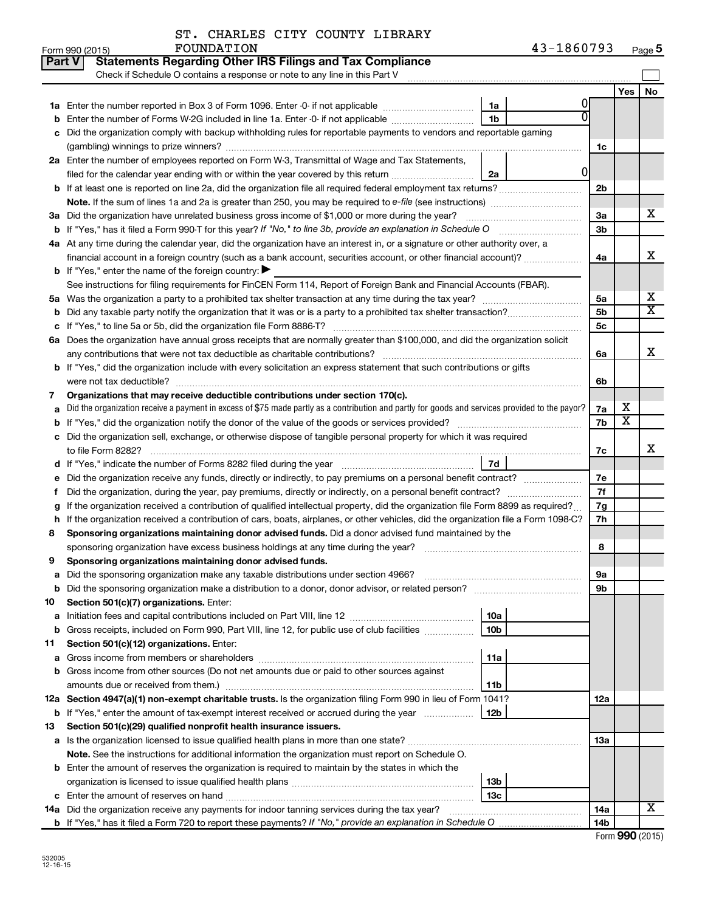| ST. CHARLES CITY COUNTY LIBRARY |  |  |
|---------------------------------|--|--|
|                                 |  |  |

|        | Part V<br><b>Statements Regarding Other IRS Filings and Tax Compliance</b>                                                                      |                 |   |                |                         |                              |
|--------|-------------------------------------------------------------------------------------------------------------------------------------------------|-----------------|---|----------------|-------------------------|------------------------------|
|        | Check if Schedule O contains a response or note to any line in this Part V                                                                      |                 |   |                |                         |                              |
|        |                                                                                                                                                 |                 |   |                | Yes                     | No.                          |
|        |                                                                                                                                                 | 1a              |   |                |                         |                              |
|        | Enter the number of Forms W-2G included in line 1a. Enter -0- if not applicable                                                                 | 1 <sub>b</sub>  |   |                |                         |                              |
|        | Did the organization comply with backup withholding rules for reportable payments to vendors and reportable gaming                              |                 |   |                |                         |                              |
|        |                                                                                                                                                 |                 |   | 1c             |                         |                              |
|        | 2a Enter the number of employees reported on Form W-3, Transmittal of Wage and Tax Statements,                                                  |                 |   |                |                         |                              |
|        | filed for the calendar year ending with or within the year covered by this return                                                               | 2a              | 0 |                |                         |                              |
|        |                                                                                                                                                 |                 |   | 2 <sub>b</sub> |                         |                              |
|        |                                                                                                                                                 |                 |   |                |                         |                              |
|        | 3a Did the organization have unrelated business gross income of \$1,000 or more during the year?                                                |                 |   | За             |                         | x                            |
|        |                                                                                                                                                 |                 |   | 3 <sub>b</sub> |                         |                              |
|        | 4a At any time during the calendar year, did the organization have an interest in, or a signature or other authority over, a                    |                 |   |                |                         |                              |
|        | financial account in a foreign country (such as a bank account, securities account, or other financial account)?                                |                 |   | 4a             |                         | x                            |
|        | <b>b</b> If "Yes," enter the name of the foreign country: $\blacktriangleright$                                                                 |                 |   |                |                         |                              |
|        | See instructions for filing requirements for FinCEN Form 114, Report of Foreign Bank and Financial Accounts (FBAR).                             |                 |   |                |                         |                              |
|        |                                                                                                                                                 |                 |   | 5a             |                         | х<br>$\overline{\mathtt{x}}$ |
|        |                                                                                                                                                 |                 |   | 5b             |                         |                              |
|        |                                                                                                                                                 |                 |   | 5c             |                         |                              |
|        | 6a Does the organization have annual gross receipts that are normally greater than \$100,000, and did the organization solicit                  |                 |   |                |                         | X                            |
|        |                                                                                                                                                 |                 |   | 6a             |                         |                              |
|        | <b>b</b> If "Yes," did the organization include with every solicitation an express statement that such contributions or gifts                   |                 |   |                |                         |                              |
|        | Organizations that may receive deductible contributions under section 170(c).                                                                   |                 |   | 6b             |                         |                              |
| 7<br>a | Did the organization receive a payment in excess of \$75 made partly as a contribution and partly for goods and services provided to the payor? |                 |   | 7a             | х                       |                              |
|        |                                                                                                                                                 |                 |   | 7b             | $\overline{\textbf{x}}$ |                              |
|        | c Did the organization sell, exchange, or otherwise dispose of tangible personal property for which it was required                             |                 |   |                |                         |                              |
|        |                                                                                                                                                 |                 |   | 7c             |                         | х                            |
|        |                                                                                                                                                 | 7d              |   |                |                         |                              |
| е      |                                                                                                                                                 |                 |   | 7e             |                         |                              |
|        |                                                                                                                                                 |                 |   | 7f             |                         |                              |
| g      | If the organization received a contribution of qualified intellectual property, did the organization file Form 8899 as required?                |                 |   | 7g             |                         |                              |
| h      | If the organization received a contribution of cars, boats, airplanes, or other vehicles, did the organization file a Form 1098-C?              |                 |   | 7h             |                         |                              |
| 8      | Sponsoring organizations maintaining donor advised funds. Did a donor advised fund maintained by the                                            |                 |   |                |                         |                              |
|        |                                                                                                                                                 |                 |   | 8              |                         |                              |
| 9      | Sponsoring organizations maintaining donor advised funds.                                                                                       |                 |   |                |                         |                              |
|        |                                                                                                                                                 |                 |   | эа             |                         |                              |
|        | <b>b</b> Did the sponsoring organization make a distribution to a donor, donor advisor, or related person?                                      |                 |   | 9b             |                         |                              |
| 10     | Section 501(c)(7) organizations. Enter:                                                                                                         |                 |   |                |                         |                              |
| а      |                                                                                                                                                 | 10a             |   |                |                         |                              |
| b      | Gross receipts, included on Form 990, Part VIII, line 12, for public use of club facilities                                                     | 10 <sub>b</sub> |   |                |                         |                              |
| 11     | Section 501(c)(12) organizations. Enter:                                                                                                        |                 |   |                |                         |                              |
| а      |                                                                                                                                                 | 11a             |   |                |                         |                              |
|        | b Gross income from other sources (Do not net amounts due or paid to other sources against                                                      |                 |   |                |                         |                              |
|        | amounts due or received from them.)                                                                                                             | 11b             |   |                |                         |                              |
|        | 12a Section 4947(a)(1) non-exempt charitable trusts. Is the organization filing Form 990 in lieu of Form 1041?                                  |                 |   | 12a            |                         |                              |
|        | <b>b</b> If "Yes," enter the amount of tax-exempt interest received or accrued during the year                                                  | 12b             |   |                |                         |                              |
| 13     | Section 501(c)(29) qualified nonprofit health insurance issuers.                                                                                |                 |   |                |                         |                              |
|        | a Is the organization licensed to issue qualified health plans in more than one state?                                                          |                 |   | 1За            |                         |                              |
|        | Note. See the instructions for additional information the organization must report on Schedule O.                                               |                 |   |                |                         |                              |
|        | <b>b</b> Enter the amount of reserves the organization is required to maintain by the states in which the                                       |                 |   |                |                         |                              |
|        |                                                                                                                                                 | 13 <sub>b</sub> |   |                |                         |                              |
|        |                                                                                                                                                 | 13 <sub>c</sub> |   |                |                         | X                            |
|        | 14a Did the organization receive any payments for indoor tanning services during the tax year?                                                  |                 |   | 14a            |                         |                              |
|        |                                                                                                                                                 |                 |   | 14b            |                         |                              |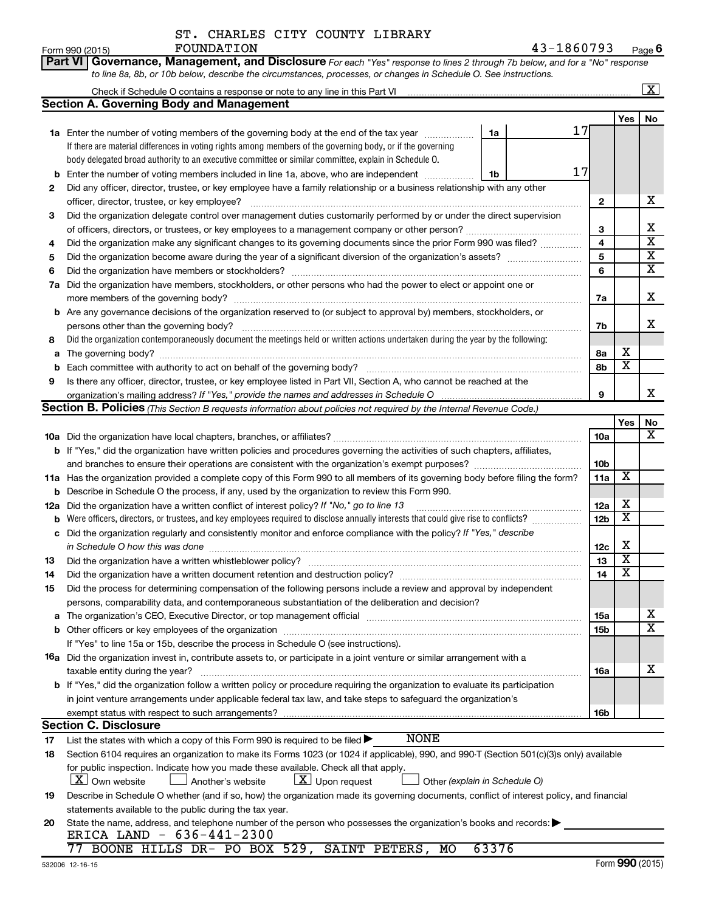| ST. CHARLES CITY COUNTY LIBRARY |  |  |
|---------------------------------|--|--|
|                                 |  |  |

|     | Part VI Governance, Management, and Disclosure For each "Yes" response to lines 2 through 7b below, and for a "No" response                                                                                                    |                 |                         |                         |
|-----|--------------------------------------------------------------------------------------------------------------------------------------------------------------------------------------------------------------------------------|-----------------|-------------------------|-------------------------|
|     | to line 8a, 8b, or 10b below, describe the circumstances, processes, or changes in Schedule O. See instructions.                                                                                                               |                 |                         |                         |
|     | Check if Schedule O contains a response or note to any line in this Part VI [11] [12] [2] [2] [2] Check if Schedule O contains a response or note to any line in this Part VI                                                  |                 |                         | $\overline{\mathbf{X}}$ |
|     | <b>Section A. Governing Body and Management</b>                                                                                                                                                                                |                 |                         |                         |
|     |                                                                                                                                                                                                                                |                 | Yes                     | No                      |
|     | 17<br>1a Enter the number of voting members of the governing body at the end of the tax year<br>1a                                                                                                                             |                 |                         |                         |
|     | If there are material differences in voting rights among members of the governing body, or if the governing                                                                                                                    |                 |                         |                         |
|     | body delegated broad authority to an executive committee or similar committee, explain in Schedule O.                                                                                                                          |                 |                         |                         |
| b   | 17<br>Enter the number of voting members included in line 1a, above, who are independent<br>1b                                                                                                                                 |                 |                         |                         |
| 2   | Did any officer, director, trustee, or key employee have a family relationship or a business relationship with any other                                                                                                       |                 |                         |                         |
|     | officer, director, trustee, or key employee?                                                                                                                                                                                   | 2               |                         | x                       |
| 3   | Did the organization delegate control over management duties customarily performed by or under the direct supervision                                                                                                          |                 |                         |                         |
|     |                                                                                                                                                                                                                                | 3               |                         | х                       |
| 4   | Did the organization make any significant changes to its governing documents since the prior Form 990 was filed?                                                                                                               | 4               |                         | $\overline{\textbf{x}}$ |
| 5   |                                                                                                                                                                                                                                | 5               |                         | $\overline{\mathbf{X}}$ |
| 6   |                                                                                                                                                                                                                                | 6               |                         | $\overline{\textbf{X}}$ |
| 7а  | Did the organization have members, stockholders, or other persons who had the power to elect or appoint one or                                                                                                                 |                 |                         |                         |
|     |                                                                                                                                                                                                                                | 7a              |                         | Χ                       |
|     | <b>b</b> Are any governance decisions of the organization reserved to (or subject to approval by) members, stockholders, or                                                                                                    |                 |                         |                         |
|     | persons other than the governing body?                                                                                                                                                                                         | 7b              |                         | x                       |
| 8   | Did the organization contemporaneously document the meetings held or written actions undertaken during the year by the following:                                                                                              |                 |                         |                         |
| а   |                                                                                                                                                                                                                                | 8a              | х                       |                         |
| b   |                                                                                                                                                                                                                                | 8b              | $\overline{\text{x}}$   |                         |
| 9   | Is there any officer, director, trustee, or key employee listed in Part VII, Section A, who cannot be reached at the                                                                                                           |                 |                         |                         |
|     |                                                                                                                                                                                                                                | 9               |                         | x                       |
|     | Section B. Policies (This Section B requests information about policies not required by the Internal Revenue Code.)                                                                                                            |                 |                         |                         |
|     |                                                                                                                                                                                                                                |                 | Yes                     | No<br>х                 |
|     |                                                                                                                                                                                                                                | <b>10a</b>      |                         |                         |
|     | <b>b</b> If "Yes," did the organization have written policies and procedures governing the activities of such chapters, affiliates,                                                                                            |                 |                         |                         |
|     | and branches to ensure their operations are consistent with the organization's exempt purposes? www.www.www.www.                                                                                                               | 10b             | X                       |                         |
|     | 11a Has the organization provided a complete copy of this Form 990 to all members of its governing body before filing the form?                                                                                                | 11a             |                         |                         |
| b   | Describe in Schedule O the process, if any, used by the organization to review this Form 990.                                                                                                                                  |                 | х                       |                         |
| 12a | Did the organization have a written conflict of interest policy? If "No," go to line 13                                                                                                                                        | 12a             | $\overline{\textbf{x}}$ |                         |
| b   | Were officers, directors, or trustees, and key employees required to disclose annually interests that could give rise to conflicts?                                                                                            | 12 <sub>b</sub> |                         |                         |
| с   | Did the organization regularly and consistently monitor and enforce compliance with the policy? If "Yes," describe                                                                                                             |                 | х                       |                         |
|     | in Schedule O how this was done manufactured and contain an account of the was done manufactured and contained                                                                                                                 | 12c<br>13       | $\overline{\text{X}}$   |                         |
| 13  | Did the organization have a written document retention and destruction policy? [111] manufaction policy?                                                                                                                       | 14              | $\overline{\mathtt{x}}$ |                         |
| 14  |                                                                                                                                                                                                                                |                 |                         |                         |
| 15  | Did the process for determining compensation of the following persons include a review and approval by independent<br>persons, comparability data, and contemporaneous substantiation of the deliberation and decision?        |                 |                         |                         |
| а   | The organization's CEO, Executive Director, or top management official manufactured content of the organization's CEO, Executive Director, or top management official manufactured content of the state of the state of the st | 15a             |                         | x                       |
| b   |                                                                                                                                                                                                                                | 15b             |                         | $\overline{\textbf{X}}$ |
|     | If "Yes" to line 15a or 15b, describe the process in Schedule O (see instructions).                                                                                                                                            |                 |                         |                         |
|     | 16a Did the organization invest in, contribute assets to, or participate in a joint venture or similar arrangement with a                                                                                                      |                 |                         |                         |
|     | taxable entity during the year?                                                                                                                                                                                                | 16a             |                         | x                       |
|     | b If "Yes," did the organization follow a written policy or procedure requiring the organization to evaluate its participation                                                                                                 |                 |                         |                         |
|     | in joint venture arrangements under applicable federal tax law, and take steps to safeguard the organization's                                                                                                                 |                 |                         |                         |
|     | exempt status with respect to such arrangements?                                                                                                                                                                               | 16b             |                         |                         |
|     | <b>Section C. Disclosure</b>                                                                                                                                                                                                   |                 |                         |                         |
| 17  | <b>NONE</b><br>List the states with which a copy of this Form 990 is required to be filed >                                                                                                                                    |                 |                         |                         |
| 18  | Section 6104 requires an organization to make its Forms 1023 (or 1024 if applicable), 990, and 990-T (Section 501(c)(3)s only) available                                                                                       |                 |                         |                         |
|     | for public inspection. Indicate how you made these available. Check all that apply.                                                                                                                                            |                 |                         |                         |
|     | $\lfloor x \rfloor$ Own website<br>$\lfloor \underline{X} \rfloor$ Upon request<br>Another's website<br>Other (explain in Schedule O)                                                                                          |                 |                         |                         |
| 19  | Describe in Schedule O whether (and if so, how) the organization made its governing documents, conflict of interest policy, and financial                                                                                      |                 |                         |                         |
|     | statements available to the public during the tax year.                                                                                                                                                                        |                 |                         |                         |
| 20  | State the name, address, and telephone number of the person who possesses the organization's books and records:                                                                                                                |                 |                         |                         |
|     | ERICA LAND - 636-441-2300                                                                                                                                                                                                      |                 |                         |                         |
|     | BOONE HILLS DR- PO BOX 529, SAINT PETERS, MO<br>63376<br>77                                                                                                                                                                    |                 |                         |                         |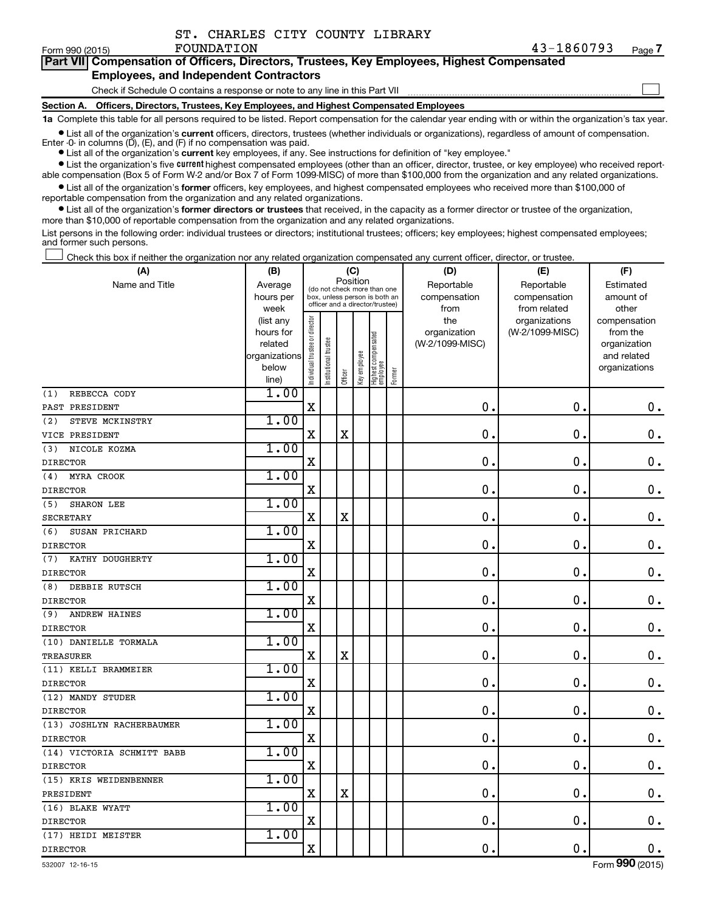| ST. CHARLES CITY COUNTY LIBRARY |  |  |
|---------------------------------|--|--|
|                                 |  |  |

| Form 990 (2015) | FOUNDATION                                                                                 | 43-1860793 | Page. |
|-----------------|--------------------------------------------------------------------------------------------|------------|-------|
|                 | Part VII Compensation of Officers, Directors, Trustees, Key Employees, Highest Compensated |            |       |
|                 | <b>Employees, and Independent Contractors</b>                                              |            |       |

Check if Schedule O contains a response or note to any line in this Part VII

**Section A. Officers, Directors, Trustees, Key Employees, and Highest Compensated Employees**

**1a**  Complete this table for all persons required to be listed. Report compensation for the calendar year ending with or within the organization's tax year.

**•** List all of the organization's current officers, directors, trustees (whether individuals or organizations), regardless of amount of compensation. Enter -0- in columns  $(D)$ ,  $(E)$ , and  $(F)$  if no compensation was paid.

**•** List all of the organization's **current** key employees, if any. See instructions for definition of "key employee."

**•** List the organization's five current highest compensated employees (other than an officer, director, trustee, or key employee) who received reportable compensation (Box 5 of Form W-2 and/or Box 7 of Form 1099-MISC) of more than \$100,000 from the organization and any related organizations.

**•** List all of the organization's former officers, key employees, and highest compensated employees who received more than \$100,000 of reportable compensation from the organization and any related organizations.

**•** List all of the organization's former directors or trustees that received, in the capacity as a former director or trustee of the organization, more than \$10,000 of reportable compensation from the organization and any related organizations.

List persons in the following order: individual trustees or directors; institutional trustees; officers; key employees; highest compensated employees; and former such persons.

|  |  |  | Check this box if neither the organization nor any related organization compensated any current officer, director, or trustee. |  |  |
|--|--|--|--------------------------------------------------------------------------------------------------------------------------------|--|--|
|  |  |  |                                                                                                                                |  |  |

| (A)                         | (B)                    |                                |                                                                  | (C)         |              |                                 |        | (D)                 | (E)                              | (F)                      |
|-----------------------------|------------------------|--------------------------------|------------------------------------------------------------------|-------------|--------------|---------------------------------|--------|---------------------|----------------------------------|--------------------------|
| Name and Title              | Average                |                                | (do not check more than one                                      | Position    |              |                                 |        | Reportable          | Reportable                       | Estimated                |
|                             | hours per              |                                | box, unless person is both an<br>officer and a director/trustee) |             |              |                                 |        | compensation        | compensation                     | amount of                |
|                             | week                   |                                |                                                                  |             |              |                                 |        | from                | from related                     | other                    |
|                             | (list any<br>hours for |                                |                                                                  |             |              |                                 |        | the<br>organization | organizations<br>(W-2/1099-MISC) | compensation<br>from the |
|                             | related                |                                |                                                                  |             |              |                                 |        | (W-2/1099-MISC)     |                                  | organization             |
|                             | organizations          |                                |                                                                  |             |              |                                 |        |                     |                                  | and related              |
|                             | below                  | Individual trustee or director | Institutional trustee                                            |             | Key employee | Highest compensated<br>employee |        |                     |                                  | organizations            |
|                             | line)                  |                                |                                                                  | Officer     |              |                                 | Former |                     |                                  |                          |
| REBECCA CODY<br>(1)         | 1.00                   |                                |                                                                  |             |              |                                 |        |                     |                                  |                          |
| PAST PRESIDENT              |                        | $\mathbf X$                    |                                                                  |             |              |                                 |        | 0.                  | $\mathbf 0$ .                    | $\mathbf 0$ .            |
| (2)<br>STEVE MCKINSTRY      | 1.00                   |                                |                                                                  |             |              |                                 |        |                     |                                  |                          |
| VICE PRESIDENT              |                        | $\mathbf X$                    |                                                                  | $\mathbf X$ |              |                                 |        | $\mathbf 0$         | 0.                               | $\mathbf 0$ .            |
| NICOLE KOZMA<br>(3)         | 1.00                   |                                |                                                                  |             |              |                                 |        |                     |                                  |                          |
| <b>DIRECTOR</b>             |                        | X                              |                                                                  |             |              |                                 |        | $\mathbf 0$         | $\mathbf 0$                      | $\boldsymbol{0}$ .       |
| MYRA CROOK<br>(4)           | 1.00                   |                                |                                                                  |             |              |                                 |        |                     |                                  |                          |
| <b>DIRECTOR</b>             |                        | $\mathbf X$                    |                                                                  |             |              |                                 |        | 0                   | 0.                               | $\mathbf 0$ .            |
| SHARON LEE<br>(5)           | 1.00                   |                                |                                                                  |             |              |                                 |        |                     |                                  |                          |
| <b>SECRETARY</b>            |                        | X                              |                                                                  | $\mathbf X$ |              |                                 |        | 0                   | 0.                               | $\mathbf 0$ .            |
| (6)<br>SUSAN PRICHARD       | 1.00                   |                                |                                                                  |             |              |                                 |        |                     |                                  |                          |
| <b>DIRECTOR</b>             |                        | $\mathbf X$                    |                                                                  |             |              |                                 |        | $\mathbf 0$         | $\mathbf 0$                      | $\mathbf 0$ .            |
| (7)<br>KATHY DOUGHERTY      | 1.00                   |                                |                                                                  |             |              |                                 |        |                     |                                  |                          |
| <b>DIRECTOR</b>             |                        | $\mathbf X$                    |                                                                  |             |              |                                 |        | $\mathbf 0$         | $\mathbf 0$                      | $\mathbf 0$ .            |
| DEBBIE RUTSCH<br>(8)        | 1.00                   |                                |                                                                  |             |              |                                 |        |                     |                                  |                          |
| <b>DIRECTOR</b>             |                        | $\mathbf X$                    |                                                                  |             |              |                                 |        | $\mathbf 0$         | $\mathbf 0$ .                    | $0$ .                    |
| <b>ANDREW HAINES</b><br>(9) | 1.00                   |                                |                                                                  |             |              |                                 |        |                     |                                  |                          |
| <b>DIRECTOR</b>             |                        | $\mathbf X$                    |                                                                  |             |              |                                 |        | $\mathbf 0$         | $\mathbf 0$ .                    | $\mathbf 0$ .            |
| (10) DANIELLE TORMALA       | 1.00                   |                                |                                                                  |             |              |                                 |        |                     |                                  |                          |
| <b>TREASURER</b>            |                        | X                              |                                                                  | $\mathbf X$ |              |                                 |        | $\mathbf 0$         | $\mathbf 0$                      | $\mathbf 0$ .            |
| (11) KELLI BRAMMEIER        | 1.00                   |                                |                                                                  |             |              |                                 |        |                     |                                  |                          |
| <b>DIRECTOR</b>             |                        | X                              |                                                                  |             |              |                                 |        | $\mathbf 0$         | $\mathbf 0$                      | $\mathbf 0$ .            |
| (12) MANDY STUDER           | 1.00                   |                                |                                                                  |             |              |                                 |        |                     |                                  |                          |
| <b>DIRECTOR</b>             |                        | $\mathbf X$                    |                                                                  |             |              |                                 |        | 0                   | 0.                               | $\mathbf 0$ .            |
| (13) JOSHLYN RACHERBAUMER   | 1.00                   |                                |                                                                  |             |              |                                 |        |                     |                                  |                          |
| <b>DIRECTOR</b>             |                        | $\mathbf X$                    |                                                                  |             |              |                                 |        | 0                   | 0.                               | $\mathbf 0$ .            |
| (14) VICTORIA SCHMITT BABB  | 1.00                   |                                |                                                                  |             |              |                                 |        |                     |                                  |                          |
| <b>DIRECTOR</b>             |                        | $\mathbf X$                    |                                                                  |             |              |                                 |        | $\mathbf 0$         | $\mathbf 0$ .                    | 0.                       |
| (15) KRIS WEIDENBENNER      | 1.00                   |                                |                                                                  |             |              |                                 |        |                     |                                  |                          |
| PRESIDENT                   |                        | $\mathbf X$                    |                                                                  | $\mathbf X$ |              |                                 |        | 0                   | $\mathbf 0$ .                    | $\mathbf 0$ .            |
| (16) BLAKE WYATT            | 1.00                   |                                |                                                                  |             |              |                                 |        |                     |                                  |                          |
| <b>DIRECTOR</b>             |                        | $\mathbf X$                    |                                                                  |             |              |                                 |        | $\mathbf 0$         | $\mathbf 0$ .                    | 0.                       |
| (17) HEIDI MEISTER          | 1.00                   |                                |                                                                  |             |              |                                 |        |                     |                                  |                          |
| <b>DIRECTOR</b>             |                        | X                              |                                                                  |             |              |                                 |        | $\mathbf 0$         | $\mathbf 0$ .                    | 0.                       |

 $\Box$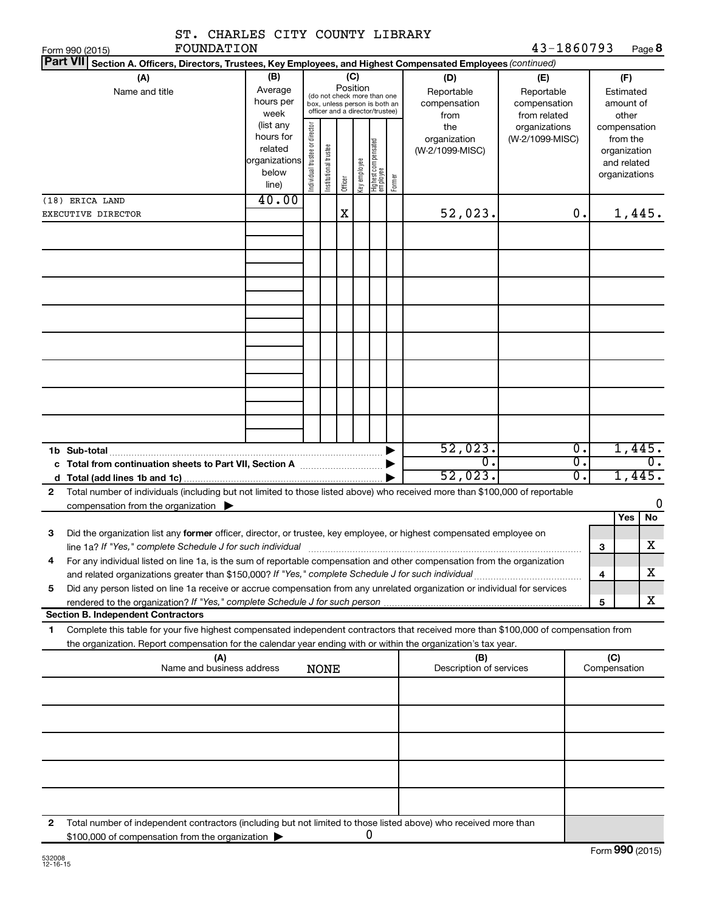| ST. CHARLES CITY COUNTY LIBRARY                                                                                                                                                                                                                             |                                                                      |                                |                       |          |              |                                                                                                 |        |                                           |                                                   |                  |                                                                          |                                        |
|-------------------------------------------------------------------------------------------------------------------------------------------------------------------------------------------------------------------------------------------------------------|----------------------------------------------------------------------|--------------------------------|-----------------------|----------|--------------|-------------------------------------------------------------------------------------------------|--------|-------------------------------------------|---------------------------------------------------|------------------|--------------------------------------------------------------------------|----------------------------------------|
| FOUNDATION<br>Form 990 (2015)<br><b>Part VII</b>                                                                                                                                                                                                            |                                                                      |                                |                       |          |              |                                                                                                 |        |                                           | 43-1860793                                        |                  |                                                                          | Page 8                                 |
| Section A. Officers, Directors, Trustees, Key Employees, and Highest Compensated Employees (continued)<br>(A)<br>Name and title                                                                                                                             | (B)<br>Average<br>hours per<br>week                                  |                                |                       | Position | (C)          | (do not check more than one<br>box, unless person is both an<br>officer and a director/trustee) |        | (D)<br>Reportable<br>compensation<br>from | (E)<br>Reportable<br>compensation<br>from related |                  |                                                                          | (F)<br>Estimated<br>amount of<br>other |
|                                                                                                                                                                                                                                                             | (list any<br>hours for<br>related<br>organizations<br>below<br>line) | Individual trustee or director | Institutional trustee | Officer  | Key employee | Highest compensated<br>  employee                                                               | Former | the<br>organization<br>(W-2/1099-MISC)    | organizations<br>(W-2/1099-MISC)                  |                  | compensation<br>from the<br>organization<br>and related<br>organizations |                                        |
| (18) ERICA LAND                                                                                                                                                                                                                                             | 40.00                                                                |                                |                       |          |              |                                                                                                 |        |                                           |                                                   |                  |                                                                          |                                        |
| EXECUTIVE DIRECTOR                                                                                                                                                                                                                                          |                                                                      |                                |                       | X        |              |                                                                                                 |        | 52,023.                                   |                                                   | 0.               |                                                                          | 1,445.                                 |
|                                                                                                                                                                                                                                                             |                                                                      |                                |                       |          |              |                                                                                                 |        |                                           |                                                   |                  |                                                                          |                                        |
|                                                                                                                                                                                                                                                             |                                                                      |                                |                       |          |              |                                                                                                 |        |                                           |                                                   |                  |                                                                          |                                        |
|                                                                                                                                                                                                                                                             |                                                                      |                                |                       |          |              |                                                                                                 |        |                                           |                                                   |                  |                                                                          |                                        |
|                                                                                                                                                                                                                                                             |                                                                      |                                |                       |          |              |                                                                                                 |        |                                           |                                                   |                  |                                                                          |                                        |
|                                                                                                                                                                                                                                                             |                                                                      |                                |                       |          |              |                                                                                                 |        |                                           |                                                   |                  |                                                                          |                                        |
| 1b Sub-total                                                                                                                                                                                                                                                |                                                                      |                                |                       |          |              |                                                                                                 |        | 52,023.                                   |                                                   | $\overline{0}$ . |                                                                          | 1,445.                                 |
| c Total from continuation sheets to Part VII, Section A manufactured by                                                                                                                                                                                     |                                                                      |                                |                       |          |              |                                                                                                 |        | $\overline{0}$ .                          |                                                   | σ.               |                                                                          | $\overline{0}$ .                       |
|                                                                                                                                                                                                                                                             |                                                                      |                                |                       |          |              |                                                                                                 |        | 52,023.                                   |                                                   | 0.               |                                                                          | 1,445.                                 |
| Total number of individuals (including but not limited to those listed above) who received more than \$100,000 of reportable<br>2<br>compensation from the organization $\blacktriangleright$                                                               |                                                                      |                                |                       |          |              |                                                                                                 |        |                                           |                                                   |                  |                                                                          | 0                                      |
|                                                                                                                                                                                                                                                             |                                                                      |                                |                       |          |              |                                                                                                 |        |                                           |                                                   |                  |                                                                          | Yes<br>No                              |
| Did the organization list any former officer, director, or trustee, key employee, or highest compensated employee on<br>3                                                                                                                                   |                                                                      |                                |                       |          |              |                                                                                                 |        |                                           |                                                   |                  |                                                                          |                                        |
| line 1a? If "Yes," complete Schedule J for such individual<br>For any individual listed on line 1a, is the sum of reportable compensation and other compensation from the organization<br>4                                                                 |                                                                      |                                |                       |          |              |                                                                                                 |        |                                           |                                                   |                  | 3                                                                        | х                                      |
| and related organizations greater than \$150,000? If "Yes," complete Schedule J for such individual                                                                                                                                                         |                                                                      |                                |                       |          |              |                                                                                                 |        |                                           |                                                   |                  | 4                                                                        | х                                      |
| Did any person listed on line 1a receive or accrue compensation from any unrelated organization or individual for services<br>5                                                                                                                             |                                                                      |                                |                       |          |              |                                                                                                 |        |                                           |                                                   |                  |                                                                          | х                                      |
| <b>Section B. Independent Contractors</b>                                                                                                                                                                                                                   |                                                                      |                                |                       |          |              |                                                                                                 |        |                                           |                                                   |                  | 5                                                                        |                                        |
| Complete this table for your five highest compensated independent contractors that received more than \$100,000 of compensation from<br>1<br>the organization. Report compensation for the calendar year ending with or within the organization's tax year. |                                                                      |                                |                       |          |              |                                                                                                 |        |                                           |                                                   |                  |                                                                          |                                        |
| (A)<br>Name and business address                                                                                                                                                                                                                            |                                                                      |                                | <b>NONE</b>           |          |              |                                                                                                 |        | (B)<br>Description of services            |                                                   |                  | (C)<br>Compensation                                                      |                                        |
|                                                                                                                                                                                                                                                             |                                                                      |                                |                       |          |              |                                                                                                 |        |                                           |                                                   |                  |                                                                          |                                        |
|                                                                                                                                                                                                                                                             |                                                                      |                                |                       |          |              |                                                                                                 |        |                                           |                                                   |                  |                                                                          |                                        |
|                                                                                                                                                                                                                                                             |                                                                      |                                |                       |          |              |                                                                                                 |        |                                           |                                                   |                  |                                                                          |                                        |
|                                                                                                                                                                                                                                                             |                                                                      |                                |                       |          |              |                                                                                                 |        |                                           |                                                   |                  |                                                                          |                                        |
| Total number of independent contractors (including but not limited to those listed above) who received more than<br>2<br>\$100,000 of compensation from the organization                                                                                    |                                                                      |                                |                       |          |              | 0                                                                                               |        |                                           |                                                   |                  |                                                                          |                                        |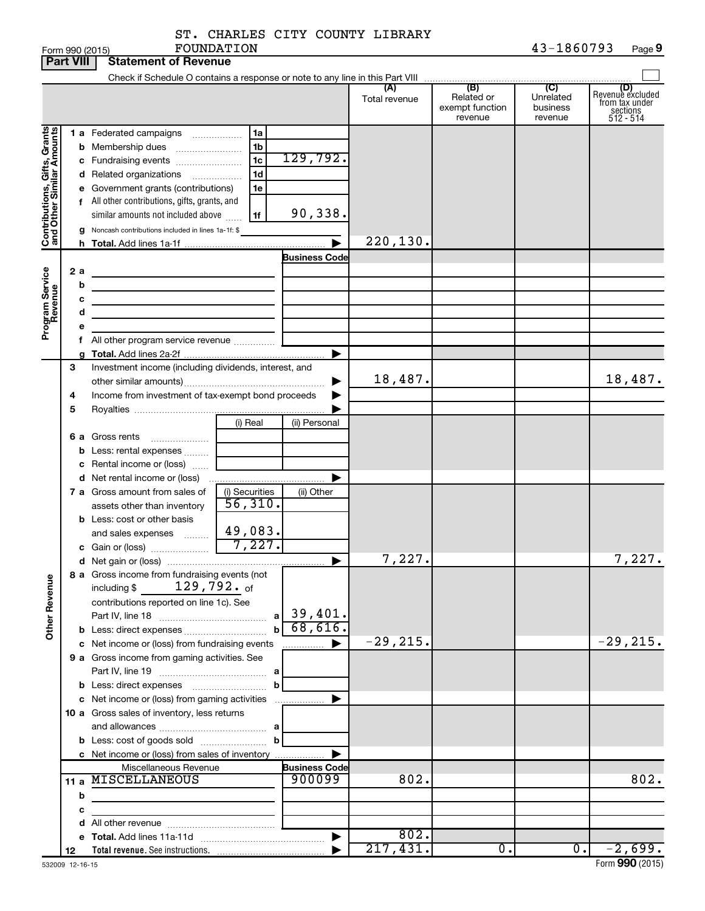| ST. CHARLES CITY COUNTY LIBRARY |  |            |
|---------------------------------|--|------------|
| FOUNDATION                      |  | 43-1860793 |

|                                                           | <b>Part VIII</b> |                                                                                              | <b>Statement of Revenue</b>                                                                                                                                                                                                                                                                                             |                                                                      |                                             |                      |                                                 |                                                    |                                                                    |
|-----------------------------------------------------------|------------------|----------------------------------------------------------------------------------------------|-------------------------------------------------------------------------------------------------------------------------------------------------------------------------------------------------------------------------------------------------------------------------------------------------------------------------|----------------------------------------------------------------------|---------------------------------------------|----------------------|-------------------------------------------------|----------------------------------------------------|--------------------------------------------------------------------|
|                                                           |                  |                                                                                              |                                                                                                                                                                                                                                                                                                                         |                                                                      |                                             |                      |                                                 |                                                    |                                                                    |
|                                                           |                  |                                                                                              |                                                                                                                                                                                                                                                                                                                         |                                                                      |                                             | (A)<br>Total revenue | (B)<br>Related or<br>exempt function<br>revenue | $\overline{C}$<br>Unrelated<br>business<br>revenue | (D)<br>Revenue excluded<br>from tax under<br>sections<br>512 - 514 |
| Contributions, Gifts, Grants<br>and Other Similar Amounts | 2 a<br>b         |                                                                                              | 1 a Federated campaigns<br><b>b</b> Membership dues<br>c Fundraising events<br>d Related organizations<br>$\overline{\phantom{a}}$<br>e Government grants (contributions)<br>f All other contributions, gifts, grants, and<br>similar amounts not included above<br>g Noncash contributions included in lines 1a-1f: \$ | 1a<br>1 <sub>b</sub><br>1 <sub>c</sub><br>1 <sub>d</sub><br>1e<br>1f | 129,792.<br>90,338.<br><b>Business Code</b> | 220,130.             |                                                 |                                                    |                                                                    |
| Program Service<br>Revenue                                | c<br>d           |                                                                                              | the contract of the contract of the contract of the contract of the contract of<br>the control of the control of the control of the control of the control of<br>the control of the control of the control of the control of                                                                                            |                                                                      | ▶                                           |                      |                                                 |                                                    |                                                                    |
|                                                           | 3<br>4<br>5      |                                                                                              | Investment income (including dividends, interest, and<br>Income from investment of tax-exempt bond proceeds                                                                                                                                                                                                             |                                                                      |                                             | 18,487.              |                                                 |                                                    | 18,487.                                                            |
|                                                           |                  |                                                                                              | <b>6 a</b> Gross rents<br><b>b</b> Less: rental expenses<br>c Rental income or (loss)                                                                                                                                                                                                                                   | (i) Real                                                             | (ii) Personal                               |                      |                                                 |                                                    |                                                                    |
|                                                           |                  |                                                                                              | 7 a Gross amount from sales of<br>assets other than inventory<br><b>b</b> Less: cost or other basis                                                                                                                                                                                                                     | (i) Securities<br>56,310.                                            | (ii) Other                                  |                      |                                                 |                                                    |                                                                    |
|                                                           |                  |                                                                                              | and sales expenses                                                                                                                                                                                                                                                                                                      | 49,083.<br>7,227.                                                    | ▶                                           | 7,227.               |                                                 |                                                    | 7,227.                                                             |
| <b>Other Revenue</b>                                      |                  |                                                                                              | 8 a Gross income from fundraising events (not<br>129,792. <sub>of</sub><br>including \$<br>contributions reported on line 1c). See                                                                                                                                                                                      | a<br>$\mathbf b$                                                     | 39,401.<br>68,616.                          |                      |                                                 |                                                    |                                                                    |
|                                                           |                  |                                                                                              | c Net income or (loss) from fundraising events<br>9 a Gross income from gaming activities. See                                                                                                                                                                                                                          | b                                                                    | —————— ▶                                    | $-29, 215.$          |                                                 |                                                    | $-29, 215.$                                                        |
|                                                           |                  | c Net income or (loss) from gaming activities<br>10 a Gross sales of inventory, less returns |                                                                                                                                                                                                                                                                                                                         |                                                                      |                                             |                      |                                                 |                                                    |                                                                    |
|                                                           |                  |                                                                                              | c Net income or (loss) from sales of inventory                                                                                                                                                                                                                                                                          |                                                                      |                                             |                      |                                                 |                                                    |                                                                    |
|                                                           | b                |                                                                                              | Miscellaneous Revenue<br>11 a MISCELLANEOUS<br>the control of the control of the control of the control of                                                                                                                                                                                                              |                                                                      | <b>Business Code</b><br>900099              | 802.                 |                                                 |                                                    | 802.                                                               |
|                                                           | с                |                                                                                              |                                                                                                                                                                                                                                                                                                                         | the control of the control of the control of                         |                                             |                      |                                                 |                                                    |                                                                    |
|                                                           |                  |                                                                                              |                                                                                                                                                                                                                                                                                                                         |                                                                      |                                             | 802.                 |                                                 |                                                    |                                                                    |
|                                                           | 12               |                                                                                              |                                                                                                                                                                                                                                                                                                                         |                                                                      |                                             | 217,431.             | 0.                                              | $0$ .                                              | $-2,699.$                                                          |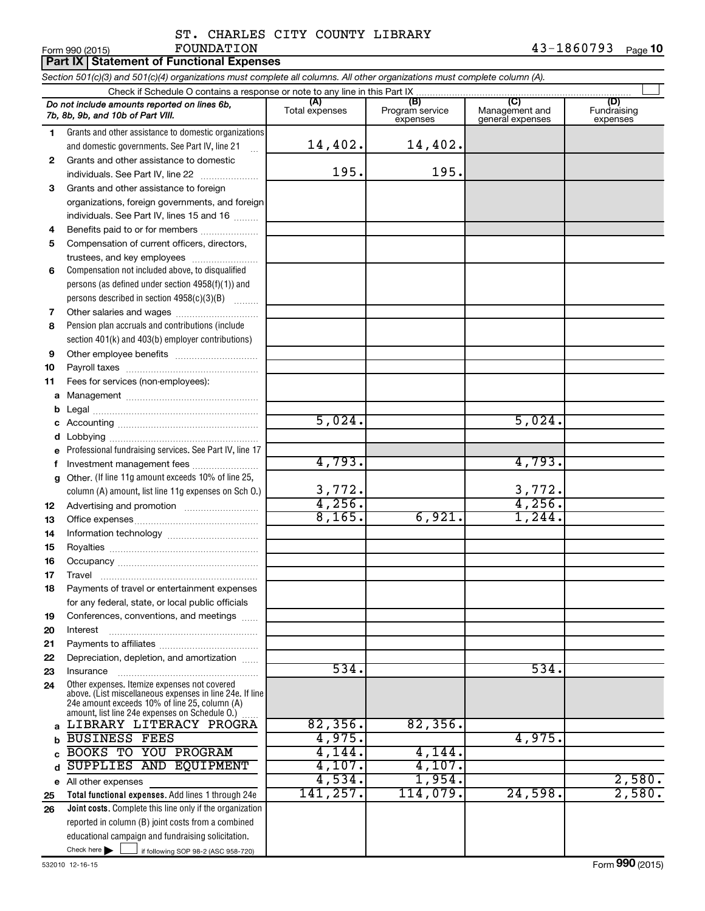|                     |                                                                                                                                                     | ST. CHARLES CITY COUNTY LIBRARY |                             |                                    |                         |
|---------------------|-----------------------------------------------------------------------------------------------------------------------------------------------------|---------------------------------|-----------------------------|------------------------------------|-------------------------|
|                     | FOUNDATION<br>Form 990 (2015)<br><b>Part IX Statement of Functional Expenses</b>                                                                    |                                 |                             |                                    | $43 - 1860793$ Page 10  |
|                     | Section 501(c)(3) and 501(c)(4) organizations must complete all columns. All other organizations must complete column (A).                          |                                 |                             |                                    |                         |
|                     | Check if Schedule O contains a response or note to any line in this Part IX                                                                         |                                 |                             |                                    |                         |
|                     | Do not include amounts reported on lines 6b,                                                                                                        | (A)                             | (B)                         | (C)                                | (D)                     |
|                     | 7b, 8b, 9b, and 10b of Part VIII.                                                                                                                   | Total expenses                  | Program service<br>expenses | Management and<br>general expenses | Fundraising<br>expenses |
| 1.                  | Grants and other assistance to domestic organizations<br>and domestic governments. See Part IV, line 21<br>$\mathbf{r}$                             | 14,402.                         | 14,402.                     |                                    |                         |
| $\mathbf{2}$        | Grants and other assistance to domestic<br>individuals. See Part IV, line 22                                                                        | 195.                            | 195.                        |                                    |                         |
| 3                   | Grants and other assistance to foreign<br>organizations, foreign governments, and foreign<br>individuals. See Part IV, lines 15 and 16              |                                 |                             |                                    |                         |
| 4                   | Benefits paid to or for members                                                                                                                     |                                 |                             |                                    |                         |
| 5                   | Compensation of current officers, directors,<br>trustees, and key employees                                                                         |                                 |                             |                                    |                         |
| 6                   | Compensation not included above, to disqualified<br>persons (as defined under section 4958(f)(1)) and<br>persons described in section 4958(c)(3)(B) |                                 |                             |                                    |                         |
| $\overline{7}$<br>8 | Pension plan accruals and contributions (include                                                                                                    |                                 |                             |                                    |                         |
|                     | section 401(k) and 403(b) employer contributions)                                                                                                   |                                 |                             |                                    |                         |
| 9                   |                                                                                                                                                     |                                 |                             |                                    |                         |
| 10                  |                                                                                                                                                     |                                 |                             |                                    |                         |
| 11                  | Fees for services (non-employees):                                                                                                                  |                                 |                             |                                    |                         |
|                     |                                                                                                                                                     |                                 |                             |                                    |                         |
| b                   |                                                                                                                                                     |                                 |                             |                                    |                         |
| c                   |                                                                                                                                                     | 5,024.                          |                             | 5,024.                             |                         |
| d                   |                                                                                                                                                     |                                 |                             |                                    |                         |
| e                   | Professional fundraising services. See Part IV, line 17                                                                                             |                                 |                             |                                    |                         |
| f                   | Investment management fees                                                                                                                          | 4,793.                          |                             | 4,793.                             |                         |
| g                   | Other. (If line 11g amount exceeds 10% of line 25,<br>column (A) amount, list line 11g expenses on Sch 0.)                                          | 3,772.                          |                             | 3,772.                             |                         |
| 12                  |                                                                                                                                                     | 4,256.                          |                             | 4,256.                             |                         |
| 13                  |                                                                                                                                                     | 8,165.                          | 6,921.                      | 1,244.                             |                         |
| 14                  |                                                                                                                                                     |                                 |                             |                                    |                         |
| 15                  |                                                                                                                                                     |                                 |                             |                                    |                         |
| 16                  |                                                                                                                                                     |                                 |                             |                                    |                         |
| 17                  |                                                                                                                                                     |                                 |                             |                                    |                         |
| 18                  | Payments of travel or entertainment expenses<br>for any federal, state, or local public officials                                                   |                                 |                             |                                    |                         |
| 19                  | Conferences, conventions, and meetings                                                                                                              |                                 |                             |                                    |                         |

534. 534.

**20 21 22 23 24** Other expenses. Itemize expenses not covered above. (List miscellaneous expenses in line 24e. If line Interest ~~~~~~~~~~~~~~~~~~ Payments to affiliates ~~~~~~~~~~~~ Depreciation, depletion, and amortization ...... Insurance ~~~~~~~~~~~~~~~~~

Check here  $\begin{array}{c} \begin{array}{|c} \hline \end{array} \end{array}$  if following SOP 98-2 (ASC 958-720) **Total functional expenses.**  Add lines 1 through 24e **Joint costs.** Complete this line only if the organization **a b c d e** All other expenses **25 26** 24e amount exceeds 10% of line 25, column (A) amount, list line 24e expenses on Schedule O.) reported in column (B) joint costs from a combined educational campaign and fundraising solicitation. ~~~~~ LIBRARY LITERACY PROGRA | 82,356. 82,356. BUSINESS FEES **4,975.** 4,975. BOOKS TO YOU PROGRAM 4,144. 4,144. SUPPLIES AND EQUIPMENT 4,107. 4,107. 4,534. 1,954. 2,580. 141,257. 114,079. 24,598. 2,580.

Check here  $\blacktriangleright$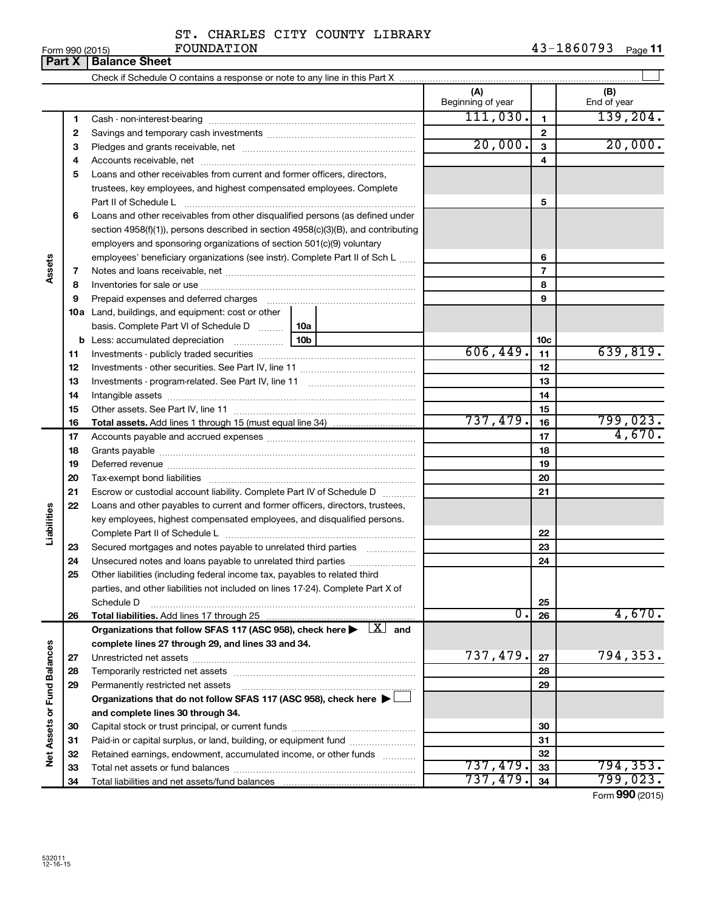|                             |          | ST. CHARLES CITY COUNTY LIBRARY                                                                      |                   |                 |                    |
|-----------------------------|----------|------------------------------------------------------------------------------------------------------|-------------------|-----------------|--------------------|
|                             | Part $X$ | FOUNDATION<br>Form 990 (2015)<br><b>Balance Sheet</b>                                                |                   |                 | 43-1860793 Page 11 |
|                             |          |                                                                                                      |                   |                 |                    |
|                             |          |                                                                                                      | (A)               |                 | (B)                |
|                             |          |                                                                                                      | Beginning of year |                 | End of year        |
|                             | 1        |                                                                                                      | 111,030.          | $\mathbf{1}$    | 139, 204.          |
|                             | 2        |                                                                                                      |                   | $\mathbf{2}$    |                    |
|                             | з        |                                                                                                      | 20,000.           | 3               | 20,000.            |
|                             | 4        |                                                                                                      |                   | 4               |                    |
|                             | 5        | Loans and other receivables from current and former officers, directors,                             |                   |                 |                    |
|                             |          | trustees, key employees, and highest compensated employees. Complete                                 |                   |                 |                    |
|                             |          | Part II of Schedule L                                                                                |                   | 5               |                    |
|                             | 6        | Loans and other receivables from other disqualified persons (as defined under                        |                   |                 |                    |
|                             |          | section 4958(f)(1)), persons described in section 4958(c)(3)(B), and contributing                    |                   |                 |                    |
|                             |          | employers and sponsoring organizations of section 501(c)(9) voluntary                                |                   |                 |                    |
|                             |          | employees' beneficiary organizations (see instr). Complete Part II of Sch L                          |                   | 6               |                    |
| Assets                      | 7        |                                                                                                      |                   | $\overline{7}$  |                    |
|                             | 8        |                                                                                                      |                   | 8               |                    |
|                             | 9        |                                                                                                      |                   | 9               |                    |
|                             |          | 10a Land, buildings, and equipment: cost or other                                                    |                   |                 |                    |
|                             |          | basis. Complete Part VI of Schedule D  10a                                                           |                   | 10 <sub>c</sub> |                    |
|                             | 11       |                                                                                                      | 606, 449.         | 11              | 639,819.           |
|                             | 12       |                                                                                                      |                   | 12              |                    |
|                             | 13       |                                                                                                      |                   | 13              |                    |
|                             | 14       |                                                                                                      |                   | 14              |                    |
|                             | 15       |                                                                                                      |                   | 15              |                    |
|                             | 16       |                                                                                                      | 737,479.          | 16              | 799,023.           |
|                             | 17       |                                                                                                      |                   | 17              | 4,670.             |
|                             | 18       |                                                                                                      |                   | 18              |                    |
|                             | 19       |                                                                                                      |                   | 19              |                    |
|                             | 20       |                                                                                                      |                   | 20              |                    |
|                             | 21       | Escrow or custodial account liability. Complete Part IV of Schedule D                                |                   | 21              |                    |
| Liabilities                 | 22       | Loans and other payables to current and former officers, directors, trustees,                        |                   |                 |                    |
|                             |          | key employees, highest compensated employees, and disqualified persons.                              |                   |                 |                    |
|                             | 23       | Secured mortgages and notes payable to unrelated third parties                                       |                   | 22<br>23        |                    |
|                             | 24       | Unsecured notes and loans payable to unrelated third parties                                         |                   | 24              |                    |
|                             | 25       | Other liabilities (including federal income tax, payables to related third                           |                   |                 |                    |
|                             |          | parties, and other liabilities not included on lines 17-24). Complete Part X of                      |                   |                 |                    |
|                             |          | Schedule D                                                                                           |                   | 25              |                    |
|                             | 26       |                                                                                                      | $\overline{0}$ .  | 26              | 4,670.             |
|                             |          | Organizations that follow SFAS 117 (ASC 958), check here $\blacktriangleright \lfloor X \rfloor$ and |                   |                 |                    |
|                             |          | complete lines 27 through 29, and lines 33 and 34.                                                   |                   |                 |                    |
|                             | 27       |                                                                                                      | 737,479.          | 27              | 794,353.           |
| Net Assets or Fund Balances | 28       |                                                                                                      |                   | 28              |                    |
|                             | 29       | Permanently restricted net assets                                                                    |                   | 29              |                    |
|                             |          | Organizations that do not follow SFAS 117 (ASC 958), check here $\blacktriangleright$                |                   |                 |                    |
|                             |          | and complete lines 30 through 34.                                                                    |                   |                 |                    |
|                             | 30       |                                                                                                      |                   | 30              |                    |
|                             | 31       | Paid-in or capital surplus, or land, building, or equipment fund                                     |                   | 31              |                    |
|                             | 32       | Retained earnings, endowment, accumulated income, or other funds                                     | 737 479           | 32              |                    |

Capital stock or trust principal, or current funds ~~~~~~~~~~~~~~~ Paid-in or capital surplus, or land, building, or equipment fund ....................... Retained earnings, endowment, accumulated income, or other funds ............ Total net assets or fund balances ~~~~~~~~~~~~~~~~~~~~~~

Total liabilities and net assets/fund balances

737,479. 794,353.

 $737,479.$   $34$   $799,023.$ 

Form (2015) **990**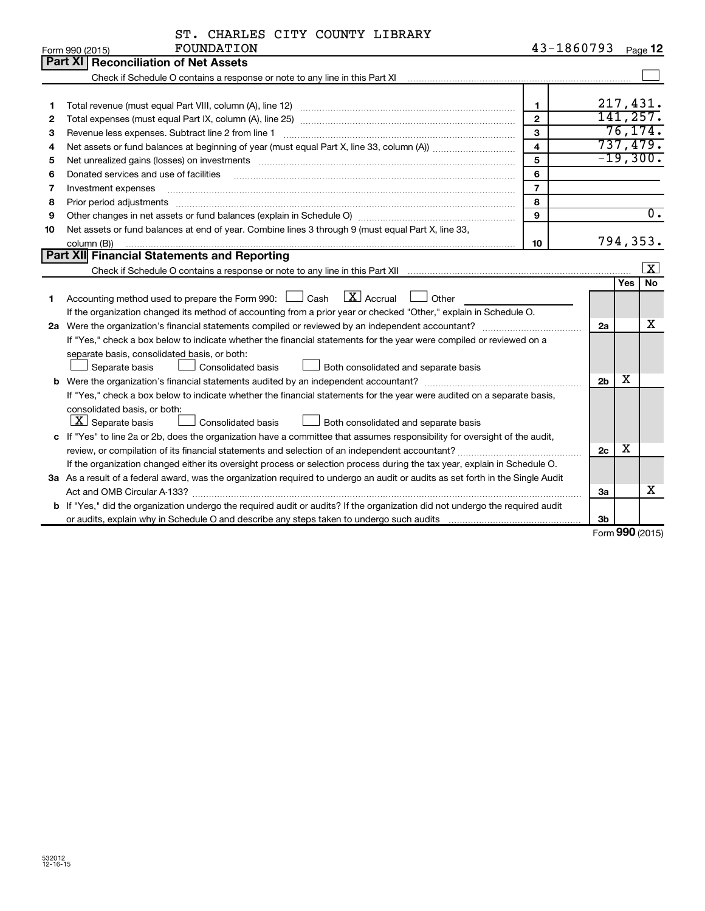| ST. CHARLES CITY COUNTY LIBRARY |  |  |
|---------------------------------|--|--|
| FOUNDATION                      |  |  |

|    | FOUNDATION<br>Form 990 (2015)                                                                                                                                     | 43-1860793     |                |     | Page 12                 |
|----|-------------------------------------------------------------------------------------------------------------------------------------------------------------------|----------------|----------------|-----|-------------------------|
|    | <b>Part XI   Reconciliation of Net Assets</b>                                                                                                                     |                |                |     |                         |
|    | Check if Schedule O contains a response or note to any line in this Part XI [11] [12] Check if Schedule O contains a response or note to any line in this Part XI |                |                |     |                         |
|    |                                                                                                                                                                   |                |                |     |                         |
| 1  |                                                                                                                                                                   | $\mathbf{1}$   |                |     | 217,431.                |
| 2  |                                                                                                                                                                   | $\overline{2}$ |                |     | 141, 257.               |
| З  | Revenue less expenses. Subtract line 2 from line 1                                                                                                                | $\mathbf{3}$   |                |     | 76, 174.                |
| 4  |                                                                                                                                                                   | 4              |                |     | 737,479.                |
| 5  |                                                                                                                                                                   | 5              |                |     | $-19,300.$              |
| 6  | Donated services and use of facilities                                                                                                                            | 6              |                |     |                         |
| 7  | Investment expenses                                                                                                                                               | $\overline{7}$ |                |     |                         |
| 8  | Prior period adjustments                                                                                                                                          | 8              |                |     |                         |
| 9  |                                                                                                                                                                   | 9              |                |     | $\overline{0}$ .        |
| 10 | Net assets or fund balances at end of year. Combine lines 3 through 9 (must equal Part X, line 33,                                                                |                |                |     |                         |
|    | column (B))                                                                                                                                                       | 10             |                |     | 794,353.                |
|    | Part XII Financial Statements and Reporting                                                                                                                       |                |                |     |                         |
|    |                                                                                                                                                                   |                |                |     | $\overline{\mathbf{X}}$ |
|    |                                                                                                                                                                   |                |                | Yes | <b>No</b>               |
| 1  | $\boxed{\text{X}}$ Accrual<br>Accounting method used to prepare the Form 990: [130] Cash<br>Other                                                                 |                |                |     |                         |
|    | If the organization changed its method of accounting from a prior year or checked "Other," explain in Schedule O.                                                 |                |                |     |                         |
|    |                                                                                                                                                                   |                | 2a             |     | x                       |
|    | If "Yes," check a box below to indicate whether the financial statements for the year were compiled or reviewed on a                                              |                |                |     |                         |
|    | separate basis, consolidated basis, or both:                                                                                                                      |                |                |     |                         |
|    | Both consolidated and separate basis<br>Separate basis<br>Consolidated basis                                                                                      |                |                |     |                         |
|    |                                                                                                                                                                   |                | 2 <sub>b</sub> | x   |                         |
|    | If "Yes," check a box below to indicate whether the financial statements for the year were audited on a separate basis,                                           |                |                |     |                         |
|    | consolidated basis, or both:                                                                                                                                      |                |                |     |                         |
|    | $ \mathbf{X} $ Separate basis<br><b>Consolidated basis</b><br>Both consolidated and separate basis                                                                |                |                |     |                         |
|    | c If "Yes" to line 2a or 2b, does the organization have a committee that assumes responsibility for oversight of the audit,                                       |                |                |     |                         |
|    |                                                                                                                                                                   |                | 2c             | х   |                         |
|    | If the organization changed either its oversight process or selection process during the tax year, explain in Schedule O.                                         |                |                |     |                         |
|    | 3a As a result of a federal award, was the organization required to undergo an audit or audits as set forth in the Single Audit                                   |                |                |     |                         |
|    |                                                                                                                                                                   |                | За             |     | X                       |
|    | b If "Yes," did the organization undergo the required audit or audits? If the organization did not undergo the required audit                                     |                |                |     |                         |
|    |                                                                                                                                                                   |                | 3b             |     |                         |

Form (2015) **990**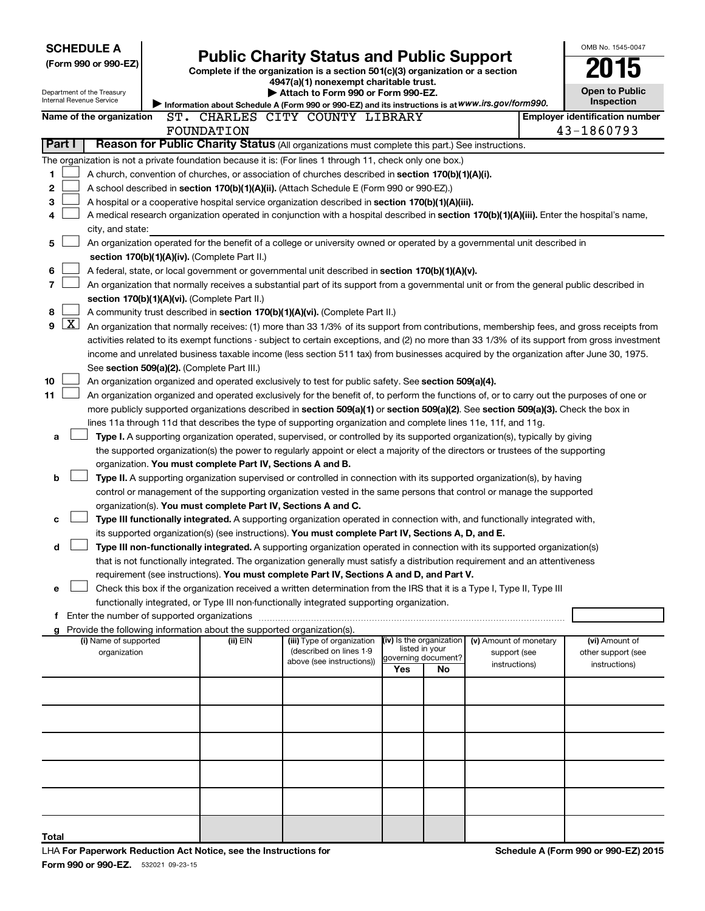| <b>SCHEDULE A</b>                                                                                                              | (Form 990 or 990-EZ)                                                                                                                                                                                                                                                                                                                                                                                                                                                                                                                                      |  | <b>Public Charity Status and Public Support</b><br>Complete if the organization is a section 501(c)(3) organization or a section<br>4947(a)(1) nonexempt charitable trust. |                                                                                                                                                                                                                                                                                                                                                                                                                                                                                                                                                                 |                                                        |                      |                                                         |  |                                                       |  |  |  |
|--------------------------------------------------------------------------------------------------------------------------------|-----------------------------------------------------------------------------------------------------------------------------------------------------------------------------------------------------------------------------------------------------------------------------------------------------------------------------------------------------------------------------------------------------------------------------------------------------------------------------------------------------------------------------------------------------------|--|----------------------------------------------------------------------------------------------------------------------------------------------------------------------------|-----------------------------------------------------------------------------------------------------------------------------------------------------------------------------------------------------------------------------------------------------------------------------------------------------------------------------------------------------------------------------------------------------------------------------------------------------------------------------------------------------------------------------------------------------------------|--------------------------------------------------------|----------------------|---------------------------------------------------------|--|-------------------------------------------------------|--|--|--|
| Department of the Treasury<br>Internal Revenue Service                                                                         |                                                                                                                                                                                                                                                                                                                                                                                                                                                                                                                                                           |  |                                                                                                                                                                            | Attach to Form 990 or Form 990-EZ.<br>Information about Schedule A (Form 990 or 990-EZ) and its instructions is at WWW.irs.gov/form990.                                                                                                                                                                                                                                                                                                                                                                                                                         |                                                        |                      |                                                         |  | <b>Open to Public</b><br><b>Inspection</b>            |  |  |  |
|                                                                                                                                | Name of the organization                                                                                                                                                                                                                                                                                                                                                                                                                                                                                                                                  |  | FOUNDATION                                                                                                                                                                 | ST. CHARLES CITY COUNTY LIBRARY                                                                                                                                                                                                                                                                                                                                                                                                                                                                                                                                 |                                                        |                      |                                                         |  | <b>Employer identification number</b><br>43-1860793   |  |  |  |
| Part I                                                                                                                         |                                                                                                                                                                                                                                                                                                                                                                                                                                                                                                                                                           |  |                                                                                                                                                                            | Reason for Public Charity Status (All organizations must complete this part.) See instructions.                                                                                                                                                                                                                                                                                                                                                                                                                                                                 |                                                        |                      |                                                         |  |                                                       |  |  |  |
| 1<br>2<br>3<br>4                                                                                                               | city, and state:                                                                                                                                                                                                                                                                                                                                                                                                                                                                                                                                          |  |                                                                                                                                                                            | The organization is not a private foundation because it is: (For lines 1 through 11, check only one box.)<br>A church, convention of churches, or association of churches described in section 170(b)(1)(A)(i).<br>A school described in section 170(b)(1)(A)(ii). (Attach Schedule E (Form 990 or 990-EZ).)<br>A hospital or a cooperative hospital service organization described in section 170(b)(1)(A)(iii).<br>A medical research organization operated in conjunction with a hospital described in section 170(b)(1)(A)(iii). Enter the hospital's name, |                                                        |                      |                                                         |  |                                                       |  |  |  |
| An organization operated for the benefit of a college or university owned or operated by a governmental unit described in<br>5 |                                                                                                                                                                                                                                                                                                                                                                                                                                                                                                                                                           |  |                                                                                                                                                                            |                                                                                                                                                                                                                                                                                                                                                                                                                                                                                                                                                                 |                                                        |                      |                                                         |  |                                                       |  |  |  |
| 6                                                                                                                              |                                                                                                                                                                                                                                                                                                                                                                                                                                                                                                                                                           |  | section 170(b)(1)(A)(iv). (Complete Part II.)                                                                                                                              | A federal, state, or local government or governmental unit described in section 170(b)(1)(A)(v).                                                                                                                                                                                                                                                                                                                                                                                                                                                                |                                                        |                      |                                                         |  |                                                       |  |  |  |
| 7                                                                                                                              |                                                                                                                                                                                                                                                                                                                                                                                                                                                                                                                                                           |  |                                                                                                                                                                            | An organization that normally receives a substantial part of its support from a governmental unit or from the general public described in                                                                                                                                                                                                                                                                                                                                                                                                                       |                                                        |                      |                                                         |  |                                                       |  |  |  |
| 8                                                                                                                              |                                                                                                                                                                                                                                                                                                                                                                                                                                                                                                                                                           |  | section 170(b)(1)(A)(vi). (Complete Part II.)                                                                                                                              |                                                                                                                                                                                                                                                                                                                                                                                                                                                                                                                                                                 |                                                        |                      |                                                         |  |                                                       |  |  |  |
| $\overline{\text{X}}$<br>9                                                                                                     | A community trust described in section 170(b)(1)(A)(vi). (Complete Part II.)<br>An organization that normally receives: (1) more than 33 1/3% of its support from contributions, membership fees, and gross receipts from<br>activities related to its exempt functions - subject to certain exceptions, and (2) no more than 33 1/3% of its support from gross investment<br>income and unrelated business taxable income (less section 511 tax) from businesses acquired by the organization after June 30, 1975.                                       |  |                                                                                                                                                                            |                                                                                                                                                                                                                                                                                                                                                                                                                                                                                                                                                                 |                                                        |                      |                                                         |  |                                                       |  |  |  |
| 10<br>11                                                                                                                       | See section 509(a)(2). (Complete Part III.)<br>An organization organized and operated exclusively to test for public safety. See section 509(a)(4).<br>An organization organized and operated exclusively for the benefit of, to perform the functions of, or to carry out the purposes of one or<br>more publicly supported organizations described in section 509(a)(1) or section 509(a)(2). See section 509(a)(3). Check the box in<br>lines 11a through 11d that describes the type of supporting organization and complete lines 11e, 11f, and 11g. |  |                                                                                                                                                                            |                                                                                                                                                                                                                                                                                                                                                                                                                                                                                                                                                                 |                                                        |                      |                                                         |  |                                                       |  |  |  |
| а                                                                                                                              |                                                                                                                                                                                                                                                                                                                                                                                                                                                                                                                                                           |  |                                                                                                                                                                            | Type I. A supporting organization operated, supervised, or controlled by its supported organization(s), typically by giving<br>the supported organization(s) the power to regularly appoint or elect a majority of the directors or trustees of the supporting                                                                                                                                                                                                                                                                                                  |                                                        |                      |                                                         |  |                                                       |  |  |  |
| b                                                                                                                              |                                                                                                                                                                                                                                                                                                                                                                                                                                                                                                                                                           |  | organization. You must complete Part IV, Sections A and B.                                                                                                                 | Type II. A supporting organization supervised or controlled in connection with its supported organization(s), by having<br>control or management of the supporting organization vested in the same persons that control or manage the supported                                                                                                                                                                                                                                                                                                                 |                                                        |                      |                                                         |  |                                                       |  |  |  |
| c                                                                                                                              |                                                                                                                                                                                                                                                                                                                                                                                                                                                                                                                                                           |  | organization(s). You must complete Part IV, Sections A and C.                                                                                                              | Type III functionally integrated. A supporting organization operated in connection with, and functionally integrated with,<br>its supported organization(s) (see instructions). You must complete Part IV, Sections A, D, and E.                                                                                                                                                                                                                                                                                                                                |                                                        |                      |                                                         |  |                                                       |  |  |  |
| d                                                                                                                              |                                                                                                                                                                                                                                                                                                                                                                                                                                                                                                                                                           |  |                                                                                                                                                                            | Type III non-functionally integrated. A supporting organization operated in connection with its supported organization(s)                                                                                                                                                                                                                                                                                                                                                                                                                                       |                                                        |                      |                                                         |  |                                                       |  |  |  |
|                                                                                                                                |                                                                                                                                                                                                                                                                                                                                                                                                                                                                                                                                                           |  |                                                                                                                                                                            | that is not functionally integrated. The organization generally must satisfy a distribution requirement and an attentiveness                                                                                                                                                                                                                                                                                                                                                                                                                                    |                                                        |                      |                                                         |  |                                                       |  |  |  |
|                                                                                                                                |                                                                                                                                                                                                                                                                                                                                                                                                                                                                                                                                                           |  |                                                                                                                                                                            | requirement (see instructions). You must complete Part IV, Sections A and D, and Part V.                                                                                                                                                                                                                                                                                                                                                                                                                                                                        |                                                        |                      |                                                         |  |                                                       |  |  |  |
| е                                                                                                                              |                                                                                                                                                                                                                                                                                                                                                                                                                                                                                                                                                           |  |                                                                                                                                                                            | Check this box if the organization received a written determination from the IRS that it is a Type I, Type II, Type III                                                                                                                                                                                                                                                                                                                                                                                                                                         |                                                        |                      |                                                         |  |                                                       |  |  |  |
|                                                                                                                                |                                                                                                                                                                                                                                                                                                                                                                                                                                                                                                                                                           |  |                                                                                                                                                                            | functionally integrated, or Type III non-functionally integrated supporting organization.                                                                                                                                                                                                                                                                                                                                                                                                                                                                       |                                                        |                      |                                                         |  |                                                       |  |  |  |
|                                                                                                                                |                                                                                                                                                                                                                                                                                                                                                                                                                                                                                                                                                           |  | Provide the following information about the supported organization(s).                                                                                                     |                                                                                                                                                                                                                                                                                                                                                                                                                                                                                                                                                                 |                                                        |                      |                                                         |  |                                                       |  |  |  |
|                                                                                                                                | (i) Name of supported<br>organization                                                                                                                                                                                                                                                                                                                                                                                                                                                                                                                     |  | (ii) EIN                                                                                                                                                                   | (iii) Type of organization<br>(described on lines 1-9<br>above (see instructions))                                                                                                                                                                                                                                                                                                                                                                                                                                                                              | (iv) Is the organization<br>governing document?<br>Yes | listed in your<br>No | (v) Amount of monetary<br>support (see<br>instructions) |  | (vi) Amount of<br>other support (see<br>instructions) |  |  |  |
|                                                                                                                                |                                                                                                                                                                                                                                                                                                                                                                                                                                                                                                                                                           |  |                                                                                                                                                                            |                                                                                                                                                                                                                                                                                                                                                                                                                                                                                                                                                                 |                                                        |                      |                                                         |  |                                                       |  |  |  |
|                                                                                                                                |                                                                                                                                                                                                                                                                                                                                                                                                                                                                                                                                                           |  |                                                                                                                                                                            |                                                                                                                                                                                                                                                                                                                                                                                                                                                                                                                                                                 |                                                        |                      |                                                         |  |                                                       |  |  |  |
|                                                                                                                                |                                                                                                                                                                                                                                                                                                                                                                                                                                                                                                                                                           |  |                                                                                                                                                                            |                                                                                                                                                                                                                                                                                                                                                                                                                                                                                                                                                                 |                                                        |                      |                                                         |  |                                                       |  |  |  |
|                                                                                                                                |                                                                                                                                                                                                                                                                                                                                                                                                                                                                                                                                                           |  |                                                                                                                                                                            |                                                                                                                                                                                                                                                                                                                                                                                                                                                                                                                                                                 |                                                        |                      |                                                         |  |                                                       |  |  |  |
|                                                                                                                                |                                                                                                                                                                                                                                                                                                                                                                                                                                                                                                                                                           |  |                                                                                                                                                                            |                                                                                                                                                                                                                                                                                                                                                                                                                                                                                                                                                                 |                                                        |                      |                                                         |  |                                                       |  |  |  |
| Total                                                                                                                          |                                                                                                                                                                                                                                                                                                                                                                                                                                                                                                                                                           |  |                                                                                                                                                                            |                                                                                                                                                                                                                                                                                                                                                                                                                                                                                                                                                                 |                                                        |                      |                                                         |  |                                                       |  |  |  |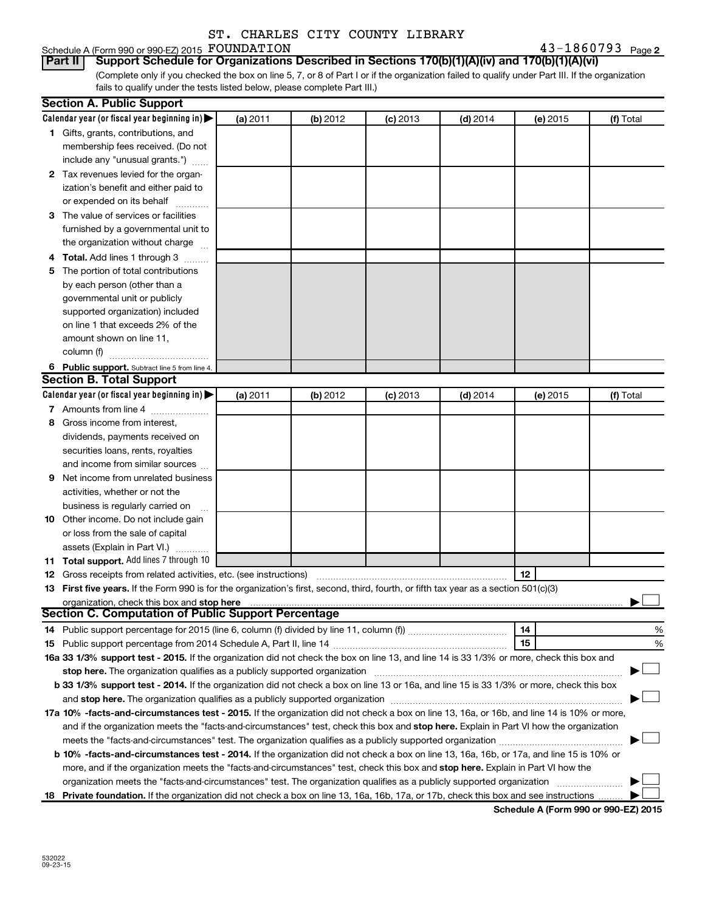# Schedule A (Form 990 or 990-EZ) 2015 FOUNDATION<br>**Part II** Support Schedule for Organizations

**2** FOUNDATION **2 2** 

(Complete only if you checked the box on line 5, 7, or 8 of Part I or if the organization failed to qualify under Part III. If the organization fails to qualify under the tests listed below, please complete Part III.) **Part II Support Schedule for Organizations Described in Sections 170(b)(1)(A)(iv) and 170(b)(1)(A)(vi)**

|   | <b>Section A. Public Support</b>                                                                                                           |          |          |            |            |          |           |
|---|--------------------------------------------------------------------------------------------------------------------------------------------|----------|----------|------------|------------|----------|-----------|
|   | Calendar year (or fiscal year beginning in)                                                                                                | (a) 2011 | (b) 2012 | $(c)$ 2013 | $(d)$ 2014 | (e) 2015 | (f) Total |
|   | 1 Gifts, grants, contributions, and                                                                                                        |          |          |            |            |          |           |
|   | membership fees received. (Do not                                                                                                          |          |          |            |            |          |           |
|   | include any "unusual grants.")                                                                                                             |          |          |            |            |          |           |
|   | 2 Tax revenues levied for the organ-                                                                                                       |          |          |            |            |          |           |
|   | ization's benefit and either paid to                                                                                                       |          |          |            |            |          |           |
|   | or expended on its behalf                                                                                                                  |          |          |            |            |          |           |
|   | 3 The value of services or facilities                                                                                                      |          |          |            |            |          |           |
|   | furnished by a governmental unit to                                                                                                        |          |          |            |            |          |           |
|   | the organization without charge                                                                                                            |          |          |            |            |          |           |
|   | 4 Total. Add lines 1 through 3                                                                                                             |          |          |            |            |          |           |
|   | 5 The portion of total contributions                                                                                                       |          |          |            |            |          |           |
|   | by each person (other than a                                                                                                               |          |          |            |            |          |           |
|   | governmental unit or publicly                                                                                                              |          |          |            |            |          |           |
|   | supported organization) included                                                                                                           |          |          |            |            |          |           |
|   | on line 1 that exceeds 2% of the                                                                                                           |          |          |            |            |          |           |
|   | amount shown on line 11,                                                                                                                   |          |          |            |            |          |           |
|   | column (f)                                                                                                                                 |          |          |            |            |          |           |
|   | 6 Public support. Subtract line 5 from line 4.                                                                                             |          |          |            |            |          |           |
|   | <b>Section B. Total Support</b>                                                                                                            |          |          |            |            |          |           |
|   | Calendar year (or fiscal year beginning in)                                                                                                | (a) 2011 | (b) 2012 | $(c)$ 2013 | $(d)$ 2014 | (e) 2015 | (f) Total |
|   | 7 Amounts from line 4                                                                                                                      |          |          |            |            |          |           |
| 8 | Gross income from interest,                                                                                                                |          |          |            |            |          |           |
|   | dividends, payments received on                                                                                                            |          |          |            |            |          |           |
|   | securities loans, rents, royalties                                                                                                         |          |          |            |            |          |           |
|   | and income from similar sources                                                                                                            |          |          |            |            |          |           |
| 9 | Net income from unrelated business                                                                                                         |          |          |            |            |          |           |
|   | activities, whether or not the                                                                                                             |          |          |            |            |          |           |
|   | business is regularly carried on                                                                                                           |          |          |            |            |          |           |
|   | 10 Other income. Do not include gain                                                                                                       |          |          |            |            |          |           |
|   | or loss from the sale of capital                                                                                                           |          |          |            |            |          |           |
|   | assets (Explain in Part VI.)                                                                                                               |          |          |            |            |          |           |
|   | 11 Total support. Add lines 7 through 10                                                                                                   |          |          |            |            |          |           |
|   | <b>12</b> Gross receipts from related activities, etc. (see instructions)                                                                  |          |          |            |            | 12       |           |
|   | 13 First five years. If the Form 990 is for the organization's first, second, third, fourth, or fifth tax year as a section 501(c)(3)      |          |          |            |            |          |           |
|   | organization, check this box and stop here                                                                                                 |          |          |            |            |          |           |
|   | <b>Section C. Computation of Public Support Percentage</b>                                                                                 |          |          |            |            |          |           |
|   |                                                                                                                                            |          |          |            |            | 14       | %         |
|   |                                                                                                                                            |          |          |            |            | 15       | %         |
|   | 16a 33 1/3% support test - 2015. If the organization did not check the box on line 13, and line 14 is 33 1/3% or more, check this box and  |          |          |            |            |          |           |
|   | stop here. The organization qualifies as a publicly supported organization manufaction manufacture or the organization                     |          |          |            |            |          |           |
|   | b 33 1/3% support test - 2014. If the organization did not check a box on line 13 or 16a, and line 15 is 33 1/3% or more, check this box   |          |          |            |            |          |           |
|   |                                                                                                                                            |          |          |            |            |          |           |
|   | 17a 10% -facts-and-circumstances test - 2015. If the organization did not check a box on line 13, 16a, or 16b, and line 14 is 10% or more, |          |          |            |            |          |           |
|   | and if the organization meets the "facts-and-circumstances" test, check this box and stop here. Explain in Part VI how the organization    |          |          |            |            |          |           |
|   |                                                                                                                                            |          |          |            |            |          |           |
|   | b 10% -facts-and-circumstances test - 2014. If the organization did not check a box on line 13, 16a, 16b, or 17a, and line 15 is 10% or    |          |          |            |            |          |           |
|   | more, and if the organization meets the "facts-and-circumstances" test, check this box and stop here. Explain in Part VI how the           |          |          |            |            |          |           |
|   | organization meets the "facts-and-circumstances" test. The organization qualifies as a publicly supported organization                     |          |          |            |            |          |           |
|   | 18 Private foundation. If the organization did not check a box on line 13, 16a, 16b, 17a, or 17b, check this box and see instructions      |          |          |            |            |          |           |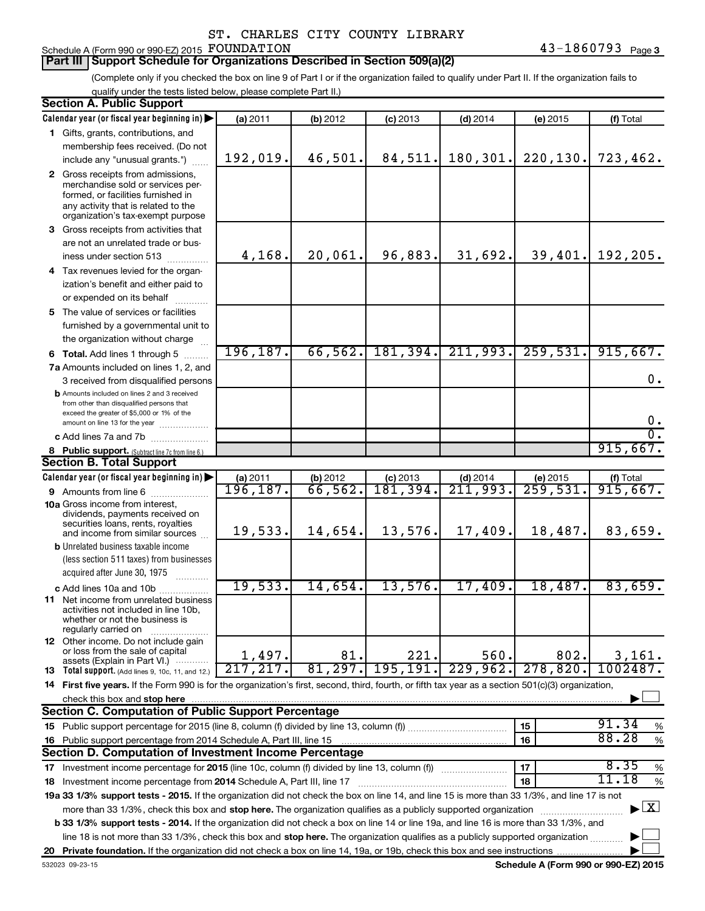## Schedule A (Form 990 or 990-EZ) 2015 FOUNDATION

### **Part III Support Schedule for Organizations Described in Section 509(a)(2)**

(Complete only if you checked the box on line 9 of Part I or if the organization failed to qualify under Part II. If the organization fails to qualify under the tests listed below, please complete Part II.)

| <b>Section A. Public Support</b>                                                                                                                    |           |          |            |            |                        |                                    |
|-----------------------------------------------------------------------------------------------------------------------------------------------------|-----------|----------|------------|------------|------------------------|------------------------------------|
| Calendar year (or fiscal year beginning in)                                                                                                         | (a) 2011  | (b) 2012 | $(c)$ 2013 | $(d)$ 2014 | (e) 2015               | (f) Total                          |
| 1 Gifts, grants, contributions, and                                                                                                                 |           |          |            |            |                        |                                    |
| membership fees received. (Do not                                                                                                                   |           |          |            |            |                        |                                    |
| include any "unusual grants.")                                                                                                                      | 192,019.  | 46,501.  | 84,511.    | 180,301.   | 220, 130.              | 723,462.                           |
| 2 Gross receipts from admissions,                                                                                                                   |           |          |            |            |                        |                                    |
| merchandise sold or services per-                                                                                                                   |           |          |            |            |                        |                                    |
| formed, or facilities furnished in<br>any activity that is related to the                                                                           |           |          |            |            |                        |                                    |
| organization's tax-exempt purpose                                                                                                                   |           |          |            |            |                        |                                    |
| 3 Gross receipts from activities that                                                                                                               |           |          |            |            |                        |                                    |
| are not an unrelated trade or bus-                                                                                                                  |           |          |            |            |                        |                                    |
| iness under section 513                                                                                                                             | 4,168.    | 20,061.  | 96,883.    | 31,692.    |                        | $39,401.$ 192, 205.                |
| 4 Tax revenues levied for the organ-                                                                                                                |           |          |            |            |                        |                                    |
| ization's benefit and either paid to                                                                                                                |           |          |            |            |                        |                                    |
| or expended on its behalf                                                                                                                           |           |          |            |            |                        |                                    |
| 5 The value of services or facilities                                                                                                               |           |          |            |            |                        |                                    |
| furnished by a governmental unit to                                                                                                                 |           |          |            |            |                        |                                    |
| the organization without charge                                                                                                                     |           |          |            |            |                        |                                    |
| <b>6 Total.</b> Add lines 1 through 5                                                                                                               | 196, 187. | 66, 562. | 181, 394.  | 211,993.   | 259,531.               | 915,667.                           |
| 7a Amounts included on lines 1, 2, and                                                                                                              |           |          |            |            |                        |                                    |
| 3 received from disqualified persons                                                                                                                |           |          |            |            |                        | 0.                                 |
| <b>b</b> Amounts included on lines 2 and 3 received                                                                                                 |           |          |            |            |                        |                                    |
| from other than disqualified persons that                                                                                                           |           |          |            |            |                        |                                    |
| exceed the greater of \$5,000 or 1% of the<br>amount on line 13 for the year                                                                        |           |          |            |            |                        | 0.                                 |
| c Add lines 7a and 7b                                                                                                                               |           |          |            |            |                        | $\overline{0}$ .                   |
| 8 Public support. (Subtract line 7c from line 6.)                                                                                                   |           |          |            |            |                        | 915,667.                           |
| <b>Section B. Total Support</b>                                                                                                                     |           |          |            |            |                        |                                    |
| Calendar year (or fiscal year beginning in)                                                                                                         | (a) 2011  | (b) 2012 | $(c)$ 2013 | $(d)$ 2014 | (e) 2015               | (f) Total                          |
| 9 Amounts from line 6                                                                                                                               | 196, 187. | 66,562.  | 181,394.   | 211,993.   | $\overline{259,531}$ . | 915,667.                           |
| <b>10a</b> Gross income from interest,                                                                                                              |           |          |            |            |                        |                                    |
| dividends, payments received on                                                                                                                     |           |          |            |            |                        |                                    |
| securities loans, rents, royalties<br>and income from similar sources                                                                               | 19,533.   | 14,654.  | 13,576.    | 17,409.    | 18,487.                | 83,659.                            |
| <b>b</b> Unrelated business taxable income                                                                                                          |           |          |            |            |                        |                                    |
| (less section 511 taxes) from businesses                                                                                                            |           |          |            |            |                        |                                    |
| acquired after June 30, 1975                                                                                                                        |           |          |            |            |                        |                                    |
| c Add lines 10a and 10b                                                                                                                             | 19,533.   | 14,654.  | 13,576.    | 17,409.    | 18,487.                | 83,659.                            |
| <b>11</b> Net income from unrelated business                                                                                                        |           |          |            |            |                        |                                    |
| activities not included in line 10b,                                                                                                                |           |          |            |            |                        |                                    |
| whether or not the business is                                                                                                                      |           |          |            |            |                        |                                    |
| regularly carried on<br><b>12</b> Other income. Do not include gain                                                                                 |           |          |            |            |                        |                                    |
| or loss from the sale of capital                                                                                                                    | 1,497.    | 81.      | 221.       | 560.       | 802.                   | 3,161.                             |
| assets (Explain in Part VI.)                                                                                                                        | 217, 217. | 81, 297. | 195, 191.  | 229,962.   | 278,820.               | 1002487.                           |
| 13 Total support. (Add lines 9, 10c, 11, and 12.)                                                                                                   |           |          |            |            |                        |                                    |
| 14 First five years. If the Form 990 is for the organization's first, second, third, fourth, or fifth tax year as a section 501(c)(3) organization, |           |          |            |            |                        |                                    |
| check this box and stop here<br><b>Section C. Computation of Public Support Percentage</b>                                                          |           |          |            |            |                        |                                    |
|                                                                                                                                                     |           |          |            |            | 15                     | 91.34                              |
| 15 Public support percentage for 2015 (line 8, column (f) divided by line 13, column (f)                                                            |           |          |            |            |                        | %<br>88.28                         |
| 16 Public support percentage from 2014 Schedule A, Part III, line 15<br>Section D. Computation of Investment Income Percentage                      |           |          |            |            | 16                     | $\%$                               |
|                                                                                                                                                     |           |          |            |            |                        | 8.35                               |
| 17 Investment income percentage for 2015 (line 10c, column (f) divided by line 13, column (f))                                                      |           |          |            |            | 17                     | $\%$<br>11.18                      |
| 18 Investment income percentage from 2014 Schedule A, Part III, line 17                                                                             |           |          |            |            | 18                     | %                                  |
| 19a 33 1/3% support tests - 2015. If the organization did not check the box on line 14, and line 15 is more than 33 1/3%, and line 17 is not        |           |          |            |            |                        | $\blacktriangleright$ $\mathbf{X}$ |
| more than 33 1/3%, check this box and stop here. The organization qualifies as a publicly supported organization                                    |           |          |            |            |                        |                                    |
| b 33 1/3% support tests - 2014. If the organization did not check a box on line 14 or line 19a, and line 16 is more than 33 1/3%, and               |           |          |            |            |                        |                                    |
| line 18 is not more than 33 1/3%, check this box and stop here. The organization qualifies as a publicly supported organization                     |           |          |            |            |                        |                                    |
|                                                                                                                                                     |           |          |            |            |                        |                                    |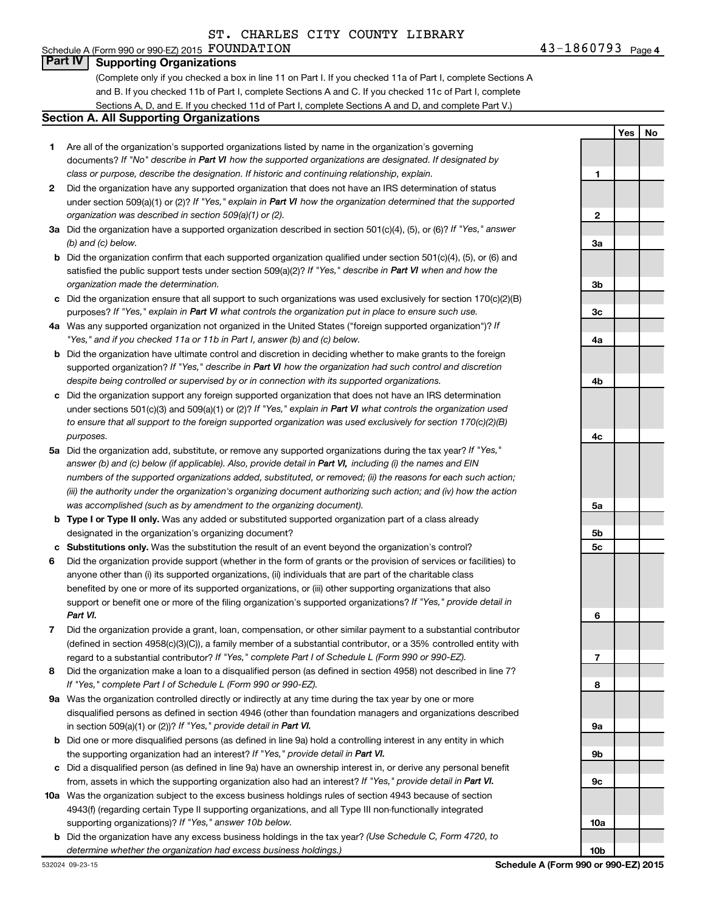### Schedule A (Form 990 or 990-EZ) 2015  ${\rm \bf FOUNDATION} \hspace{2cm} 43-1860793$  Page **Part IV Supporting Organizations**

(Complete only if you checked a box in line 11 on Part I. If you checked 11a of Part I, complete Sections A and B. If you checked 11b of Part I, complete Sections A and C. If you checked 11c of Part I, complete Sections A, D, and E. If you checked 11d of Part I, complete Sections A and D, and complete Part V.)

#### **Section A. All Supporting Organizations**

- **1** Are all of the organization's supported organizations listed by name in the organization's governing documents? If "No" describe in Part VI how the supported organizations are designated. If designated by *class or purpose, describe the designation. If historic and continuing relationship, explain.*
- **2** Did the organization have any supported organization that does not have an IRS determination of status under section 509(a)(1) or (2)? If "Yes," explain in Part VI how the organization determined that the supported *organization was described in section 509(a)(1) or (2).*
- **3a** Did the organization have a supported organization described in section 501(c)(4), (5), or (6)? If "Yes," answer *(b) and (c) below.*
- **b** Did the organization confirm that each supported organization qualified under section 501(c)(4), (5), or (6) and satisfied the public support tests under section 509(a)(2)? If "Yes," describe in Part VI when and how the *organization made the determination.*
- **c** Did the organization ensure that all support to such organizations was used exclusively for section 170(c)(2)(B) purposes? If "Yes," explain in Part VI what controls the organization put in place to ensure such use.
- **4 a** *If* Was any supported organization not organized in the United States ("foreign supported organization")? *"Yes," and if you checked 11a or 11b in Part I, answer (b) and (c) below.*
- **b** Did the organization have ultimate control and discretion in deciding whether to make grants to the foreign supported organization? If "Yes," describe in Part VI how the organization had such control and discretion *despite being controlled or supervised by or in connection with its supported organizations.*
- **c** Did the organization support any foreign supported organization that does not have an IRS determination under sections 501(c)(3) and 509(a)(1) or (2)? If "Yes," explain in Part VI what controls the organization used *to ensure that all support to the foreign supported organization was used exclusively for section 170(c)(2)(B) purposes.*
- **5a** Did the organization add, substitute, or remove any supported organizations during the tax year? If "Yes," answer (b) and (c) below (if applicable). Also, provide detail in Part VI, including (i) the names and EIN *numbers of the supported organizations added, substituted, or removed; (ii) the reasons for each such action; (iii) the authority under the organization's organizing document authorizing such action; and (iv) how the action was accomplished (such as by amendment to the organizing document).*
- **b** Type I or Type II only. Was any added or substituted supported organization part of a class already designated in the organization's organizing document?
- **c Substitutions only.**  Was the substitution the result of an event beyond the organization's control?
- **6** Did the organization provide support (whether in the form of grants or the provision of services or facilities) to support or benefit one or more of the filing organization's supported organizations? If "Yes," provide detail in anyone other than (i) its supported organizations, (ii) individuals that are part of the charitable class benefited by one or more of its supported organizations, or (iii) other supporting organizations that also *Part VI.*
- **7** Did the organization provide a grant, loan, compensation, or other similar payment to a substantial contributor regard to a substantial contributor? If "Yes," complete Part I of Schedule L (Form 990 or 990-EZ). (defined in section 4958(c)(3)(C)), a family member of a substantial contributor, or a 35% controlled entity with
- **8** Did the organization make a loan to a disqualified person (as defined in section 4958) not described in line 7? *If "Yes," complete Part I of Schedule L (Form 990 or 990-EZ).*
- **9 a** Was the organization controlled directly or indirectly at any time during the tax year by one or more in section 509(a)(1) or (2))? If "Yes," provide detail in Part VI. disqualified persons as defined in section 4946 (other than foundation managers and organizations described
- **b** Did one or more disqualified persons (as defined in line 9a) hold a controlling interest in any entity in which the supporting organization had an interest? If "Yes," provide detail in Part VI.
- **c** Did a disqualified person (as defined in line 9a) have an ownership interest in, or derive any personal benefit from, assets in which the supporting organization also had an interest? If "Yes," provide detail in Part VI.
- **10 a** Was the organization subject to the excess business holdings rules of section 4943 because of section supporting organizations)? If "Yes," answer 10b below. 4943(f) (regarding certain Type II supporting organizations, and all Type III non-functionally integrated
- **b** Did the organization have any excess business holdings in the tax year? (Use Schedule C, Form 4720, to *determine whether the organization had excess business holdings.)*

**Yes No 1 2 3a 3b 3c 4a 4b 4c 5a 5b 5c 6 7 8 9a 9b 9c 10a**

**10b**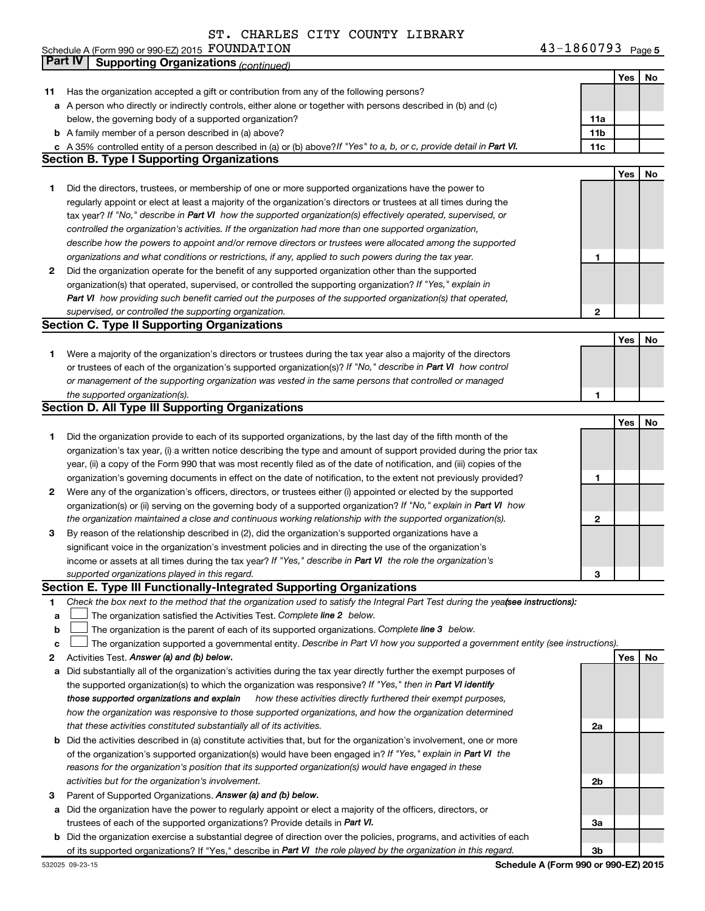Schedule A (Form 990 or 990-EZ) 2015 Page FOUNDATION 43-1860793

|              | Part IV<br><b>Supporting Organizations (continued)</b>                                                                          |                 |     |    |
|--------------|---------------------------------------------------------------------------------------------------------------------------------|-----------------|-----|----|
|              |                                                                                                                                 |                 | Yes | No |
| 11           | Has the organization accepted a gift or contribution from any of the following persons?                                         |                 |     |    |
|              | a A person who directly or indirectly controls, either alone or together with persons described in (b) and (c)                  |                 |     |    |
|              | below, the governing body of a supported organization?                                                                          | 11a             |     |    |
|              | <b>b</b> A family member of a person described in (a) above?                                                                    | 11 <sub>b</sub> |     |    |
|              | c A 35% controlled entity of a person described in (a) or (b) above? If "Yes" to a, b, or c, provide detail in Part VI.         | 11c             |     |    |
|              | <b>Section B. Type I Supporting Organizations</b>                                                                               |                 |     |    |
|              |                                                                                                                                 |                 | Yes | No |
| 1            | Did the directors, trustees, or membership of one or more supported organizations have the power to                             |                 |     |    |
|              | regularly appoint or elect at least a majority of the organization's directors or trustees at all times during the              |                 |     |    |
|              | tax year? If "No," describe in Part VI how the supported organization(s) effectively operated, supervised, or                   |                 |     |    |
|              | controlled the organization's activities. If the organization had more than one supported organization,                         |                 |     |    |
|              | describe how the powers to appoint and/or remove directors or trustees were allocated among the supported                       |                 |     |    |
|              | organizations and what conditions or restrictions, if any, applied to such powers during the tax year.                          | 1               |     |    |
| 2            | Did the organization operate for the benefit of any supported organization other than the supported                             |                 |     |    |
|              | organization(s) that operated, supervised, or controlled the supporting organization? If "Yes," explain in                      |                 |     |    |
|              | Part VI how providing such benefit carried out the purposes of the supported organization(s) that operated,                     |                 |     |    |
|              | supervised, or controlled the supporting organization.                                                                          | 2               |     |    |
|              | <b>Section C. Type II Supporting Organizations</b>                                                                              |                 |     |    |
|              |                                                                                                                                 |                 | Yes | No |
| 1.           | Were a majority of the organization's directors or trustees during the tax year also a majority of the directors                |                 |     |    |
|              | or trustees of each of the organization's supported organization(s)? If "No," describe in Part VI how control                   |                 |     |    |
|              | or management of the supporting organization was vested in the same persons that controlled or managed                          |                 |     |    |
|              | the supported organization(s).                                                                                                  | 1               |     |    |
|              | <b>Section D. All Type III Supporting Organizations</b>                                                                         |                 |     |    |
|              |                                                                                                                                 |                 | Yes | No |
| 1            | Did the organization provide to each of its supported organizations, by the last day of the fifth month of the                  |                 |     |    |
|              | organization's tax year, (i) a written notice describing the type and amount of support provided during the prior tax           |                 |     |    |
|              |                                                                                                                                 |                 |     |    |
|              | year, (ii) a copy of the Form 990 that was most recently filed as of the date of notification, and (iii) copies of the          |                 |     |    |
|              | organization's governing documents in effect on the date of notification, to the extent not previously provided?                | 1               |     |    |
| $\mathbf{2}$ | Were any of the organization's officers, directors, or trustees either (i) appointed or elected by the supported                |                 |     |    |
|              | organization(s) or (ii) serving on the governing body of a supported organization? If "No," explain in Part VI how              |                 |     |    |
|              | the organization maintained a close and continuous working relationship with the supported organization(s).                     | 2               |     |    |
| 3            | By reason of the relationship described in (2), did the organization's supported organizations have a                           |                 |     |    |
|              | significant voice in the organization's investment policies and in directing the use of the organization's                      |                 |     |    |
|              | income or assets at all times during the tax year? If "Yes," describe in Part VI the role the organization's                    |                 |     |    |
|              | supported organizations played in this regard.                                                                                  | 3               |     |    |
|              | Section E. Type III Functionally-Integrated Supporting Organizations                                                            |                 |     |    |
| 1            | Check the box next to the method that the organization used to satisfy the Integral Part Test during the yeafsee instructions): |                 |     |    |
| а            | The organization satisfied the Activities Test. Complete line 2 below.                                                          |                 |     |    |
| b            | The organization is the parent of each of its supported organizations. Complete line 3 below.                                   |                 |     |    |
| с            | The organization supported a governmental entity. Describe in Part VI how you supported a government entity (see instructions). |                 |     |    |
| 2            | Activities Test. Answer (a) and (b) below.                                                                                      |                 | Yes | No |
| а            | Did substantially all of the organization's activities during the tax year directly further the exempt purposes of              |                 |     |    |
|              | the supported organization(s) to which the organization was responsive? If "Yes," then in Part VI identify                      |                 |     |    |
|              | those supported organizations and explain<br>how these activities directly furthered their exempt purposes,                     |                 |     |    |
|              | how the organization was responsive to those supported organizations, and how the organization determined                       |                 |     |    |
|              | that these activities constituted substantially all of its activities.                                                          | 2a              |     |    |
| b            | Did the activities described in (a) constitute activities that, but for the organization's involvement, one or more             |                 |     |    |
|              | of the organization's supported organization(s) would have been engaged in? If "Yes," explain in Part VI the                    |                 |     |    |
|              | reasons for the organization's position that its supported organization(s) would have engaged in these                          |                 |     |    |
|              | activities but for the organization's involvement.                                                                              | 2b              |     |    |
| 3            | Parent of Supported Organizations. Answer (a) and (b) below.                                                                    |                 |     |    |
| а            | Did the organization have the power to regularly appoint or elect a majority of the officers, directors, or                     |                 |     |    |
|              | trustees of each of the supported organizations? Provide details in Part VI.                                                    | За              |     |    |
|              | <b>b</b> Did the organization exercise a substantial degree of direction over the policies, programs, and activities of each    |                 |     |    |
|              | of its supported organizations? If "Yes," describe in Part VI the role played by the organization in this regard.               | 3b              |     |    |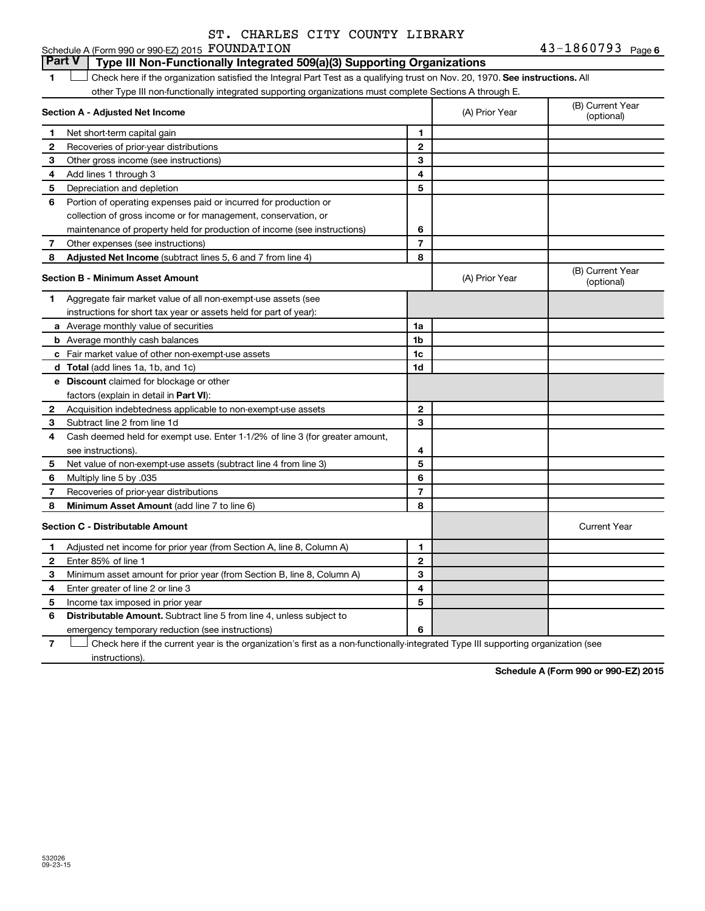43-1860793 Page 6

# Schedule A (Form 990 or 990-EZ) 2015  ${\rm \bf FOUNDATION} \hspace{2cm} 43-1860793$  Page

**Part V Type III Non-Functionally Integrated 509(a)(3) Supporting Organizations** 

1 **Letter on Reck here if the organization satisfied the Integral Part Test as a qualifying trust on Nov. 20, 1970. See instructions. All** other Type III non-functionally integrated supporting organizations must complete Sections A through E.

| Section A - Adjusted Net Income |                                                                              | (A) Prior Year | (B) Current Year<br>(optional) |                                |
|---------------------------------|------------------------------------------------------------------------------|----------------|--------------------------------|--------------------------------|
| 1                               | Net short-term capital gain                                                  | 1              |                                |                                |
| $\mathbf{2}$                    | Recoveries of prior-year distributions                                       | $\mathbf{2}$   |                                |                                |
| З                               | Other gross income (see instructions)                                        | 3              |                                |                                |
| 4                               | Add lines 1 through 3                                                        | 4              |                                |                                |
| 5                               | Depreciation and depletion                                                   | 5              |                                |                                |
| 6                               | Portion of operating expenses paid or incurred for production or             |                |                                |                                |
|                                 | collection of gross income or for management, conservation, or               |                |                                |                                |
|                                 | maintenance of property held for production of income (see instructions)     | 6              |                                |                                |
| 7                               | Other expenses (see instructions)                                            | $\overline{7}$ |                                |                                |
| 8                               | Adjusted Net Income (subtract lines 5, 6 and 7 from line 4)                  | 8              |                                |                                |
|                                 | <b>Section B - Minimum Asset Amount</b>                                      |                | (A) Prior Year                 | (B) Current Year<br>(optional) |
| 1                               | Aggregate fair market value of all non-exempt-use assets (see                |                |                                |                                |
|                                 | instructions for short tax year or assets held for part of year):            |                |                                |                                |
|                                 | <b>a</b> Average monthly value of securities                                 | 1a             |                                |                                |
|                                 | <b>b</b> Average monthly cash balances                                       | 1b             |                                |                                |
|                                 | c Fair market value of other non-exempt-use assets                           | 1c             |                                |                                |
|                                 | d Total (add lines 1a, 1b, and 1c)                                           | 1d             |                                |                                |
|                                 | e Discount claimed for blockage or other                                     |                |                                |                                |
|                                 | factors (explain in detail in Part VI):                                      |                |                                |                                |
| 2                               | Acquisition indebtedness applicable to non-exempt-use assets                 | $\mathbf{2}$   |                                |                                |
| З                               | Subtract line 2 from line 1d                                                 | 3              |                                |                                |
| 4                               | Cash deemed held for exempt use. Enter 1-1/2% of line 3 (for greater amount, |                |                                |                                |
|                                 | see instructions).                                                           | 4              |                                |                                |
| 5                               | Net value of non-exempt-use assets (subtract line 4 from line 3)             | 5              |                                |                                |
| 6                               | Multiply line 5 by .035                                                      | 6              |                                |                                |
| 7                               | Recoveries of prior-year distributions                                       | $\overline{7}$ |                                |                                |
| 8                               | <b>Minimum Asset Amount (add line 7 to line 6)</b>                           | 8              |                                |                                |
|                                 | <b>Section C - Distributable Amount</b>                                      |                |                                | <b>Current Year</b>            |
| $\mathbf{1}$                    | Adjusted net income for prior year (from Section A, line 8, Column A)        | 1              |                                |                                |
| $\mathbf{2}$                    | Enter 85% of line 1                                                          | $\mathbf{2}$   |                                |                                |
| 3                               | Minimum asset amount for prior year (from Section B, line 8, Column A)       | 3              |                                |                                |
| 4                               | Enter greater of line 2 or line 3                                            | 4              |                                |                                |
| 5                               | Income tax imposed in prior year                                             | 5              |                                |                                |
| 6                               | <b>Distributable Amount.</b> Subtract line 5 from line 4, unless subject to  |                |                                |                                |
|                                 | emergency temporary reduction (see instructions)                             | 6              |                                |                                |

**7** Let Check here if the current year is the organization's first as a non-functionally-integrated Type III supporting organization (see instructions).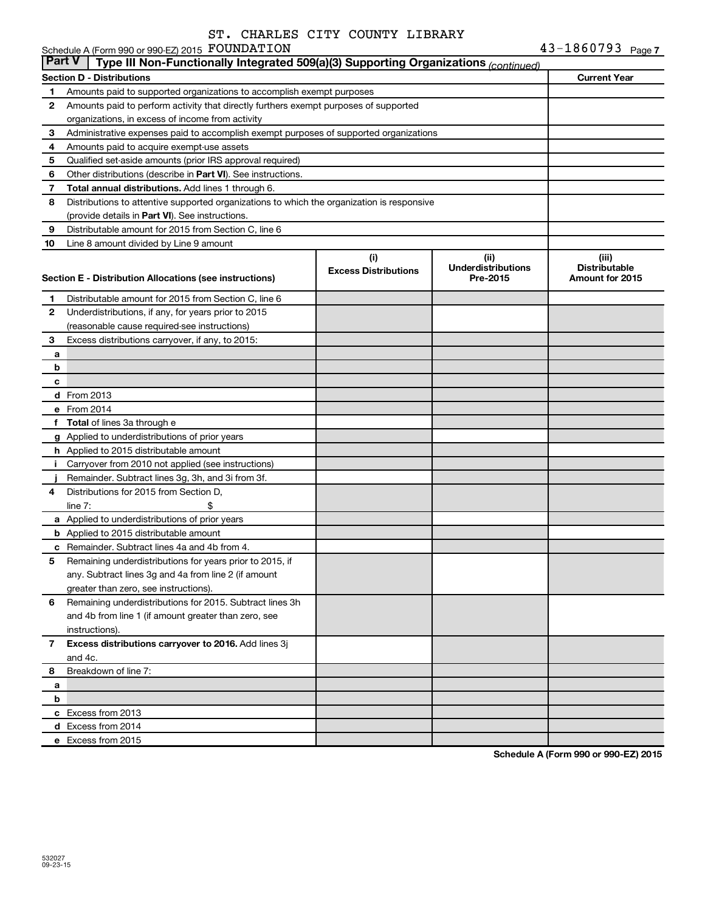|               | Schedule A (Form 990 or 990-EZ) 2015 FOUNDATION                                            |                                    |                                                | 43-1860793 Page 7                                |
|---------------|--------------------------------------------------------------------------------------------|------------------------------------|------------------------------------------------|--------------------------------------------------|
| <b>Part V</b> | Type III Non-Functionally Integrated 509(a)(3) Supporting Organizations (continued)        |                                    |                                                |                                                  |
|               | <b>Section D - Distributions</b>                                                           |                                    |                                                | <b>Current Year</b>                              |
| 1             | Amounts paid to supported organizations to accomplish exempt purposes                      |                                    |                                                |                                                  |
| 2             | Amounts paid to perform activity that directly furthers exempt purposes of supported       |                                    |                                                |                                                  |
|               | organizations, in excess of income from activity                                           |                                    |                                                |                                                  |
| 3             | Administrative expenses paid to accomplish exempt purposes of supported organizations      |                                    |                                                |                                                  |
| 4             | Amounts paid to acquire exempt-use assets                                                  |                                    |                                                |                                                  |
| 5             | Qualified set-aside amounts (prior IRS approval required)                                  |                                    |                                                |                                                  |
| 6             | Other distributions (describe in Part VI). See instructions.                               |                                    |                                                |                                                  |
| 7             | Total annual distributions. Add lines 1 through 6.                                         |                                    |                                                |                                                  |
| 8             | Distributions to attentive supported organizations to which the organization is responsive |                                    |                                                |                                                  |
|               | (provide details in Part VI). See instructions.                                            |                                    |                                                |                                                  |
| 9             | Distributable amount for 2015 from Section C, line 6                                       |                                    |                                                |                                                  |
| 10            | Line 8 amount divided by Line 9 amount                                                     |                                    |                                                |                                                  |
|               | Section E - Distribution Allocations (see instructions)                                    | (i)<br><b>Excess Distributions</b> | (iii)<br><b>Underdistributions</b><br>Pre-2015 | (iii)<br><b>Distributable</b><br>Amount for 2015 |
| 1             | Distributable amount for 2015 from Section C, line 6                                       |                                    |                                                |                                                  |
| 2             | Underdistributions, if any, for years prior to 2015                                        |                                    |                                                |                                                  |
|               | (reasonable cause required-see instructions)                                               |                                    |                                                |                                                  |
| 3             | Excess distributions carryover, if any, to 2015:                                           |                                    |                                                |                                                  |
| a             |                                                                                            |                                    |                                                |                                                  |
| b             |                                                                                            |                                    |                                                |                                                  |
| с             |                                                                                            |                                    |                                                |                                                  |
|               | <b>d</b> From 2013                                                                         |                                    |                                                |                                                  |
|               | e From 2014                                                                                |                                    |                                                |                                                  |
|               | f Total of lines 3a through e                                                              |                                    |                                                |                                                  |
|               | g Applied to underdistributions of prior years                                             |                                    |                                                |                                                  |
|               | <b>h</b> Applied to 2015 distributable amount                                              |                                    |                                                |                                                  |
| j.            | Carryover from 2010 not applied (see instructions)                                         |                                    |                                                |                                                  |
|               | Remainder. Subtract lines 3g, 3h, and 3i from 3f.                                          |                                    |                                                |                                                  |
| 4             | Distributions for 2015 from Section D,                                                     |                                    |                                                |                                                  |
|               | \$<br>line $7:$                                                                            |                                    |                                                |                                                  |
|               | a Applied to underdistributions of prior years                                             |                                    |                                                |                                                  |
|               | <b>b</b> Applied to 2015 distributable amount                                              |                                    |                                                |                                                  |
|               | <b>c</b> Remainder. Subtract lines 4a and 4b from 4.                                       |                                    |                                                |                                                  |
| 5             | Remaining underdistributions for years prior to 2015, if                                   |                                    |                                                |                                                  |
|               | any. Subtract lines 3g and 4a from line 2 (if amount                                       |                                    |                                                |                                                  |
|               | greater than zero, see instructions).                                                      |                                    |                                                |                                                  |
| 6             | Remaining underdistributions for 2015. Subtract lines 3h                                   |                                    |                                                |                                                  |
|               | and 4b from line 1 (if amount greater than zero, see                                       |                                    |                                                |                                                  |
|               | instructions).                                                                             |                                    |                                                |                                                  |
| 7             | Excess distributions carryover to 2016. Add lines 3j                                       |                                    |                                                |                                                  |
|               | and 4c.                                                                                    |                                    |                                                |                                                  |
| 8             | Breakdown of line 7:                                                                       |                                    |                                                |                                                  |
| а             |                                                                                            |                                    |                                                |                                                  |
| b             |                                                                                            |                                    |                                                |                                                  |
|               | c Excess from 2013                                                                         |                                    |                                                |                                                  |
|               | d Excess from 2014                                                                         |                                    |                                                |                                                  |
|               | e Excess from 2015                                                                         |                                    |                                                |                                                  |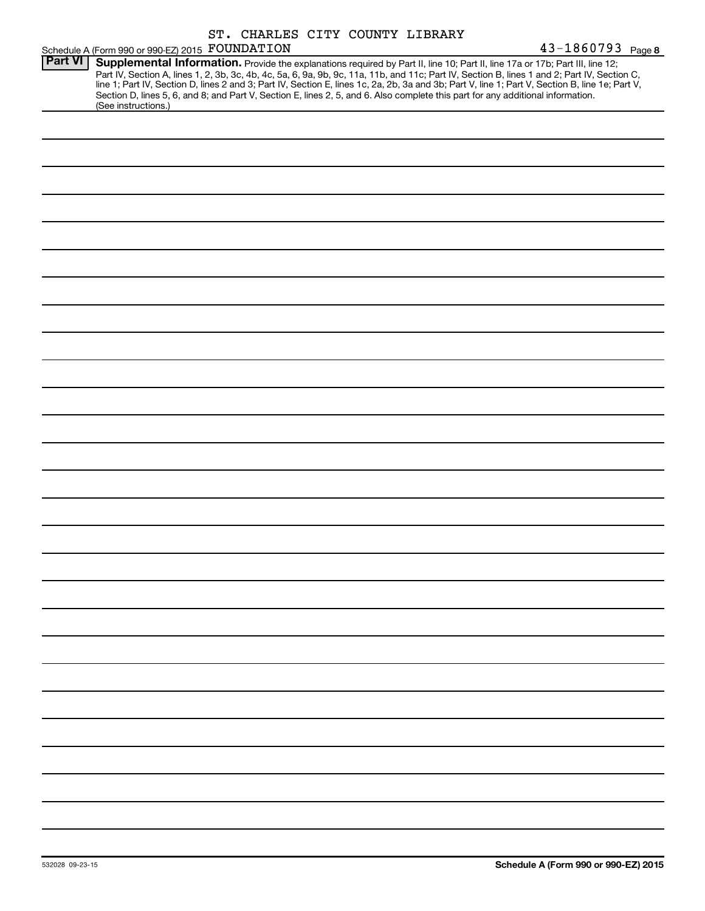|                |                                                 | ST. CHARLES CITY COUNTY LIBRARY |                                                                                                                                                                                                                                                                                                                                                                                                                                                                                                                                                                     |                   |
|----------------|-------------------------------------------------|---------------------------------|---------------------------------------------------------------------------------------------------------------------------------------------------------------------------------------------------------------------------------------------------------------------------------------------------------------------------------------------------------------------------------------------------------------------------------------------------------------------------------------------------------------------------------------------------------------------|-------------------|
|                | Schedule A (Form 990 or 990-EZ) 2015 FOUNDATION |                                 |                                                                                                                                                                                                                                                                                                                                                                                                                                                                                                                                                                     | 43-1860793 Page 8 |
| <b>Part VI</b> | (See instructions.)                             |                                 | Supplemental Information. Provide the explanations required by Part II, line 10; Part II, line 17a or 17b; Part III, line 12;<br>Part IV, Section A, lines 1, 2, 3b, 3c, 4b, 4c, 5a, 6, 9a, 9b, 9c, 11a, 11b, and 11c; Part IV, Section B, lines 1 and 2; Part IV, Section C,<br>line 1; Part IV, Section D, lines 2 and 3; Part IV, Section E, lines 1c, 2a, 2b, 3a and 3b; Part V, line 1; Part V, Section B, line 1e; Part V,<br>Section D, lines 5, 6, and 8; and Part V, Section E, lines 2, 5, and 6. Also complete this part for any additional information. |                   |
|                |                                                 |                                 |                                                                                                                                                                                                                                                                                                                                                                                                                                                                                                                                                                     |                   |
|                |                                                 |                                 |                                                                                                                                                                                                                                                                                                                                                                                                                                                                                                                                                                     |                   |
|                |                                                 |                                 |                                                                                                                                                                                                                                                                                                                                                                                                                                                                                                                                                                     |                   |
|                |                                                 |                                 |                                                                                                                                                                                                                                                                                                                                                                                                                                                                                                                                                                     |                   |
|                |                                                 |                                 |                                                                                                                                                                                                                                                                                                                                                                                                                                                                                                                                                                     |                   |
|                |                                                 |                                 |                                                                                                                                                                                                                                                                                                                                                                                                                                                                                                                                                                     |                   |
|                |                                                 |                                 |                                                                                                                                                                                                                                                                                                                                                                                                                                                                                                                                                                     |                   |
|                |                                                 |                                 |                                                                                                                                                                                                                                                                                                                                                                                                                                                                                                                                                                     |                   |
|                |                                                 |                                 |                                                                                                                                                                                                                                                                                                                                                                                                                                                                                                                                                                     |                   |
|                |                                                 |                                 |                                                                                                                                                                                                                                                                                                                                                                                                                                                                                                                                                                     |                   |
|                |                                                 |                                 |                                                                                                                                                                                                                                                                                                                                                                                                                                                                                                                                                                     |                   |
|                |                                                 |                                 |                                                                                                                                                                                                                                                                                                                                                                                                                                                                                                                                                                     |                   |
|                |                                                 |                                 |                                                                                                                                                                                                                                                                                                                                                                                                                                                                                                                                                                     |                   |
|                |                                                 |                                 |                                                                                                                                                                                                                                                                                                                                                                                                                                                                                                                                                                     |                   |
|                |                                                 |                                 |                                                                                                                                                                                                                                                                                                                                                                                                                                                                                                                                                                     |                   |
|                |                                                 |                                 |                                                                                                                                                                                                                                                                                                                                                                                                                                                                                                                                                                     |                   |
|                |                                                 |                                 |                                                                                                                                                                                                                                                                                                                                                                                                                                                                                                                                                                     |                   |
|                |                                                 |                                 |                                                                                                                                                                                                                                                                                                                                                                                                                                                                                                                                                                     |                   |
|                |                                                 |                                 |                                                                                                                                                                                                                                                                                                                                                                                                                                                                                                                                                                     |                   |
|                |                                                 |                                 |                                                                                                                                                                                                                                                                                                                                                                                                                                                                                                                                                                     |                   |
|                |                                                 |                                 |                                                                                                                                                                                                                                                                                                                                                                                                                                                                                                                                                                     |                   |
|                |                                                 |                                 |                                                                                                                                                                                                                                                                                                                                                                                                                                                                                                                                                                     |                   |
|                |                                                 |                                 |                                                                                                                                                                                                                                                                                                                                                                                                                                                                                                                                                                     |                   |
|                |                                                 |                                 |                                                                                                                                                                                                                                                                                                                                                                                                                                                                                                                                                                     |                   |
|                |                                                 |                                 |                                                                                                                                                                                                                                                                                                                                                                                                                                                                                                                                                                     |                   |
|                |                                                 |                                 |                                                                                                                                                                                                                                                                                                                                                                                                                                                                                                                                                                     |                   |
|                |                                                 |                                 |                                                                                                                                                                                                                                                                                                                                                                                                                                                                                                                                                                     |                   |
|                |                                                 |                                 |                                                                                                                                                                                                                                                                                                                                                                                                                                                                                                                                                                     |                   |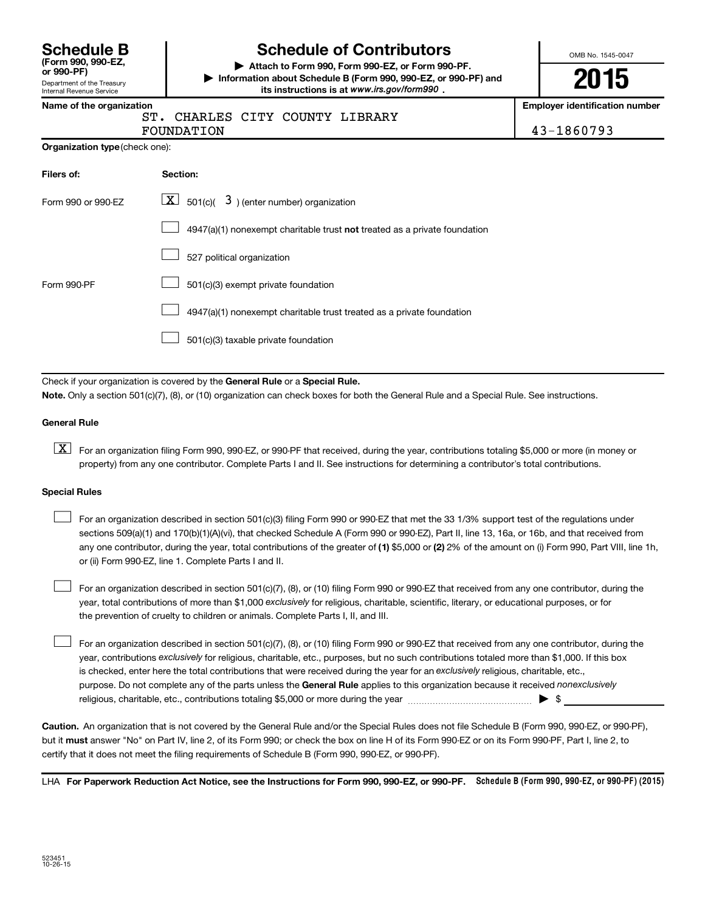| <b>Schedule B</b>  |  |
|--------------------|--|
| (Form 990, 990-EZ, |  |

### Department of the Treasury Internal Revenue Service

# **Schedule of Contributors**

**or 990-PF) | Attach to Form 990, Form 990-EZ, or Form 990-PF. | Information about Schedule B (Form 990, 990-EZ, or 990-PF) and** its instructions is at www.irs.gov/form990.

OMB No. 1545-0047

# **2015**

**Name of the organization Employer identification number**

|  | ST. CHARLES CITY COUN |  |
|--|-----------------------|--|
|  | -----------           |  |

TY LIBRARY FOUNDATION 43-1860793

|  | Organization type (check one): |  |
|--|--------------------------------|--|
|--|--------------------------------|--|

| Filers of:         | Section:                                                                    |
|--------------------|-----------------------------------------------------------------------------|
| Form 990 or 990-EZ | $\boxed{\textbf{X}}$ 501(c)( 3) (enter number) organization                 |
|                    | $4947(a)(1)$ nonexempt charitable trust not treated as a private foundation |
|                    | 527 political organization                                                  |
| Form 990-PF        | 501(c)(3) exempt private foundation                                         |
|                    | 4947(a)(1) nonexempt charitable trust treated as a private foundation       |
|                    | 501(c)(3) taxable private foundation                                        |

Check if your organization is covered by the General Rule or a Special Rule.

**Note.**  Only a section 501(c)(7), (8), or (10) organization can check boxes for both the General Rule and a Special Rule. See instructions.

#### **General Rule**

**K** For an organization filing Form 990, 990-EZ, or 990-PF that received, during the year, contributions totaling \$5,000 or more (in money or property) from any one contributor. Complete Parts I and II. See instructions for determining a contributor's total contributions.

#### **Special Rules**

 $\Box$ 

any one contributor, during the year, total contributions of the greater of **(1)** \$5,000 or **(2)** 2% of the amount on (i) Form 990, Part VIII, line 1h, For an organization described in section 501(c)(3) filing Form 990 or 990-EZ that met the 33 1/3% support test of the regulations under sections 509(a)(1) and 170(b)(1)(A)(vi), that checked Schedule A (Form 990 or 990-EZ), Part II, line 13, 16a, or 16b, and that received from or (ii) Form 990-EZ, line 1. Complete Parts I and II.  $\Box$ 

year, total contributions of more than \$1,000 *exclusively* for religious, charitable, scientific, literary, or educational purposes, or for For an organization described in section 501(c)(7), (8), or (10) filing Form 990 or 990-EZ that received from any one contributor, during the the prevention of cruelty to children or animals. Complete Parts I, II, and III.  $\Box$ 

purpose. Do not complete any of the parts unless the General Rule applies to this organization because it received nonexclusively year, contributions exclusively for religious, charitable, etc., purposes, but no such contributions totaled more than \$1,000. If this box is checked, enter here the total contributions that were received during the year for an exclusively religious, charitable, etc., For an organization described in section 501(c)(7), (8), or (10) filing Form 990 or 990-EZ that received from any one contributor, during the religious, charitable, etc., contributions totaling \$5,000 or more during the year  $\ldots$  $\ldots$  $\ldots$  $\ldots$  $\ldots$  $\ldots$ 

**Caution.** An organization that is not covered by the General Rule and/or the Special Rules does not file Schedule B (Form 990, 990-EZ, or 990-PF),  **must** but it answer "No" on Part IV, line 2, of its Form 990; or check the box on line H of its Form 990-EZ or on its Form 990-PF, Part I, line 2, to certify that it does not meet the filing requirements of Schedule B (Form 990, 990-EZ, or 990-PF).

LHA For Paperwork Reduction Act Notice, see the Instructions for Form 990, 990-EZ, or 990-PF. Schedule B (Form 990, 990-EZ, or 990-PF) (2015)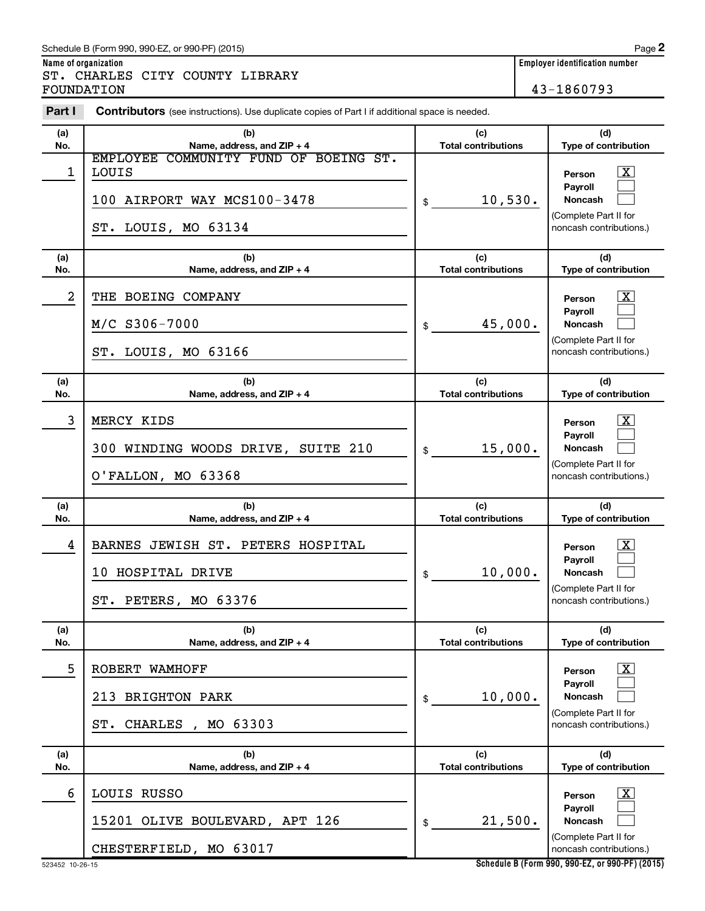### Schedule B (Form 990, 990-EZ, or 990-PF) (2015)

ST. CHARLES CITY COUNTY LIBRARY FOUNDATION 43-1860793

| Part I     | Contributors (see instructions). Use duplicate copies of Part I if additional space is needed. |                                   |                                                                                                                    |  |
|------------|------------------------------------------------------------------------------------------------|-----------------------------------|--------------------------------------------------------------------------------------------------------------------|--|
| (a)        | (b)                                                                                            | (c)                               | (d)                                                                                                                |  |
| No.        | Name, address, and ZIP + 4<br>EMPLOYEE COMMUNITY FUND OF BOEING ST.                            | <b>Total contributions</b>        | Type of contribution                                                                                               |  |
| 1          | <b>LOUIS</b><br>100 AIRPORT WAY MCS100-3478<br>ST. LOUIS, MO 63134                             | 10,530.<br>\$                     | $\overline{\mathbf{X}}$<br>Person<br>Pavroll<br><b>Noncash</b><br>(Complete Part II for<br>noncash contributions.) |  |
| (a)<br>No. | (b)<br>Name, address, and ZIP + 4                                                              | (c)<br><b>Total contributions</b> | (d)<br>Type of contribution                                                                                        |  |
| 2          | THE BOEING COMPANY                                                                             |                                   | $\overline{\mathbf{X}}$<br>Person                                                                                  |  |
|            | M/C S306-7000                                                                                  | 45,000.<br>$\frac{1}{2}$          | Payroll<br><b>Noncash</b>                                                                                          |  |
|            | ST. LOUIS, MO 63166                                                                            |                                   | (Complete Part II for<br>noncash contributions.)                                                                   |  |
| (a)        | (b)                                                                                            | (c)                               | (d)                                                                                                                |  |
| No.        | Name, address, and ZIP + 4                                                                     | <b>Total contributions</b>        | Type of contribution                                                                                               |  |
| 3          | MERCY KIDS<br>300 WINDING WOODS DRIVE, SUITE 210<br>O'FALLON, MO 63368                         | 15,000.<br>\$                     | $\overline{\mathbf{X}}$<br>Person<br>Pavroll<br><b>Noncash</b><br>(Complete Part II for<br>noncash contributions.) |  |
| (a)<br>No. | (b)<br>Name, address, and ZIP + 4                                                              | (c)<br><b>Total contributions</b> | (d)<br>Type of contribution                                                                                        |  |
| 4          | BARNES JEWISH ST. PETERS HOSPITAL<br>10 HOSPITAL DRIVE<br>ST. PETERS, MO 63376                 | 10,000.<br>\$                     | $\overline{\mathbf{X}}$<br>Person<br>Payroll<br><b>Noncash</b><br>(Complete Part II for<br>noncash contributions.) |  |
| (a)<br>No. | (b)<br>Name, address, and ZIP + 4                                                              | (c)<br><b>Total contributions</b> | (d)<br>Type of contribution                                                                                        |  |
| 5          | ROBERT WAMHOFF                                                                                 |                                   | $\overline{\text{X}}$<br>Person                                                                                    |  |
|            | <b>BRIGHTON PARK</b><br>213                                                                    | 10,000.<br>\$                     | Payroll<br>Noncash                                                                                                 |  |
|            | , MO 63303<br>CHARLES<br>ST.                                                                   |                                   | (Complete Part II for<br>noncash contributions.)                                                                   |  |
| (a)<br>No. | (b)<br>Name, address, and ZIP + 4                                                              | (c)<br><b>Total contributions</b> | (d)<br>Type of contribution                                                                                        |  |
| 6          | LOUIS RUSSO                                                                                    |                                   | $\overline{\text{X}}$<br>Person                                                                                    |  |
|            | 15201 OLIVE BOULEVARD, APT 126                                                                 | 21,500.<br>\$                     | Payroll<br><b>Noncash</b>                                                                                          |  |
|            | CHESTERFIELD, MO 63017                                                                         |                                   | (Complete Part II for<br>noncash contributions.)                                                                   |  |

**Schedule B (Form 990, 990-EZ, or 990-PF) (2015)**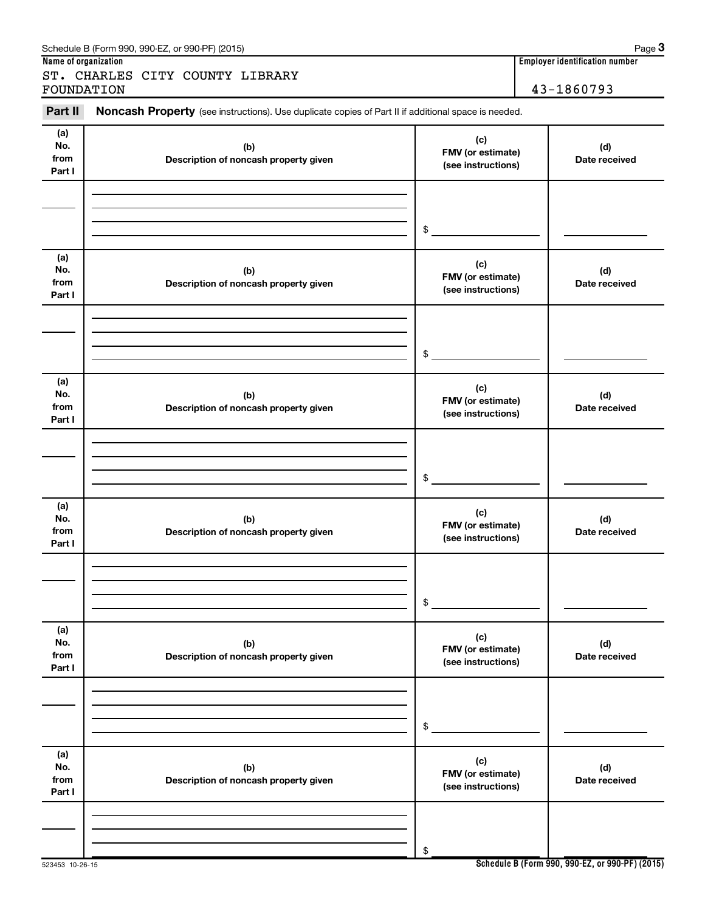| ST. CHARLES CITY COUNTY LIBRARY<br>FOUNDATION | 43-1860793                                                                                          |                                                |                      |
|-----------------------------------------------|-----------------------------------------------------------------------------------------------------|------------------------------------------------|----------------------|
| Part II                                       | Noncash Property (see instructions). Use duplicate copies of Part II if additional space is needed. |                                                |                      |
| (a)<br>No.<br>from<br>Part I                  | (b)<br>Description of noncash property given                                                        | (c)<br>FMV (or estimate)<br>(see instructions) | (d)<br>Date received |
|                                               |                                                                                                     | \$                                             |                      |
| (a)<br>No.<br>from<br>Part I                  | (b)<br>Description of noncash property given                                                        | (c)<br>FMV (or estimate)<br>(see instructions) | (d)<br>Date received |
|                                               |                                                                                                     | \$                                             |                      |
| (a)<br>No.<br>from<br>Part I                  | (b)<br>Description of noncash property given                                                        | (c)<br>FMV (or estimate)<br>(see instructions) | (d)<br>Date received |
|                                               |                                                                                                     | \$                                             |                      |
| (a)<br>No.<br>from<br>Part I                  | (b)<br>Description of noncash property given                                                        | (c)<br>FMV (or estimate)<br>(see instructions) | (d)<br>Date received |
|                                               |                                                                                                     | \$                                             |                      |
| (a)<br>No.                                    | (b)                                                                                                 | (c)<br>FMV (or estimate)                       | (d)                  |

**Name of organization Employer identification number**

**Description of noncash property given**

**(b) Description of noncash property given**

523453 10-26-15

**from Part I**

**(a) No. from Part I** **Date received**

**(d) Date received**

**(see instructions)**

**(c) FMV (or estimate) (see instructions)**

\$

\$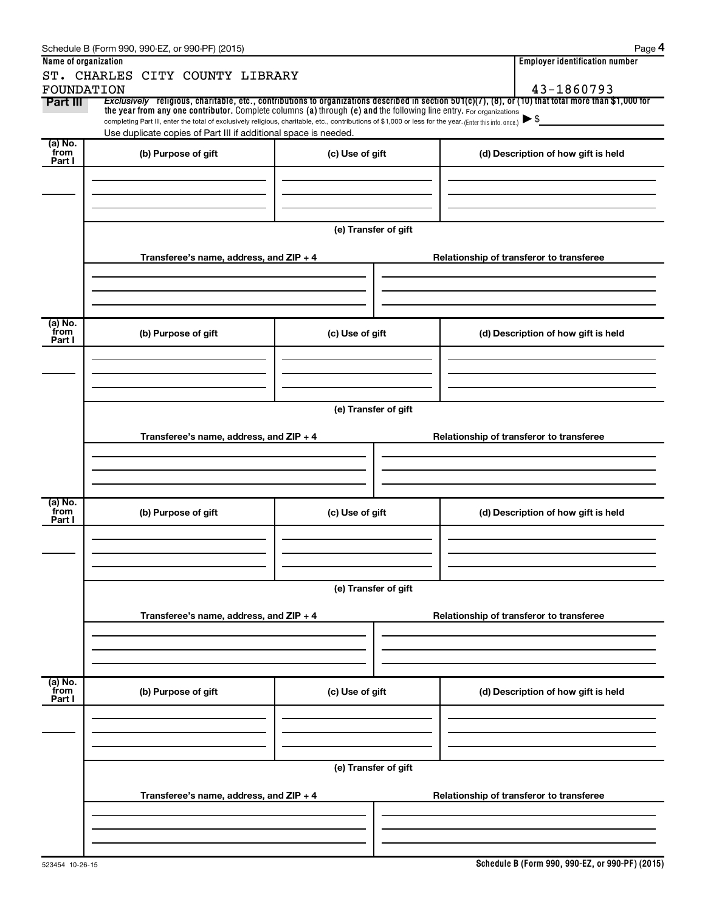|                           | Schedule B (Form 990, 990-EZ, or 990-PF) (2015)                                                                                                                                                                             |                      | Page 4                                                                                                                                                              |  |  |  |
|---------------------------|-----------------------------------------------------------------------------------------------------------------------------------------------------------------------------------------------------------------------------|----------------------|---------------------------------------------------------------------------------------------------------------------------------------------------------------------|--|--|--|
| Name of organization      |                                                                                                                                                                                                                             |                      | <b>Employer identification number</b>                                                                                                                               |  |  |  |
|                           | ST. CHARLES CITY COUNTY LIBRARY                                                                                                                                                                                             |                      |                                                                                                                                                                     |  |  |  |
| FOUNDATION<br>Part III    | the year from any one contributor. Complete columns (a) through (e) and the following line entry. For organizations                                                                                                         |                      | 43-1860793<br>Exclusively religious, charitable, etc., contributions to organizations described in section 501(c)(7), (8), or (10) that total more than \$1,000 for |  |  |  |
|                           | completing Part III, enter the total of exclusively religious, charitable, etc., contributions of \$1,000 or less for the year. (Enter this info. once.)<br>Use duplicate copies of Part III if additional space is needed. |                      | $\blacktriangleright$ \$                                                                                                                                            |  |  |  |
| (a) No.                   |                                                                                                                                                                                                                             |                      |                                                                                                                                                                     |  |  |  |
| from<br>Part I            | (b) Purpose of gift                                                                                                                                                                                                         | (c) Use of gift      | (d) Description of how gift is held                                                                                                                                 |  |  |  |
|                           |                                                                                                                                                                                                                             |                      |                                                                                                                                                                     |  |  |  |
|                           |                                                                                                                                                                                                                             |                      |                                                                                                                                                                     |  |  |  |
|                           |                                                                                                                                                                                                                             |                      |                                                                                                                                                                     |  |  |  |
|                           |                                                                                                                                                                                                                             |                      |                                                                                                                                                                     |  |  |  |
|                           |                                                                                                                                                                                                                             | (e) Transfer of gift |                                                                                                                                                                     |  |  |  |
|                           | Transferee's name, address, and ZIP + 4                                                                                                                                                                                     |                      | Relationship of transferor to transferee                                                                                                                            |  |  |  |
|                           |                                                                                                                                                                                                                             |                      |                                                                                                                                                                     |  |  |  |
|                           |                                                                                                                                                                                                                             |                      |                                                                                                                                                                     |  |  |  |
|                           |                                                                                                                                                                                                                             |                      |                                                                                                                                                                     |  |  |  |
| (a) No.                   |                                                                                                                                                                                                                             |                      |                                                                                                                                                                     |  |  |  |
| from<br>Part I            | (b) Purpose of gift                                                                                                                                                                                                         | (c) Use of gift      | (d) Description of how gift is held                                                                                                                                 |  |  |  |
|                           |                                                                                                                                                                                                                             |                      |                                                                                                                                                                     |  |  |  |
|                           |                                                                                                                                                                                                                             |                      |                                                                                                                                                                     |  |  |  |
|                           |                                                                                                                                                                                                                             |                      |                                                                                                                                                                     |  |  |  |
|                           |                                                                                                                                                                                                                             |                      |                                                                                                                                                                     |  |  |  |
|                           | (e) Transfer of gift                                                                                                                                                                                                        |                      |                                                                                                                                                                     |  |  |  |
|                           | Transferee's name, address, and ZIP + 4                                                                                                                                                                                     |                      | Relationship of transferor to transferee                                                                                                                            |  |  |  |
|                           |                                                                                                                                                                                                                             |                      |                                                                                                                                                                     |  |  |  |
|                           |                                                                                                                                                                                                                             |                      |                                                                                                                                                                     |  |  |  |
|                           |                                                                                                                                                                                                                             |                      |                                                                                                                                                                     |  |  |  |
| (a) No.                   |                                                                                                                                                                                                                             |                      |                                                                                                                                                                     |  |  |  |
| from<br>Part I            | (b) Purpose of gift                                                                                                                                                                                                         | (c) Use of gift      | (d) Description of how gift is held                                                                                                                                 |  |  |  |
|                           |                                                                                                                                                                                                                             |                      |                                                                                                                                                                     |  |  |  |
|                           |                                                                                                                                                                                                                             |                      |                                                                                                                                                                     |  |  |  |
|                           |                                                                                                                                                                                                                             |                      |                                                                                                                                                                     |  |  |  |
|                           |                                                                                                                                                                                                                             |                      |                                                                                                                                                                     |  |  |  |
|                           |                                                                                                                                                                                                                             | (e) Transfer of gift |                                                                                                                                                                     |  |  |  |
|                           | Transferee's name, address, and ZIP + 4                                                                                                                                                                                     |                      | Relationship of transferor to transferee                                                                                                                            |  |  |  |
|                           |                                                                                                                                                                                                                             |                      |                                                                                                                                                                     |  |  |  |
|                           |                                                                                                                                                                                                                             |                      |                                                                                                                                                                     |  |  |  |
|                           |                                                                                                                                                                                                                             |                      |                                                                                                                                                                     |  |  |  |
|                           |                                                                                                                                                                                                                             |                      |                                                                                                                                                                     |  |  |  |
| (a) No.<br>from<br>Part I | (b) Purpose of gift                                                                                                                                                                                                         | (c) Use of gift      | (d) Description of how gift is held                                                                                                                                 |  |  |  |
|                           |                                                                                                                                                                                                                             |                      |                                                                                                                                                                     |  |  |  |
|                           |                                                                                                                                                                                                                             |                      |                                                                                                                                                                     |  |  |  |
|                           |                                                                                                                                                                                                                             |                      |                                                                                                                                                                     |  |  |  |
|                           |                                                                                                                                                                                                                             |                      |                                                                                                                                                                     |  |  |  |
|                           |                                                                                                                                                                                                                             | (e) Transfer of gift |                                                                                                                                                                     |  |  |  |
|                           | Transferee's name, address, and ZIP + 4                                                                                                                                                                                     |                      | Relationship of transferor to transferee                                                                                                                            |  |  |  |
|                           |                                                                                                                                                                                                                             |                      |                                                                                                                                                                     |  |  |  |
|                           |                                                                                                                                                                                                                             |                      |                                                                                                                                                                     |  |  |  |
|                           |                                                                                                                                                                                                                             |                      |                                                                                                                                                                     |  |  |  |
|                           |                                                                                                                                                                                                                             |                      |                                                                                                                                                                     |  |  |  |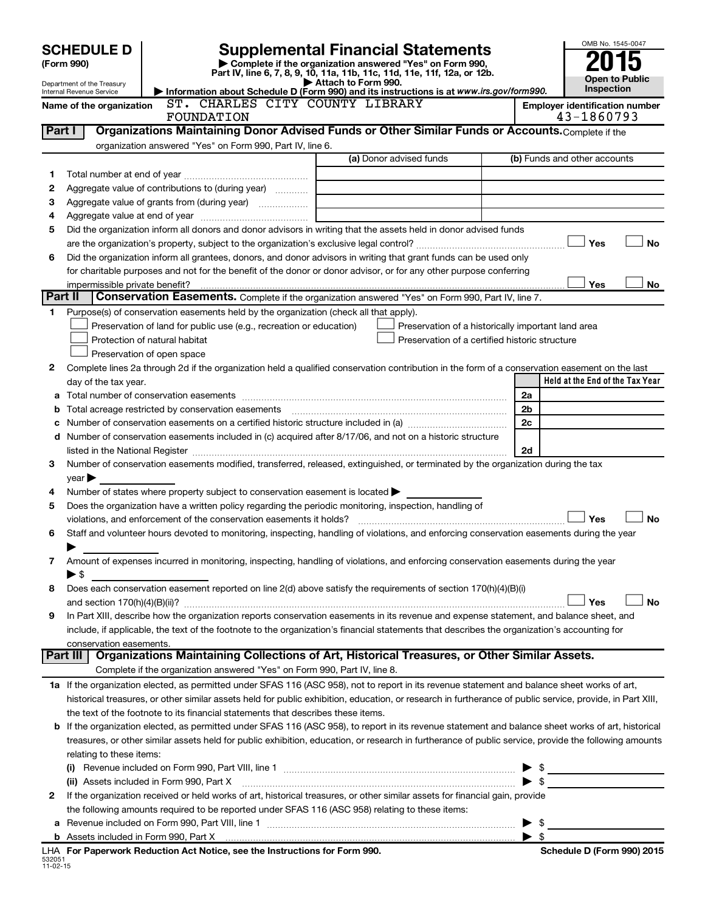|                                                                                                                                              |                                                      |                                                                                                        |                                                                                                                                                                                                                               |                          | OMB No. 1545-0047                     |
|----------------------------------------------------------------------------------------------------------------------------------------------|------------------------------------------------------|--------------------------------------------------------------------------------------------------------|-------------------------------------------------------------------------------------------------------------------------------------------------------------------------------------------------------------------------------|--------------------------|---------------------------------------|
|                                                                                                                                              | <b>SCHEDULE D</b>                                    |                                                                                                        | <b>Supplemental Financial Statements</b>                                                                                                                                                                                      |                          |                                       |
|                                                                                                                                              | (Form 990)                                           |                                                                                                        | Complete if the organization answered "Yes" on Form 990,<br>Part IV, line 6, 7, 8, 9, 10, 11a, 11b, 11c, 11d, 11e, 11f, 12a, or 12b.                                                                                          |                          |                                       |
| Attach to Form 990.<br>Department of the Treasury<br>Information about Schedule D (Form 990) and its instructions is at www.irs.gov/form990. |                                                      |                                                                                                        |                                                                                                                                                                                                                               |                          | <b>Open to Public</b><br>Inspection   |
|                                                                                                                                              | Internal Revenue Service<br>Name of the organization | ST. CHARLES CITY COUNTY LIBRARY                                                                        |                                                                                                                                                                                                                               |                          | <b>Employer identification number</b> |
|                                                                                                                                              |                                                      | FOUNDATION                                                                                             |                                                                                                                                                                                                                               |                          | 43-1860793                            |
|                                                                                                                                              | Part I                                               |                                                                                                        | Organizations Maintaining Donor Advised Funds or Other Similar Funds or Accounts. Complete if the                                                                                                                             |                          |                                       |
|                                                                                                                                              |                                                      | organization answered "Yes" on Form 990, Part IV, line 6.                                              |                                                                                                                                                                                                                               |                          |                                       |
|                                                                                                                                              |                                                      |                                                                                                        | (a) Donor advised funds                                                                                                                                                                                                       |                          | (b) Funds and other accounts          |
| 1                                                                                                                                            |                                                      |                                                                                                        |                                                                                                                                                                                                                               |                          |                                       |
| 2                                                                                                                                            |                                                      | Aggregate value of contributions to (during year)                                                      |                                                                                                                                                                                                                               |                          |                                       |
| з                                                                                                                                            |                                                      |                                                                                                        | the control of the control of the control of the control of the control of                                                                                                                                                    |                          |                                       |
| 4                                                                                                                                            |                                                      |                                                                                                        | Did the organization inform all donors and donor advisors in writing that the assets held in donor advised funds                                                                                                              |                          |                                       |
| 5                                                                                                                                            |                                                      |                                                                                                        |                                                                                                                                                                                                                               |                          | Yes<br>No                             |
| 6                                                                                                                                            |                                                      |                                                                                                        | Did the organization inform all grantees, donors, and donor advisors in writing that grant funds can be used only                                                                                                             |                          |                                       |
|                                                                                                                                              |                                                      |                                                                                                        | for charitable purposes and not for the benefit of the donor or donor advisor, or for any other purpose conferring                                                                                                            |                          |                                       |
|                                                                                                                                              | impermissible private benefit?                       |                                                                                                        |                                                                                                                                                                                                                               |                          | Yes<br>No                             |
| Part II                                                                                                                                      |                                                      |                                                                                                        | Conservation Easements. Complete if the organization answered "Yes" on Form 990, Part IV, line 7.                                                                                                                             |                          |                                       |
| 1.                                                                                                                                           |                                                      | Purpose(s) of conservation easements held by the organization (check all that apply).                  |                                                                                                                                                                                                                               |                          |                                       |
|                                                                                                                                              |                                                      | Preservation of land for public use (e.g., recreation or education)                                    | Preservation of a historically important land area                                                                                                                                                                            |                          |                                       |
|                                                                                                                                              |                                                      | Protection of natural habitat                                                                          | Preservation of a certified historic structure                                                                                                                                                                                |                          |                                       |
|                                                                                                                                              |                                                      | Preservation of open space                                                                             |                                                                                                                                                                                                                               |                          |                                       |
| 2                                                                                                                                            |                                                      |                                                                                                        | Complete lines 2a through 2d if the organization held a qualified conservation contribution in the form of a conservation easement on the last                                                                                |                          |                                       |
|                                                                                                                                              | day of the tax year.                                 |                                                                                                        |                                                                                                                                                                                                                               |                          | Held at the End of the Tax Year       |
| а                                                                                                                                            |                                                      |                                                                                                        |                                                                                                                                                                                                                               | 2a                       |                                       |
| b                                                                                                                                            |                                                      | Total acreage restricted by conservation easements                                                     |                                                                                                                                                                                                                               | 2b                       |                                       |
| c                                                                                                                                            |                                                      |                                                                                                        |                                                                                                                                                                                                                               | 2c                       |                                       |
|                                                                                                                                              |                                                      |                                                                                                        | d Number of conservation easements included in (c) acquired after 8/17/06, and not on a historic structure                                                                                                                    |                          |                                       |
|                                                                                                                                              |                                                      |                                                                                                        | listed in the National Register [111] Marshall Register [11] Marshall Register [11] Marshall Register [11] Marshall Register [11] Marshall Register [11] Marshall Register [11] Marshall Register [11] Marshall Register [11] | 2d                       |                                       |
| З                                                                                                                                            | $year \blacktriangleright$                           |                                                                                                        | Number of conservation easements modified, transferred, released, extinguished, or terminated by the organization during the tax                                                                                              |                          |                                       |
| 4                                                                                                                                            |                                                      | Number of states where property subject to conservation easement is located >                          |                                                                                                                                                                                                                               |                          |                                       |
| 5                                                                                                                                            |                                                      | Does the organization have a written policy regarding the periodic monitoring, inspection, handling of |                                                                                                                                                                                                                               |                          |                                       |
|                                                                                                                                              |                                                      | violations, and enforcement of the conservation easements it holds?                                    |                                                                                                                                                                                                                               |                          | Yes<br>No                             |
| 6                                                                                                                                            |                                                      |                                                                                                        | Staff and volunteer hours devoted to monitoring, inspecting, handling of violations, and enforcing conservation easements during the year                                                                                     |                          |                                       |
|                                                                                                                                              |                                                      |                                                                                                        |                                                                                                                                                                                                                               |                          |                                       |
| 7                                                                                                                                            |                                                      |                                                                                                        | Amount of expenses incurred in monitoring, inspecting, handling of violations, and enforcing conservation easements during the year                                                                                           |                          |                                       |
|                                                                                                                                              | $\blacktriangleright$ \$                             |                                                                                                        |                                                                                                                                                                                                                               |                          |                                       |
| 8                                                                                                                                            |                                                      |                                                                                                        | Does each conservation easement reported on line 2(d) above satisfy the requirements of section 170(h)(4)(B)(i)                                                                                                               |                          |                                       |
|                                                                                                                                              |                                                      |                                                                                                        |                                                                                                                                                                                                                               |                          | Yes<br><b>No</b>                      |
| 9                                                                                                                                            |                                                      |                                                                                                        | In Part XIII, describe how the organization reports conservation easements in its revenue and expense statement, and balance sheet, and                                                                                       |                          |                                       |
|                                                                                                                                              |                                                      |                                                                                                        | include, if applicable, the text of the footnote to the organization's financial statements that describes the organization's accounting for                                                                                  |                          |                                       |
|                                                                                                                                              | conservation easements.                              |                                                                                                        | Part III   Organizations Maintaining Collections of Art, Historical Treasures, or Other Similar Assets.                                                                                                                       |                          |                                       |
|                                                                                                                                              |                                                      | Complete if the organization answered "Yes" on Form 990, Part IV, line 8.                              |                                                                                                                                                                                                                               |                          |                                       |
|                                                                                                                                              |                                                      |                                                                                                        | 1a If the organization elected, as permitted under SFAS 116 (ASC 958), not to report in its revenue statement and balance sheet works of art,                                                                                 |                          |                                       |
|                                                                                                                                              |                                                      |                                                                                                        | historical treasures, or other similar assets held for public exhibition, education, or research in furtherance of public service, provide, in Part XIII,                                                                     |                          |                                       |
|                                                                                                                                              |                                                      | the text of the footnote to its financial statements that describes these items.                       |                                                                                                                                                                                                                               |                          |                                       |
| b                                                                                                                                            |                                                      |                                                                                                        | If the organization elected, as permitted under SFAS 116 (ASC 958), to report in its revenue statement and balance sheet works of art, historical                                                                             |                          |                                       |
|                                                                                                                                              |                                                      |                                                                                                        | treasures, or other similar assets held for public exhibition, education, or research in furtherance of public service, provide the following amounts                                                                         |                          |                                       |
|                                                                                                                                              | relating to these items:                             |                                                                                                        |                                                                                                                                                                                                                               |                          |                                       |
|                                                                                                                                              |                                                      |                                                                                                        |                                                                                                                                                                                                                               |                          | $\blacktriangleright$ \$              |
|                                                                                                                                              |                                                      |                                                                                                        |                                                                                                                                                                                                                               | $\blacktriangleright$ \$ |                                       |
| 2                                                                                                                                            |                                                      |                                                                                                        | If the organization received or held works of art, historical treasures, or other similar assets for financial gain, provide                                                                                                  |                          |                                       |
|                                                                                                                                              |                                                      | the following amounts required to be reported under SFAS 116 (ASC 958) relating to these items:        |                                                                                                                                                                                                                               |                          |                                       |
|                                                                                                                                              |                                                      |                                                                                                        |                                                                                                                                                                                                                               | $\blacktriangleright$ \$ |                                       |
|                                                                                                                                              |                                                      |                                                                                                        |                                                                                                                                                                                                                               |                          |                                       |

|                          |  |  | LHA For Paperwork Reduction Act Notice, see the Instructions for Form 990. |
|--------------------------|--|--|----------------------------------------------------------------------------|
| 532051<br>$11 - 02 - 15$ |  |  |                                                                            |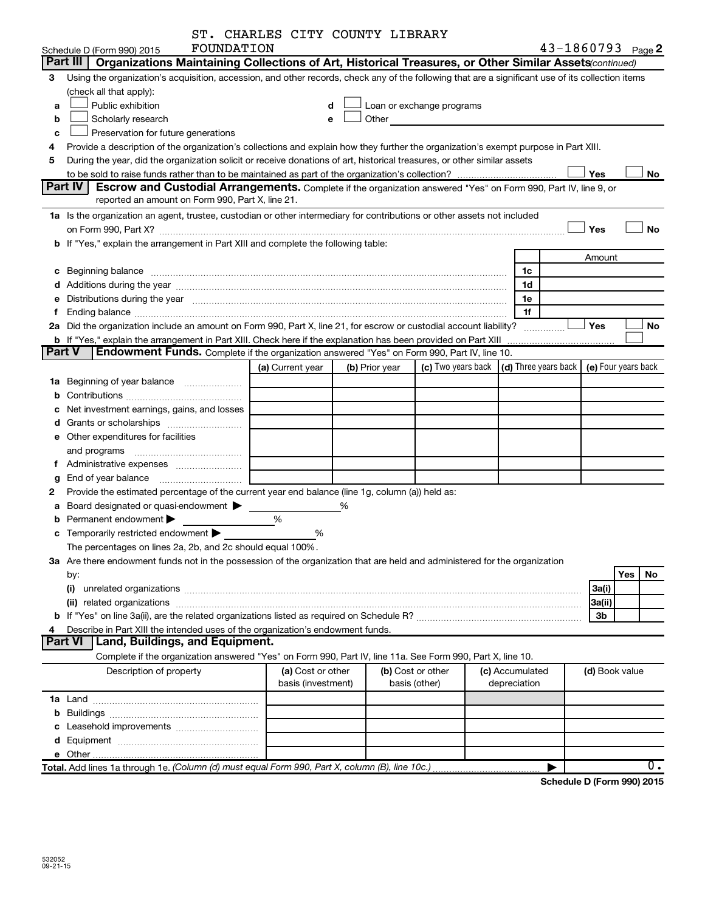|   | FOUNDATION<br>Schedule D (Form 990) 2015                                                                                                                                                                                       | ST. CHARLES CITY COUNTY LIBRARY         |   |                |                                    |                                 | 43-1860793 Page 2                            |                                     |                  |
|---|--------------------------------------------------------------------------------------------------------------------------------------------------------------------------------------------------------------------------------|-----------------------------------------|---|----------------|------------------------------------|---------------------------------|----------------------------------------------|-------------------------------------|------------------|
|   | <b>Part III</b><br>Organizations Maintaining Collections of Art, Historical Treasures, or Other Similar Assets(continued)                                                                                                      |                                         |   |                |                                    |                                 |                                              |                                     |                  |
| 3 | Using the organization's acquisition, accession, and other records, check any of the following that are a significant use of its collection items                                                                              |                                         |   |                |                                    |                                 |                                              |                                     |                  |
|   | (check all that apply):                                                                                                                                                                                                        |                                         |   |                |                                    |                                 |                                              |                                     |                  |
| a | Public exhibition                                                                                                                                                                                                              | d                                       |   |                | Loan or exchange programs          |                                 |                                              |                                     |                  |
|   |                                                                                                                                                                                                                                | e                                       |   |                |                                    |                                 |                                              |                                     |                  |
| b | Scholarly research                                                                                                                                                                                                             |                                         |   |                |                                    |                                 |                                              |                                     |                  |
| c | Preservation for future generations                                                                                                                                                                                            |                                         |   |                |                                    |                                 |                                              |                                     |                  |
| 4 | Provide a description of the organization's collections and explain how they further the organization's exempt purpose in Part XIII.                                                                                           |                                         |   |                |                                    |                                 |                                              |                                     |                  |
| 5 | During the year, did the organization solicit or receive donations of art, historical treasures, or other similar assets                                                                                                       |                                         |   |                |                                    |                                 | Yes                                          |                                     | No               |
|   | Part IV  <br><b>Escrow and Custodial Arrangements.</b> Complete if the organization answered "Yes" on Form 990, Part IV, line 9, or<br>reported an amount on Form 990, Part X, line 21.                                        |                                         |   |                |                                    |                                 |                                              |                                     |                  |
|   | 1a Is the organization an agent, trustee, custodian or other intermediary for contributions or other assets not included                                                                                                       |                                         |   |                |                                    |                                 |                                              |                                     |                  |
|   |                                                                                                                                                                                                                                |                                         |   |                |                                    |                                 | Yes                                          |                                     | <b>No</b>        |
|   | b If "Yes," explain the arrangement in Part XIII and complete the following table:                                                                                                                                             |                                         |   |                |                                    |                                 |                                              |                                     |                  |
|   |                                                                                                                                                                                                                                |                                         |   |                |                                    |                                 | Amount                                       |                                     |                  |
|   |                                                                                                                                                                                                                                |                                         |   |                |                                    | 1c                              |                                              |                                     |                  |
| с | Beginning balance <b>contract to the contract of the contract of the contract of the contract of the contract of t</b>                                                                                                         |                                         |   |                |                                    | 1d                              |                                              |                                     |                  |
|   |                                                                                                                                                                                                                                |                                         |   |                |                                    | 1e                              |                                              |                                     |                  |
|   | e Distributions during the year measurement contains and the state of the state of the state of the state of the state of the state of the state of the state of the state of the state of the state of the state of the state |                                         |   |                |                                    | 1f                              |                                              |                                     |                  |
|   | 2a Did the organization include an amount on Form 990, Part X, line 21, for escrow or custodial account liability?                                                                                                             |                                         |   |                |                                    |                                 | Yes                                          |                                     | No               |
|   |                                                                                                                                                                                                                                |                                         |   |                |                                    |                                 |                                              |                                     |                  |
|   | b If "Yes," explain the arrangement in Part XIII. Check here if the explanation has been provided on Part XIII<br><b>Part V</b><br>Endowment Funds. Complete if the organization answered "Yes" on Form 990, Part IV, line 10. |                                         |   |                |                                    |                                 |                                              |                                     |                  |
|   |                                                                                                                                                                                                                                |                                         |   |                |                                    |                                 |                                              |                                     |                  |
|   |                                                                                                                                                                                                                                | (a) Current year                        |   | (b) Prior year | (c) Two years back                 |                                 | (d) Three years back $ $ (e) Four years back |                                     |                  |
|   | 1a Beginning of year balance                                                                                                                                                                                                   |                                         |   |                |                                    |                                 |                                              |                                     |                  |
| b |                                                                                                                                                                                                                                |                                         |   |                |                                    |                                 |                                              |                                     |                  |
| с | Net investment earnings, gains, and losses                                                                                                                                                                                     |                                         |   |                |                                    |                                 |                                              |                                     |                  |
|   |                                                                                                                                                                                                                                |                                         |   |                |                                    |                                 |                                              |                                     |                  |
|   | e Other expenditures for facilities                                                                                                                                                                                            |                                         |   |                |                                    |                                 |                                              |                                     |                  |
|   | and programs                                                                                                                                                                                                                   |                                         |   |                |                                    |                                 |                                              |                                     |                  |
|   |                                                                                                                                                                                                                                |                                         |   |                |                                    |                                 |                                              |                                     |                  |
| g |                                                                                                                                                                                                                                |                                         |   |                |                                    |                                 |                                              |                                     |                  |
| 2 | Provide the estimated percentage of the current year end balance (line 1g, column (a)) held as:                                                                                                                                |                                         |   |                |                                    |                                 |                                              |                                     |                  |
| a | Board designated or quasi-endowment                                                                                                                                                                                            |                                         | % |                |                                    |                                 |                                              |                                     |                  |
|   | Permanent endowment                                                                                                                                                                                                            | $\frac{0}{0}$                           |   |                |                                    |                                 |                                              |                                     |                  |
|   | <b>c</b> Temporarily restricted endowment $\blacktriangleright$                                                                                                                                                                | %                                       |   |                |                                    |                                 |                                              |                                     |                  |
|   | The percentages on lines 2a, 2b, and 2c should equal 100%.                                                                                                                                                                     |                                         |   |                |                                    |                                 |                                              |                                     |                  |
|   | 3a Are there endowment funds not in the possession of the organization that are held and administered for the organization                                                                                                     |                                         |   |                |                                    |                                 |                                              |                                     |                  |
|   | by:                                                                                                                                                                                                                            |                                         |   |                |                                    |                                 |                                              | Yes                                 | No               |
|   | (i)                                                                                                                                                                                                                            |                                         |   |                |                                    |                                 | 3a(i)                                        |                                     |                  |
|   |                                                                                                                                                                                                                                |                                         |   |                |                                    |                                 | 3a(ii)                                       |                                     |                  |
|   |                                                                                                                                                                                                                                |                                         |   |                |                                    |                                 | 3b                                           |                                     |                  |
| 4 | Describe in Part XIII the intended uses of the organization's endowment funds.                                                                                                                                                 |                                         |   |                |                                    |                                 |                                              |                                     |                  |
|   | <b>Part VI</b><br>Land, Buildings, and Equipment.                                                                                                                                                                              |                                         |   |                |                                    |                                 |                                              |                                     |                  |
|   | Complete if the organization answered "Yes" on Form 990, Part IV, line 11a. See Form 990, Part X, line 10.                                                                                                                     |                                         |   |                |                                    |                                 |                                              |                                     |                  |
|   | Description of property                                                                                                                                                                                                        | (a) Cost or other<br>basis (investment) |   |                | (b) Cost or other<br>basis (other) | (c) Accumulated<br>depreciation |                                              | (d) Book value                      |                  |
|   |                                                                                                                                                                                                                                |                                         |   |                |                                    |                                 |                                              |                                     |                  |
|   |                                                                                                                                                                                                                                |                                         |   |                |                                    |                                 |                                              |                                     |                  |
|   |                                                                                                                                                                                                                                |                                         |   |                |                                    |                                 |                                              |                                     |                  |
|   |                                                                                                                                                                                                                                |                                         |   |                |                                    |                                 |                                              |                                     |                  |
|   |                                                                                                                                                                                                                                |                                         |   |                |                                    |                                 |                                              |                                     |                  |
|   |                                                                                                                                                                                                                                |                                         |   |                |                                    |                                 |                                              |                                     | $\overline{0}$ . |
|   |                                                                                                                                                                                                                                |                                         |   |                |                                    |                                 |                                              | <b>D.</b> (Fauthorness, 2001, 2001) |                  |

**Schedule D (Form 990) 2015**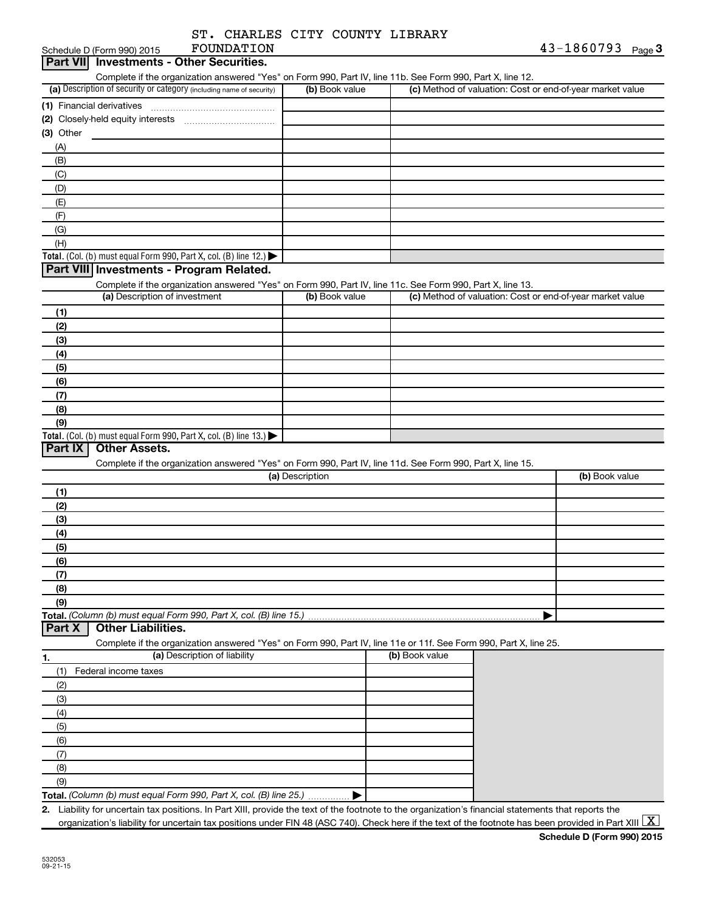| ST. CHARLES CITY COUNTY LIBRARY |  |            |
|---------------------------------|--|------------|
| <b>ROIMDATTON</b>               |  | 43-1860793 |

|                                                                                                                   |                 | Complete if the organization answered "Yes" on Form 990, Part IV, line 11b. See Form 990, Part X, line 12. |                                                           |
|-------------------------------------------------------------------------------------------------------------------|-----------------|------------------------------------------------------------------------------------------------------------|-----------------------------------------------------------|
| (a) Description of security or category (including name of security)                                              | (b) Book value  |                                                                                                            | (c) Method of valuation: Cost or end-of-year market value |
| (1) Financial derivatives                                                                                         |                 |                                                                                                            |                                                           |
| (2) Closely-held equity interests                                                                                 |                 |                                                                                                            |                                                           |
| $(3)$ Other                                                                                                       |                 |                                                                                                            |                                                           |
| (A)                                                                                                               |                 |                                                                                                            |                                                           |
| (B)                                                                                                               |                 |                                                                                                            |                                                           |
| (C)                                                                                                               |                 |                                                                                                            |                                                           |
| (D)                                                                                                               |                 |                                                                                                            |                                                           |
| (E)                                                                                                               |                 |                                                                                                            |                                                           |
| (F)                                                                                                               |                 |                                                                                                            |                                                           |
| (G)                                                                                                               |                 |                                                                                                            |                                                           |
| (H)                                                                                                               |                 |                                                                                                            |                                                           |
| Total. (Col. (b) must equal Form 990, Part X, col. (B) line 12.)                                                  |                 |                                                                                                            |                                                           |
| Part VIII Investments - Program Related.                                                                          |                 |                                                                                                            |                                                           |
| Complete if the organization answered "Yes" on Form 990, Part IV, line 11c. See Form 990, Part X, line 13.        |                 |                                                                                                            |                                                           |
| (a) Description of investment                                                                                     | (b) Book value  |                                                                                                            | (c) Method of valuation: Cost or end-of-year market value |
| (1)                                                                                                               |                 |                                                                                                            |                                                           |
| (2)                                                                                                               |                 |                                                                                                            |                                                           |
| (3)                                                                                                               |                 |                                                                                                            |                                                           |
| (4)                                                                                                               |                 |                                                                                                            |                                                           |
| (5)                                                                                                               |                 |                                                                                                            |                                                           |
| (6)                                                                                                               |                 |                                                                                                            |                                                           |
| (7)                                                                                                               |                 |                                                                                                            |                                                           |
| (8)                                                                                                               |                 |                                                                                                            |                                                           |
|                                                                                                                   |                 |                                                                                                            |                                                           |
| (9)                                                                                                               |                 |                                                                                                            |                                                           |
| Total. (Col. (b) must equal Form 990, Part X, col. (B) line 13.)                                                  |                 |                                                                                                            |                                                           |
| <b>Other Assets.</b>                                                                                              |                 |                                                                                                            |                                                           |
| Complete if the organization answered "Yes" on Form 990, Part IV, line 11d. See Form 990, Part X, line 15.        |                 |                                                                                                            |                                                           |
|                                                                                                                   | (a) Description |                                                                                                            | (b) Book value                                            |
| (1)                                                                                                               |                 |                                                                                                            |                                                           |
| (2)                                                                                                               |                 |                                                                                                            |                                                           |
| (3)                                                                                                               |                 |                                                                                                            |                                                           |
| (4)                                                                                                               |                 |                                                                                                            |                                                           |
| (5)                                                                                                               |                 |                                                                                                            |                                                           |
| (6)                                                                                                               |                 |                                                                                                            |                                                           |
| (7)                                                                                                               |                 |                                                                                                            |                                                           |
| (8)                                                                                                               |                 |                                                                                                            |                                                           |
| (9)                                                                                                               |                 |                                                                                                            |                                                           |
|                                                                                                                   |                 |                                                                                                            |                                                           |
| <b>Other Liabilities.</b>                                                                                         |                 |                                                                                                            |                                                           |
| Complete if the organization answered "Yes" on Form 990, Part IV, line 11e or 11f. See Form 990, Part X, line 25. |                 |                                                                                                            |                                                           |
| (a) Description of liability                                                                                      |                 | (b) Book value                                                                                             |                                                           |
|                                                                                                                   |                 |                                                                                                            |                                                           |
| Federal income taxes<br>(1)                                                                                       |                 |                                                                                                            |                                                           |
| (2)                                                                                                               |                 |                                                                                                            |                                                           |
| (3)                                                                                                               |                 |                                                                                                            |                                                           |
| (4)                                                                                                               |                 |                                                                                                            |                                                           |
| (5)                                                                                                               |                 |                                                                                                            |                                                           |
| Part IX<br>Part X<br>1.<br>(6)                                                                                    |                 |                                                                                                            |                                                           |
| (7)                                                                                                               |                 |                                                                                                            |                                                           |
| (8)<br>(9)                                                                                                        |                 |                                                                                                            |                                                           |

organization's liability for uncertain tax positions under FIN 48 (ASC 740). Check here if the text of the footnote has been provided in Part XIII  $\boxed{\text{X}}$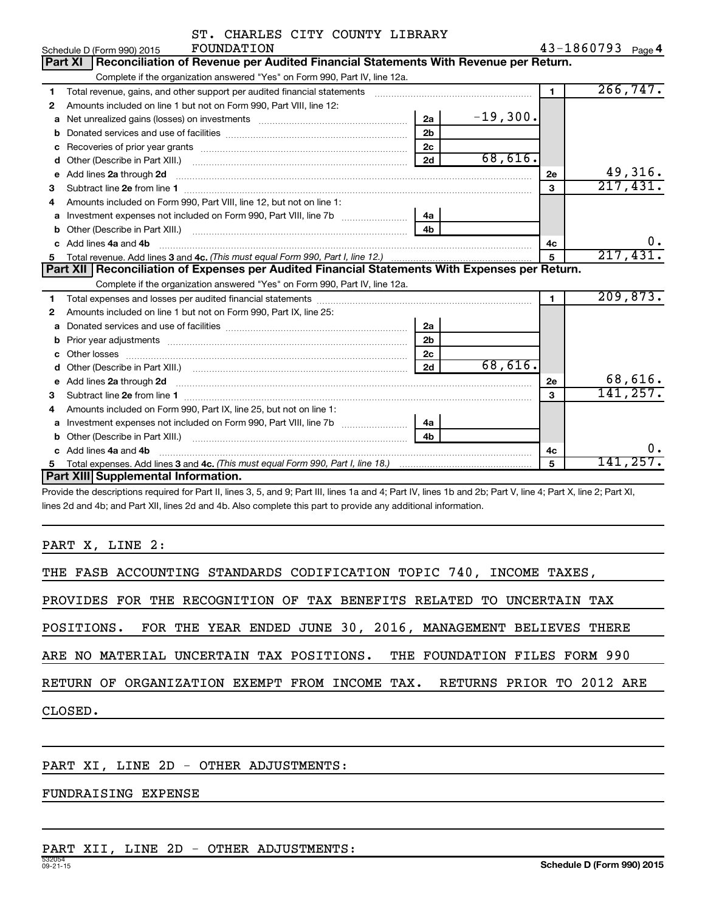|    | ST. CHARLES CITY COUNTY LIBRARY                                                                                                                                                                                                     |                |            |                |                   |
|----|-------------------------------------------------------------------------------------------------------------------------------------------------------------------------------------------------------------------------------------|----------------|------------|----------------|-------------------|
|    | FOUNDATION<br>Schedule D (Form 990) 2015                                                                                                                                                                                            |                |            |                | 43-1860793 Page 4 |
|    | Reconciliation of Revenue per Audited Financial Statements With Revenue per Return.<br><b>Part XI</b>                                                                                                                               |                |            |                |                   |
|    | Complete if the organization answered "Yes" on Form 990, Part IV, line 12a.                                                                                                                                                         |                |            |                |                   |
| 1  | Total revenue, gains, and other support per audited financial statements                                                                                                                                                            |                |            | $\blacksquare$ | 266, 747.         |
| 2  | Amounts included on line 1 but not on Form 990, Part VIII, line 12:                                                                                                                                                                 |                |            |                |                   |
| a  |                                                                                                                                                                                                                                     | 2a             | $-19,300.$ |                |                   |
| b  |                                                                                                                                                                                                                                     | 2 <sub>b</sub> |            |                |                   |
|    |                                                                                                                                                                                                                                     | 2c             |            |                |                   |
| d  |                                                                                                                                                                                                                                     | 2d             | 68,616.    |                |                   |
| е  | Add lines 2a through 2d                                                                                                                                                                                                             |                |            | 2е             | 49,316.           |
| 3  |                                                                                                                                                                                                                                     |                |            | 3              | 217,431.          |
| 4  | Amounts included on Form 990, Part VIII, line 12, but not on line 1:                                                                                                                                                                |                |            |                |                   |
| a  |                                                                                                                                                                                                                                     | 4a             |            |                |                   |
| b  |                                                                                                                                                                                                                                     | 4 <sub>h</sub> |            |                |                   |
| c  | Add lines 4a and 4b                                                                                                                                                                                                                 |                |            | 4c             | $0 \cdot$         |
| 5. |                                                                                                                                                                                                                                     | 5              | 217,431.   |                |                   |
|    | Part XII   Reconciliation of Expenses per Audited Financial Statements With Expenses per Return.                                                                                                                                    |                |            |                |                   |
|    | Complete if the organization answered "Yes" on Form 990, Part IV, line 12a.                                                                                                                                                         |                |            |                |                   |
| 1  |                                                                                                                                                                                                                                     |                |            | $\blacksquare$ | 209,873.          |
| 2  | Amounts included on line 1 but not on Form 990, Part IX, line 25:                                                                                                                                                                   |                |            |                |                   |
| a  |                                                                                                                                                                                                                                     | 2a             |            |                |                   |
| b  |                                                                                                                                                                                                                                     | 2 <sub>b</sub> |            |                |                   |
|    |                                                                                                                                                                                                                                     | 2c             |            |                |                   |
|    | Other (Describe in Part XIII.) (COLORGIAL CONSERVITY) (CONSERVITY) (CONSERVITY) (CONSERVITY)                                                                                                                                        | 2d             | 68,616.    |                |                   |
| e  | Add lines 2a through 2d <b>contained a contained a contained a contained a</b> contained a contact the set of the set of the set of the set of the set of the set of the set of the set of the set of the set of the set of the set |                |            | 2е             | 68,616.           |
| 3  |                                                                                                                                                                                                                                     |                |            | 3              | 141, 257.         |
| 4  | Amounts included on Form 990, Part IX, line 25, but not on line 1:                                                                                                                                                                  |                |            |                |                   |
| a  |                                                                                                                                                                                                                                     | 4а             |            |                |                   |
| b  |                                                                                                                                                                                                                                     | 4h             |            |                |                   |
|    | Add lines 4a and 4b                                                                                                                                                                                                                 |                |            | 4c             | ο.                |
|    |                                                                                                                                                                                                                                     |                |            | 5              | 141,257.          |
|    | Part XIII Supplemental Information.                                                                                                                                                                                                 |                |            |                |                   |

Provide the descriptions required for Part II, lines 3, 5, and 9; Part III, lines 1a and 4; Part IV, lines 1b and 2b; Part V, line 4; Part X, line 2; Part XI, lines 2d and 4b; and Part XII, lines 2d and 4b. Also complete this part to provide any additional information.

PART X, LINE 2:

| THE FASB ACCOUNTING STANDARDS CODIFICATION TOPIC 740, INCOME TAXES,      |
|--------------------------------------------------------------------------|
| PROVIDES FOR THE RECOGNITION OF TAX BENEFITS RELATED TO UNCERTAIN TAX    |
| POSITIONS. FOR THE YEAR ENDED JUNE 30, 2016, MANAGEMENT BELIEVES THERE   |
| ARE NO MATERIAL UNCERTAIN TAX POSITIONS. THE FOUNDATION FILES FORM 990   |
| RETURN OF ORGANIZATION EXEMPT FROM INCOME TAX. RETURNS PRIOR TO 2012 ARE |
| CLOSED.                                                                  |
|                                                                          |

PART XI, LINE 2D - OTHER ADJUSTMENTS:

FUNDRAISING EXPENSE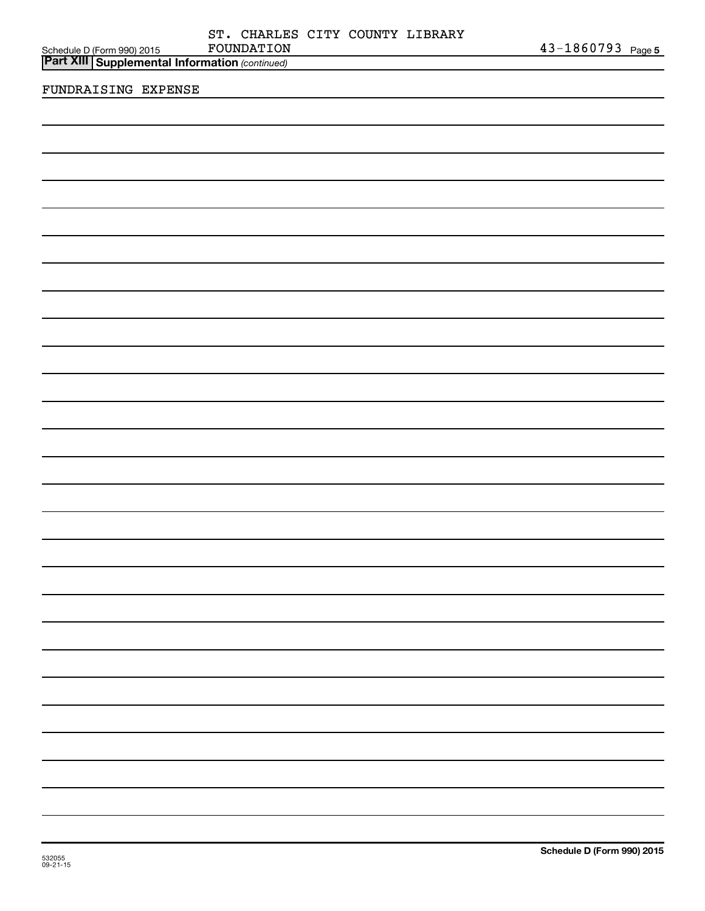| FOUNDATION                                                                              | $43 - 1860793$ Page 5 |
|-----------------------------------------------------------------------------------------|-----------------------|
| Schedule D (Form 990) 2015 FOUNDATION<br>Part XIII Supplemental Information (continued) |                       |
|                                                                                         |                       |
| FUNDRAISING EXPENSE                                                                     |                       |
|                                                                                         |                       |
|                                                                                         |                       |
|                                                                                         |                       |
|                                                                                         |                       |
|                                                                                         |                       |
|                                                                                         |                       |
|                                                                                         |                       |
|                                                                                         |                       |
|                                                                                         |                       |
|                                                                                         |                       |
|                                                                                         |                       |
|                                                                                         |                       |
|                                                                                         |                       |
|                                                                                         |                       |
|                                                                                         |                       |
|                                                                                         |                       |
|                                                                                         |                       |
|                                                                                         |                       |
|                                                                                         |                       |
|                                                                                         |                       |
|                                                                                         |                       |
|                                                                                         |                       |
|                                                                                         |                       |
|                                                                                         |                       |
|                                                                                         |                       |
|                                                                                         |                       |
|                                                                                         |                       |
|                                                                                         |                       |
|                                                                                         |                       |
|                                                                                         |                       |
|                                                                                         |                       |
|                                                                                         |                       |
|                                                                                         |                       |
|                                                                                         |                       |
|                                                                                         |                       |
|                                                                                         |                       |
|                                                                                         |                       |
|                                                                                         |                       |
|                                                                                         |                       |
|                                                                                         |                       |
|                                                                                         |                       |
|                                                                                         |                       |
|                                                                                         |                       |
|                                                                                         |                       |
|                                                                                         |                       |
|                                                                                         |                       |
|                                                                                         |                       |
|                                                                                         |                       |
|                                                                                         |                       |
|                                                                                         |                       |
|                                                                                         |                       |
|                                                                                         |                       |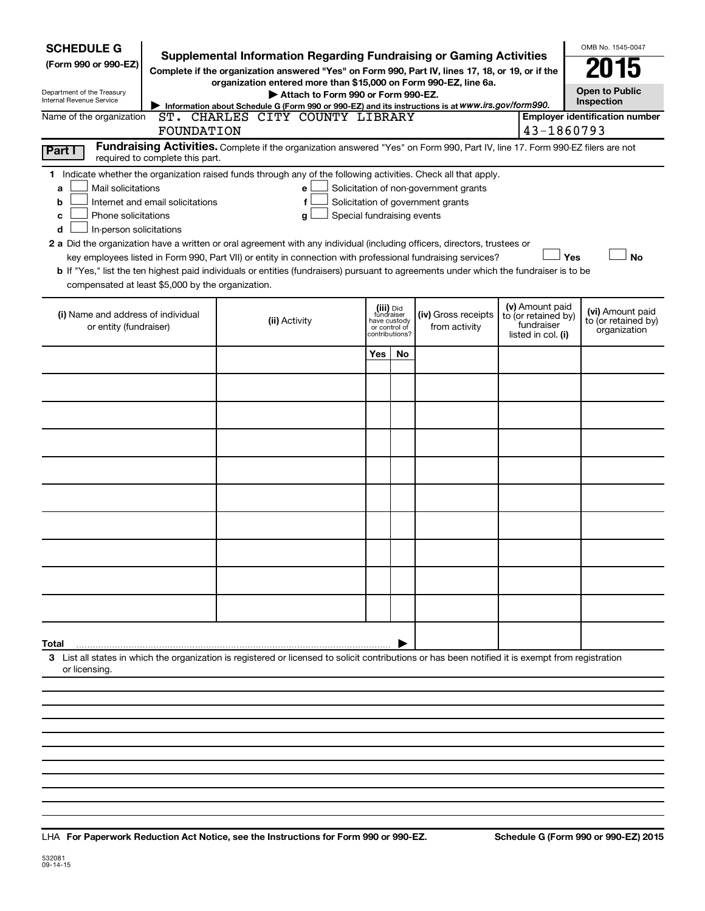| Supplemental Information Regarding Fundraising or Gaming Activities<br>(Form 990 or 990-EZ)<br>15<br>Complete if the organization answered "Yes" on Form 990, Part IV, lines 17, 18, or 19, or if the<br>organization entered more than \$15,000 on Form 990-EZ, line 6a.<br><b>Open to Public</b><br>Department of the Treasury<br>Attach to Form 990 or Form 990-EZ.<br>Internal Revenue Service<br>Inspection<br>Information about Schedule G (Form 990 or 990-EZ) and its instructions is at WWW.irs.gov/form990.<br>CHARLES CITY COUNTY LIBRARY<br>Name of the organization<br><b>Employer identification number</b><br>ST.<br>43-1860793<br>FOUNDATION<br>Fundraising Activities. Complete if the organization answered "Yes" on Form 990, Part IV, line 17. Form 990-EZ filers are not<br>Part I<br>required to complete this part.<br>1 Indicate whether the organization raised funds through any of the following activities. Check all that apply.<br>Mail solicitations<br>Solicitation of non-government grants<br>a<br>e |  |
|----------------------------------------------------------------------------------------------------------------------------------------------------------------------------------------------------------------------------------------------------------------------------------------------------------------------------------------------------------------------------------------------------------------------------------------------------------------------------------------------------------------------------------------------------------------------------------------------------------------------------------------------------------------------------------------------------------------------------------------------------------------------------------------------------------------------------------------------------------------------------------------------------------------------------------------------------------------------------------------------------------------------------------------|--|
|                                                                                                                                                                                                                                                                                                                                                                                                                                                                                                                                                                                                                                                                                                                                                                                                                                                                                                                                                                                                                                        |  |
|                                                                                                                                                                                                                                                                                                                                                                                                                                                                                                                                                                                                                                                                                                                                                                                                                                                                                                                                                                                                                                        |  |
|                                                                                                                                                                                                                                                                                                                                                                                                                                                                                                                                                                                                                                                                                                                                                                                                                                                                                                                                                                                                                                        |  |
|                                                                                                                                                                                                                                                                                                                                                                                                                                                                                                                                                                                                                                                                                                                                                                                                                                                                                                                                                                                                                                        |  |
|                                                                                                                                                                                                                                                                                                                                                                                                                                                                                                                                                                                                                                                                                                                                                                                                                                                                                                                                                                                                                                        |  |
|                                                                                                                                                                                                                                                                                                                                                                                                                                                                                                                                                                                                                                                                                                                                                                                                                                                                                                                                                                                                                                        |  |
| Solicitation of government grants<br>Internet and email solicitations<br>f<br>b                                                                                                                                                                                                                                                                                                                                                                                                                                                                                                                                                                                                                                                                                                                                                                                                                                                                                                                                                        |  |
| Phone solicitations<br>Special fundraising events<br>с<br>g                                                                                                                                                                                                                                                                                                                                                                                                                                                                                                                                                                                                                                                                                                                                                                                                                                                                                                                                                                            |  |
| In-person solicitations<br>d<br>2 a Did the organization have a written or oral agreement with any individual (including officers, directors, trustees or                                                                                                                                                                                                                                                                                                                                                                                                                                                                                                                                                                                                                                                                                                                                                                                                                                                                              |  |
| key employees listed in Form 990, Part VII) or entity in connection with professional fundraising services?<br>Yes<br><b>No</b>                                                                                                                                                                                                                                                                                                                                                                                                                                                                                                                                                                                                                                                                                                                                                                                                                                                                                                        |  |
| b If "Yes," list the ten highest paid individuals or entities (fundraisers) pursuant to agreements under which the fundraiser is to be                                                                                                                                                                                                                                                                                                                                                                                                                                                                                                                                                                                                                                                                                                                                                                                                                                                                                                 |  |
| compensated at least \$5,000 by the organization.                                                                                                                                                                                                                                                                                                                                                                                                                                                                                                                                                                                                                                                                                                                                                                                                                                                                                                                                                                                      |  |
| (v) Amount paid<br>(iii) Did<br>(vi) Amount paid<br>(i) Name and address of individual<br>(iv) Gross receipts<br>fundraiser<br>to (or retained by)<br>(ii) Activity<br>to (or retained by)<br>have custody                                                                                                                                                                                                                                                                                                                                                                                                                                                                                                                                                                                                                                                                                                                                                                                                                             |  |
| fundraiser<br>or entity (fundraiser)<br>from activity<br>or control of<br>organization<br>listed in col. (i)<br>contributions?                                                                                                                                                                                                                                                                                                                                                                                                                                                                                                                                                                                                                                                                                                                                                                                                                                                                                                         |  |
| Yes<br>No                                                                                                                                                                                                                                                                                                                                                                                                                                                                                                                                                                                                                                                                                                                                                                                                                                                                                                                                                                                                                              |  |
|                                                                                                                                                                                                                                                                                                                                                                                                                                                                                                                                                                                                                                                                                                                                                                                                                                                                                                                                                                                                                                        |  |
|                                                                                                                                                                                                                                                                                                                                                                                                                                                                                                                                                                                                                                                                                                                                                                                                                                                                                                                                                                                                                                        |  |
|                                                                                                                                                                                                                                                                                                                                                                                                                                                                                                                                                                                                                                                                                                                                                                                                                                                                                                                                                                                                                                        |  |
|                                                                                                                                                                                                                                                                                                                                                                                                                                                                                                                                                                                                                                                                                                                                                                                                                                                                                                                                                                                                                                        |  |
|                                                                                                                                                                                                                                                                                                                                                                                                                                                                                                                                                                                                                                                                                                                                                                                                                                                                                                                                                                                                                                        |  |
|                                                                                                                                                                                                                                                                                                                                                                                                                                                                                                                                                                                                                                                                                                                                                                                                                                                                                                                                                                                                                                        |  |
|                                                                                                                                                                                                                                                                                                                                                                                                                                                                                                                                                                                                                                                                                                                                                                                                                                                                                                                                                                                                                                        |  |
|                                                                                                                                                                                                                                                                                                                                                                                                                                                                                                                                                                                                                                                                                                                                                                                                                                                                                                                                                                                                                                        |  |
|                                                                                                                                                                                                                                                                                                                                                                                                                                                                                                                                                                                                                                                                                                                                                                                                                                                                                                                                                                                                                                        |  |
|                                                                                                                                                                                                                                                                                                                                                                                                                                                                                                                                                                                                                                                                                                                                                                                                                                                                                                                                                                                                                                        |  |
|                                                                                                                                                                                                                                                                                                                                                                                                                                                                                                                                                                                                                                                                                                                                                                                                                                                                                                                                                                                                                                        |  |
| Total                                                                                                                                                                                                                                                                                                                                                                                                                                                                                                                                                                                                                                                                                                                                                                                                                                                                                                                                                                                                                                  |  |
| 3 List all states in which the organization is registered or licensed to solicit contributions or has been notified it is exempt from registration                                                                                                                                                                                                                                                                                                                                                                                                                                                                                                                                                                                                                                                                                                                                                                                                                                                                                     |  |
| or licensing.                                                                                                                                                                                                                                                                                                                                                                                                                                                                                                                                                                                                                                                                                                                                                                                                                                                                                                                                                                                                                          |  |
|                                                                                                                                                                                                                                                                                                                                                                                                                                                                                                                                                                                                                                                                                                                                                                                                                                                                                                                                                                                                                                        |  |

**For Paperwork Reduction Act Notice, see the Instructions for Form 990 or 990-EZ. Schedule G (Form 990 or 990-EZ) 2015** LHA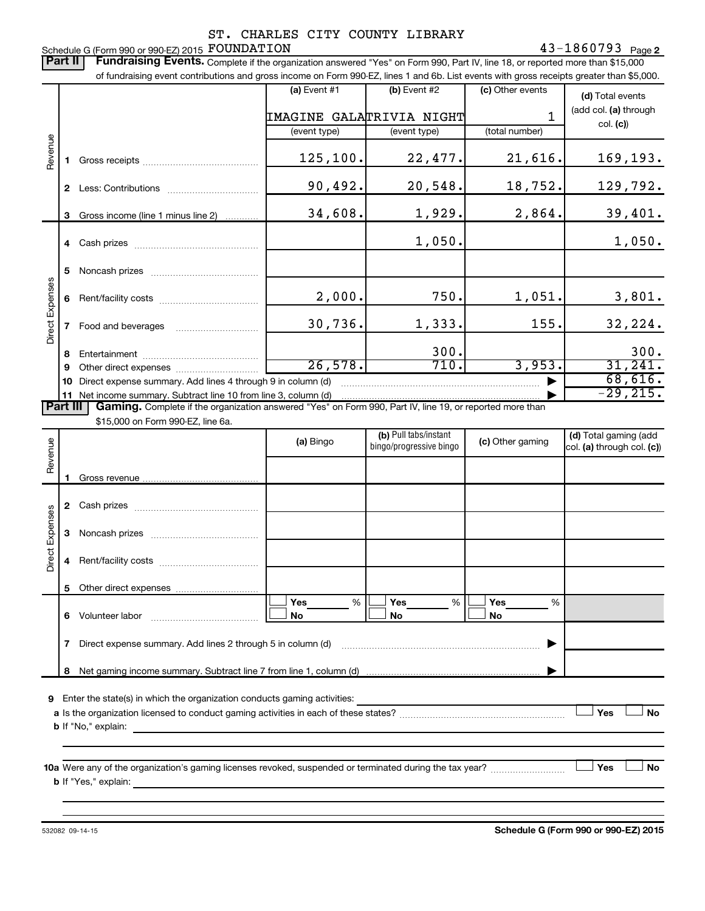### Schedule G (Form 990 or 990-EZ) 2015  ${\rm \bf FOUNDATION} \hspace{2cm} 43-1860793$  Page ST. CHARLES CITY COUNTY LIBRARY

Part II | Fundraising Events. Complete if the organization answered "Yes" on Form 990, Part IV, line 18, or reported more than \$15,000 of fundraising event contributions and gross income on Form 990-EZ, lines 1 and 6b. List events with gross receipts greater than \$5,000.  $(a)$  Event #1  $(b)$  Event #2 (c) Other events **(d)**  Total events (add col. (a) through IMAGINE GALATRIVIA NIGHT 1 col. **(c)**) (event type) (event type) (total number) Revenue 125,100. 22,477. 21,616. 169,193. **1** Gross receipts ~~~~~~~~~~~~~~ 90,492. 20,548. 18,752. 129,792. **2** Less: Contributions ~~~~~~~~~~~ 34,608. 1,929. 2,864. 39,401. **3** Gross income (line 1 minus line 2) . . . . . . . . . . . . 1,050. 1,050. **4** Cash prizes ~~~~~~~~~~~~~~~ **5** Noncash prizes ~~~~~~~~~~~~~ Direct Expenses Direct Expenses 2,000. 750. 1,051. 3,801. **6** Rent/facility costs ~~~~~~~~~~~~ 30,736. 1,333. 155. 32,224. **7** Food and beverages **with the State Proof** 300. 300. **8** Entertainment ~~~~~~~~~~~~~~ 26,578. 710. 3,953. 31,241. **9** Other direct expenses  $\ldots$  **............................** 68,616. **10** Direct expense summary. Add lines 4 through 9 in column (d) ~~~~~~~~~~~~~~~~~~~~~~~~ | -29,215.**11** Net income summary. Subtract line 10 from line 3, column (d) | Part III | Gaming. Complete if the organization answered "Yes" on Form 990, Part IV, line 19, or reported more than \$15,000 on Form 990-EZ, line 6a. (b) Pull tabs/instant (d) Total gaming (add Revenue **(a)** Bingo **a b**ingo/progressive bingo **(c)** Other gaming bingo/progressive bingo col. (a) through col. (c)) Gross revenue. **1 2** Cash prizes ~~~~~~~~~~~~~~~ Direct Expenses Direct Expenses **3** Noncash prizes ~~~~~~~~~~~~~ **4** Rent/facility costs ~~~~~~~~~~~~ **5** Other direct expenses  $|\Box$  Yes  $\qquad \%$   $|\Box$  Yes  $\qquad \%$   $|\Box$ **Yes Yes Yes** % % %  $|\Box$  No  $|\Box$  No  $|\Box$ **6** Volunteer labor ~~~~~~~~~~~~~ **No No No 7** Direct expense summary. Add lines 2 through 5 in column (d) ~~~~~~~~~~~~~~~~~~~~~~~~ | **8** Net gaming income summary. Subtract line 7 from line 1, column (d) | **9** Enter the state(s) in which the organization conducts gaming activities:  $|$  Yes **Yes No a** Is the organization licensed to conduct gaming activities in each of these states? ~~~~~~~~~~~~~~~~~~~~ **b** If "No," explain: **10 a** Were any of the organization's gaming licenses revoked, suspended or terminated during the tax year? ~~~~~~~~~ † † **Yes No b** If "Yes," explain:

532082 09-14-15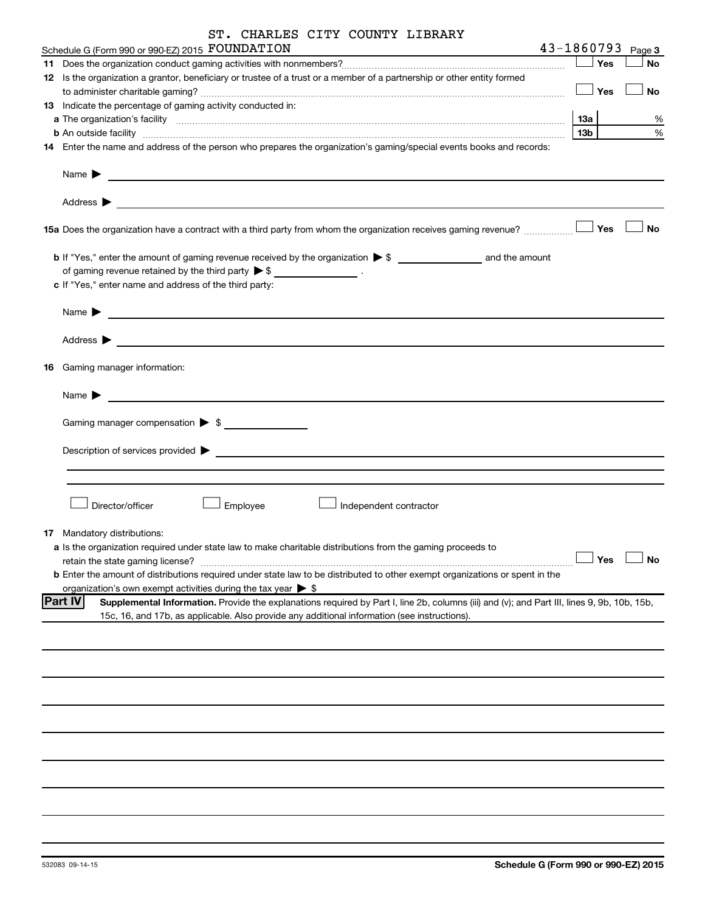| ST. CHARLES CITY COUNTY LIBRARY                                                                                                                                                                                                                               |                 |         |                       |
|---------------------------------------------------------------------------------------------------------------------------------------------------------------------------------------------------------------------------------------------------------------|-----------------|---------|-----------------------|
| Schedule G (Form 990 or 990-EZ) 2015 FOUNDATION<br>the contract of the contract of the contract of the contract of the                                                                                                                                        |                 |         | $43 - 1860793$ Page 3 |
|                                                                                                                                                                                                                                                               |                 | — │ Yes | No                    |
| 12 Is the organization a grantor, beneficiary or trustee of a trust or a member of a partnership or other entity formed                                                                                                                                       | $\Box$ Yes      |         | No                    |
| 13 Indicate the percentage of gaming activity conducted in:                                                                                                                                                                                                   |                 |         |                       |
|                                                                                                                                                                                                                                                               | <b>13a</b>      |         | ℅                     |
| b An outside facility www.communications.com/news/communications.com/news/communications.com/news/communication                                                                                                                                               | 13 <sub>b</sub> |         | %                     |
| 14 Enter the name and address of the person who prepares the organization's gaming/special events books and records:                                                                                                                                          |                 |         |                       |
| Name $\blacktriangleright$<br><u> 1989 - Johann John Stein, fransk politik (d. 1989)</u>                                                                                                                                                                      |                 |         |                       |
| Address $\blacktriangleright$<br><u> 1989 - Johann Barbara, martxa eta politikaria (h. 1989).</u>                                                                                                                                                             |                 |         |                       |
|                                                                                                                                                                                                                                                               |                 |         | No                    |
| of gaming revenue retained by the third party $\triangleright$ \$ ____________________.                                                                                                                                                                       |                 |         |                       |
| c If "Yes," enter name and address of the third party:                                                                                                                                                                                                        |                 |         |                       |
| Name $\blacktriangleright$<br><u> 1989 - John Stone, mars and de la provincia de la provincia de la provincia de la provincia de la provincia d</u>                                                                                                           |                 |         |                       |
| Address $\blacktriangleright$                                                                                                                                                                                                                                 |                 |         |                       |
| <b>16</b> Gaming manager information:                                                                                                                                                                                                                         |                 |         |                       |
| Name $\blacktriangleright$<br><u> 1980 - John Stein, Amerikaansk politiker (</u>                                                                                                                                                                              |                 |         |                       |
|                                                                                                                                                                                                                                                               |                 |         |                       |
|                                                                                                                                                                                                                                                               |                 |         |                       |
|                                                                                                                                                                                                                                                               |                 |         |                       |
| Director/officer<br>Employee<br>Independent contractor                                                                                                                                                                                                        |                 |         |                       |
| 17 Mandatory distributions:                                                                                                                                                                                                                                   |                 |         |                       |
| a Is the organization required under state law to make charitable distributions from the gaming proceeds to                                                                                                                                                   |                 |         |                       |
| retain the state gaming license?                                                                                                                                                                                                                              |                 | Yes     | <b>No</b>             |
| <b>b</b> Enter the amount of distributions required under state law to be distributed to other exempt organizations or spent in the                                                                                                                           |                 |         |                       |
| organization's own exempt activities during the tax year $\triangleright$ \$                                                                                                                                                                                  |                 |         |                       |
| <b>Part IV</b><br>Supplemental Information. Provide the explanations required by Part I, line 2b, columns (iii) and (v); and Part III, lines 9, 9b, 10b, 15b,<br>15c, 16, and 17b, as applicable. Also provide any additional information (see instructions). |                 |         |                       |
|                                                                                                                                                                                                                                                               |                 |         |                       |
|                                                                                                                                                                                                                                                               |                 |         |                       |
|                                                                                                                                                                                                                                                               |                 |         |                       |
|                                                                                                                                                                                                                                                               |                 |         |                       |
|                                                                                                                                                                                                                                                               |                 |         |                       |
|                                                                                                                                                                                                                                                               |                 |         |                       |
|                                                                                                                                                                                                                                                               |                 |         |                       |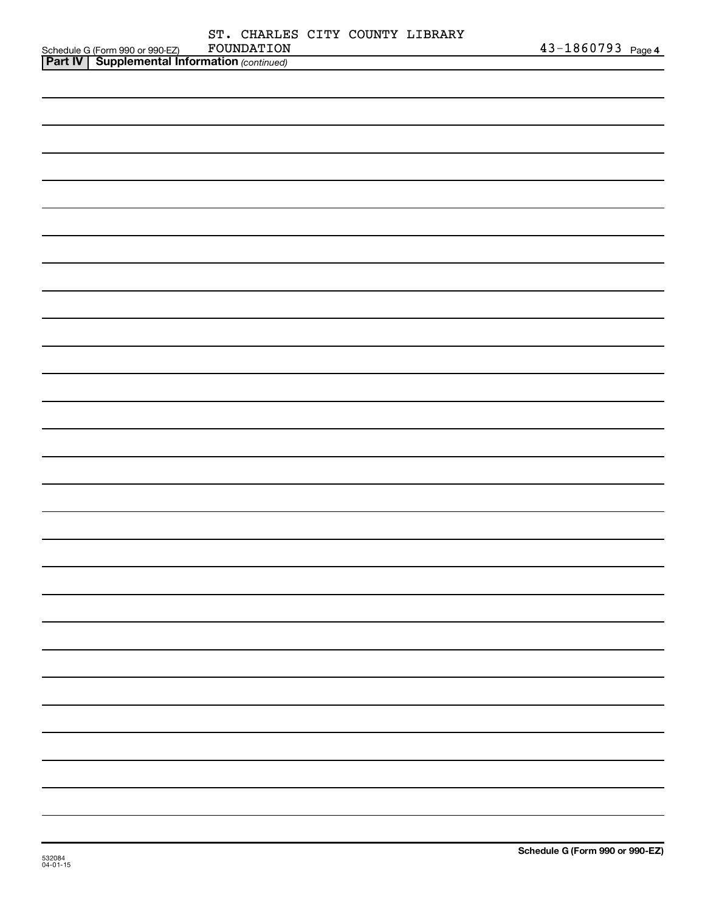|                                                                                                     |            |  | ST. CHARLES CITY COUNTY LIBRARY |                   |
|-----------------------------------------------------------------------------------------------------|------------|--|---------------------------------|-------------------|
| Schedule G (Form 990 or 990-EZ) FOUNDATION<br><b>Part IV   Supplemental Information</b> (continued) | FOUNDATION |  |                                 | 43-1860793 Page 4 |
|                                                                                                     |            |  |                                 |                   |
|                                                                                                     |            |  |                                 |                   |
|                                                                                                     |            |  |                                 |                   |
|                                                                                                     |            |  |                                 |                   |
|                                                                                                     |            |  |                                 |                   |
|                                                                                                     |            |  |                                 |                   |
|                                                                                                     |            |  |                                 |                   |
|                                                                                                     |            |  |                                 |                   |
|                                                                                                     |            |  |                                 |                   |
|                                                                                                     |            |  |                                 |                   |
|                                                                                                     |            |  |                                 |                   |
|                                                                                                     |            |  |                                 |                   |
|                                                                                                     |            |  |                                 |                   |
|                                                                                                     |            |  |                                 |                   |
|                                                                                                     |            |  |                                 |                   |
|                                                                                                     |            |  |                                 |                   |
|                                                                                                     |            |  |                                 |                   |
|                                                                                                     |            |  |                                 |                   |
|                                                                                                     |            |  |                                 |                   |
|                                                                                                     |            |  |                                 |                   |
|                                                                                                     |            |  |                                 |                   |
|                                                                                                     |            |  |                                 |                   |
|                                                                                                     |            |  |                                 |                   |
|                                                                                                     |            |  |                                 |                   |
|                                                                                                     |            |  |                                 |                   |
|                                                                                                     |            |  |                                 |                   |
|                                                                                                     |            |  |                                 |                   |
|                                                                                                     |            |  |                                 |                   |
|                                                                                                     |            |  |                                 |                   |
|                                                                                                     |            |  |                                 |                   |
|                                                                                                     |            |  |                                 |                   |
|                                                                                                     |            |  |                                 |                   |
|                                                                                                     |            |  |                                 |                   |
|                                                                                                     |            |  |                                 |                   |
|                                                                                                     |            |  |                                 |                   |
|                                                                                                     |            |  |                                 |                   |
|                                                                                                     |            |  |                                 |                   |
|                                                                                                     |            |  |                                 |                   |
|                                                                                                     |            |  |                                 |                   |
|                                                                                                     |            |  |                                 |                   |
|                                                                                                     |            |  |                                 |                   |
|                                                                                                     |            |  |                                 |                   |
|                                                                                                     |            |  |                                 |                   |
|                                                                                                     |            |  |                                 |                   |
|                                                                                                     |            |  |                                 |                   |
|                                                                                                     |            |  |                                 |                   |
|                                                                                                     |            |  |                                 |                   |
|                                                                                                     |            |  |                                 |                   |
|                                                                                                     |            |  |                                 |                   |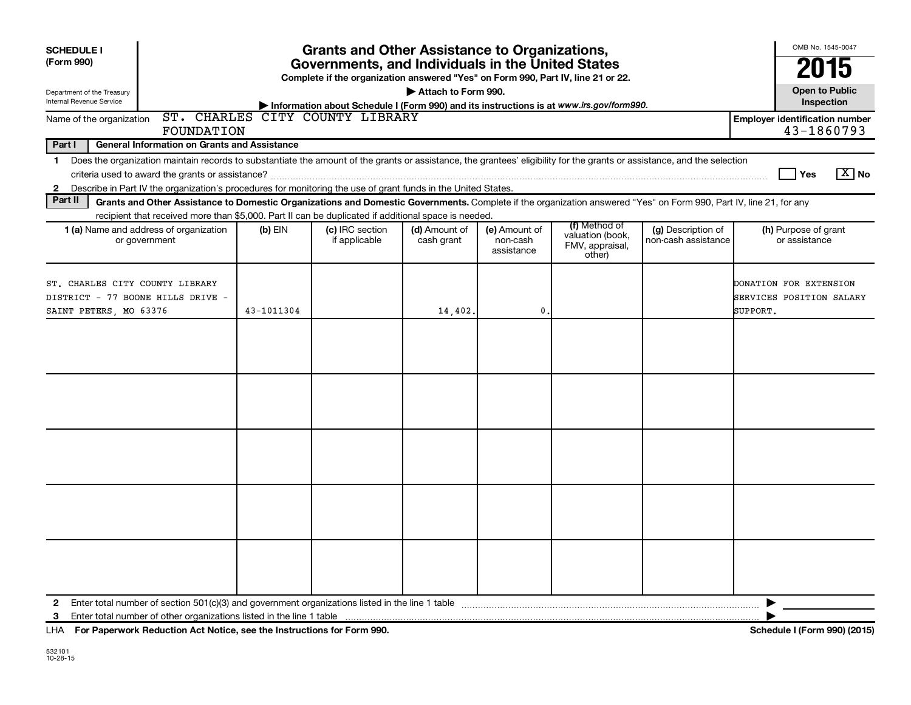| <b>SCHEDULE I</b><br>(Form 990)                                                                |                                                                                                                                                                                                                                                                                           |            | <b>Grants and Other Assistance to Organizations,</b><br>Governments, and Individuals in the United States |                             |                                         |                                                                |                                           | OMB No. 1545-0047<br>2015                                      |
|------------------------------------------------------------------------------------------------|-------------------------------------------------------------------------------------------------------------------------------------------------------------------------------------------------------------------------------------------------------------------------------------------|------------|-----------------------------------------------------------------------------------------------------------|-----------------------------|-----------------------------------------|----------------------------------------------------------------|-------------------------------------------|----------------------------------------------------------------|
|                                                                                                |                                                                                                                                                                                                                                                                                           |            | Complete if the organization answered "Yes" on Form 990, Part IV, line 21 or 22.                          |                             |                                         |                                                                |                                           | <b>Open to Public</b>                                          |
| Department of the Treasury<br>Internal Revenue Service                                         |                                                                                                                                                                                                                                                                                           |            | Information about Schedule I (Form 990) and its instructions is at www.irs.gov/form990.                   | Attach to Form 990.         |                                         |                                                                |                                           | Inspection                                                     |
| Name of the organization                                                                       | FOUNDATION                                                                                                                                                                                                                                                                                |            | ST. CHARLES CITY COUNTY LIBRARY                                                                           |                             |                                         |                                                                |                                           | <b>Employer identification number</b><br>43-1860793            |
| Part I                                                                                         | <b>General Information on Grants and Assistance</b>                                                                                                                                                                                                                                       |            |                                                                                                           |                             |                                         |                                                                |                                           |                                                                |
| $\mathbf 1$<br>$\mathbf{2}$                                                                    | Does the organization maintain records to substantiate the amount of the grants or assistance, the grantees' eligibility for the grants or assistance, and the selection<br>Describe in Part IV the organization's procedures for monitoring the use of grant funds in the United States. |            |                                                                                                           |                             |                                         |                                                                |                                           | $\boxed{\text{X}}$ No<br>Yes                                   |
| Part II                                                                                        | Grants and Other Assistance to Domestic Organizations and Domestic Governments. Complete if the organization answered "Yes" on Form 990, Part IV, line 21, for any                                                                                                                        |            |                                                                                                           |                             |                                         |                                                                |                                           |                                                                |
|                                                                                                | recipient that received more than \$5,000. Part II can be duplicated if additional space is needed.<br>1 (a) Name and address of organization<br>or government                                                                                                                            | $(b)$ EIN  | (c) IRC section<br>if applicable                                                                          | (d) Amount of<br>cash grant | (e) Amount of<br>non-cash<br>assistance | (f) Method of<br>valuation (book,<br>FMV, appraisal,<br>other) | (g) Description of<br>non-cash assistance | (h) Purpose of grant<br>or assistance                          |
| ST. CHARLES CITY COUNTY LIBRARY<br>DISTRICT - 77 BOONE HILLS DRIVE -<br>SAINT PETERS, MO 63376 |                                                                                                                                                                                                                                                                                           | 43-1011304 |                                                                                                           | 14,402.                     | $\mathbf 0$                             |                                                                |                                           | DONATION FOR EXTENSION<br>SERVICES POSITION SALARY<br>SUPPORT. |
|                                                                                                |                                                                                                                                                                                                                                                                                           |            |                                                                                                           |                             |                                         |                                                                |                                           |                                                                |
|                                                                                                |                                                                                                                                                                                                                                                                                           |            |                                                                                                           |                             |                                         |                                                                |                                           |                                                                |
|                                                                                                |                                                                                                                                                                                                                                                                                           |            |                                                                                                           |                             |                                         |                                                                |                                           |                                                                |
|                                                                                                |                                                                                                                                                                                                                                                                                           |            |                                                                                                           |                             |                                         |                                                                |                                           |                                                                |
|                                                                                                |                                                                                                                                                                                                                                                                                           |            |                                                                                                           |                             |                                         |                                                                |                                           |                                                                |
| $\mathbf{2}$<br>3                                                                              |                                                                                                                                                                                                                                                                                           |            |                                                                                                           |                             |                                         |                                                                |                                           | ▶                                                              |

**For Paperwork Reduction Act Notice, see the Instructions for Form 990. Schedule I (Form 990) (2015)** LHA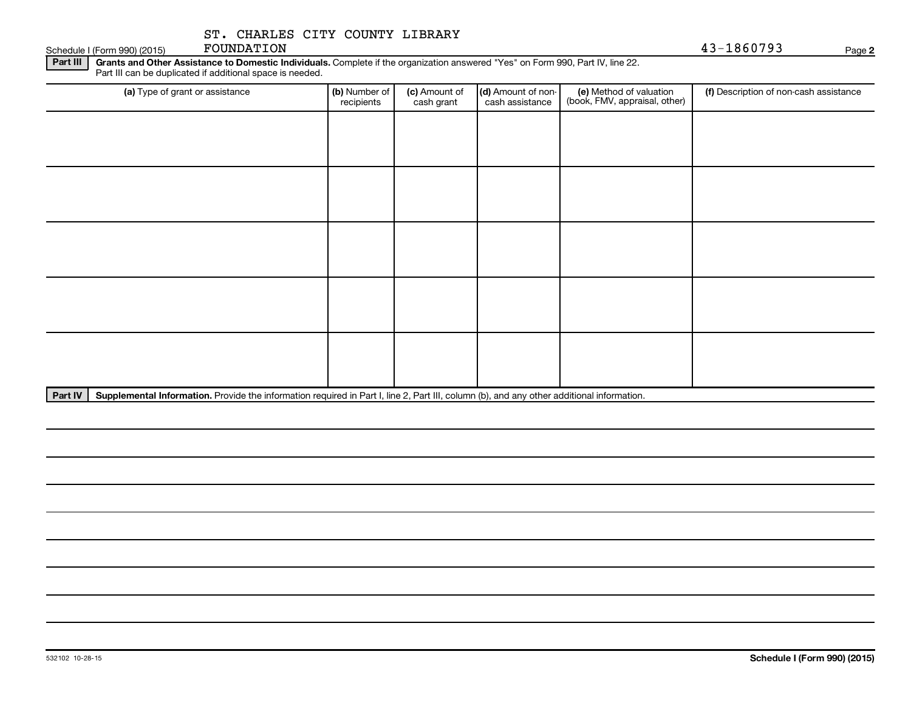Schedule I (Form 990) (2015) FOUNDATION

FOUNDATION 43-1860793

**2**

Part III | Grants and Other Assistance to Domestic Individuals. Complete if the organization answered "Yes" on Form 990, Part IV, line 22. Part III can be duplicated if additional space is needed.

| (a) Type of grant or assistance | (b) Number of<br>recipients | (c) Amount of<br>cash grant | (d) Amount of non-<br>cash assistance | (e) Method of valuation<br>(book, FMV, appraisal, other) | (f) Description of non-cash assistance |
|---------------------------------|-----------------------------|-----------------------------|---------------------------------------|----------------------------------------------------------|----------------------------------------|
|                                 |                             |                             |                                       |                                                          |                                        |
|                                 |                             |                             |                                       |                                                          |                                        |
|                                 |                             |                             |                                       |                                                          |                                        |
|                                 |                             |                             |                                       |                                                          |                                        |
|                                 |                             |                             |                                       |                                                          |                                        |
|                                 |                             |                             |                                       |                                                          |                                        |
|                                 |                             |                             |                                       |                                                          |                                        |
|                                 |                             |                             |                                       |                                                          |                                        |
|                                 |                             |                             |                                       |                                                          |                                        |
|                                 |                             |                             |                                       |                                                          |                                        |

Part IV | Supplemental Information. Provide the information required in Part I, line 2, Part III, column (b), and any other additional information.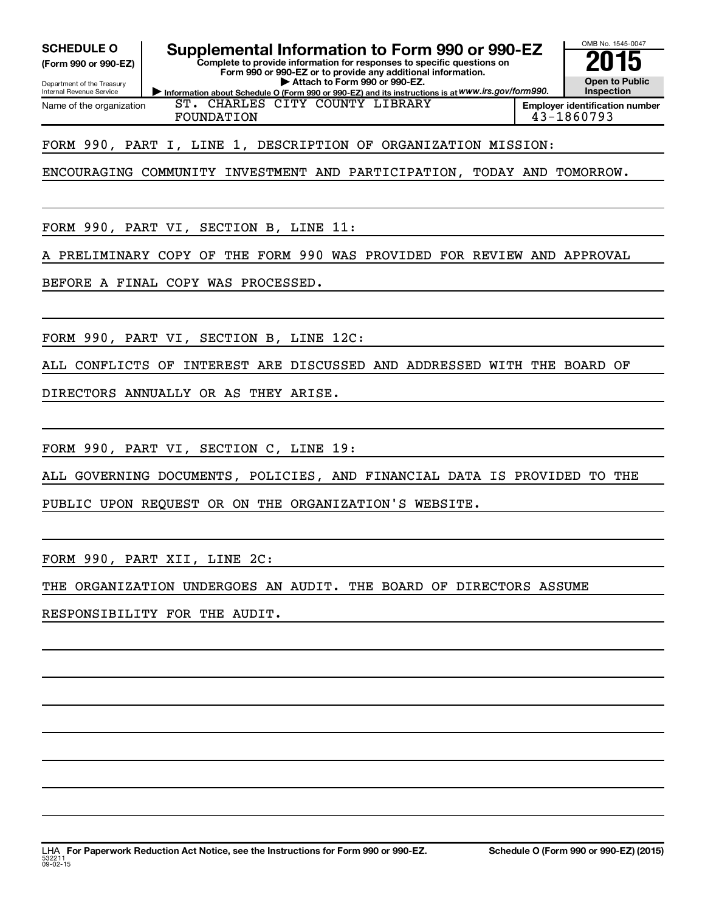Internal Revenue Service

Department of the Treasury **(Form 990 or 990-EZ)**

**SCHEDULE O Supplemental Information to Form 990 or 990-EZ 2015**

**Complete to provide information for responses to specific questions on Form 990 or 990-EZ or to provide any additional information. | Attach to Form 990 or 990-EZ.**



Name of the organization

**Information about Schedule O (Form 990 or 990-EZ) and its instructions is at WWW.irs.gov/form990.** ST. CHARLES CITY COUNTY LIBRARY FOUNDATION 43-1860793

FORM 990, PART I, LINE 1, DESCRIPTION OF ORGANIZATION MISSION:

ENCOURAGING COMMUNITY INVESTMENT AND PARTICIPATION, TODAY AND TOMORROW.

FORM 990, PART VI, SECTION B, LINE 11:

A PRELIMINARY COPY OF THE FORM 990 WAS PROVIDED FOR REVIEW AND APPROVAL

BEFORE A FINAL COPY WAS PROCESSED.

FORM 990, PART VI, SECTION B, LINE 12C:

ALL CONFLICTS OF INTEREST ARE DISCUSSED AND ADDRESSED WITH THE BOARD OF

DIRECTORS ANNUALLY OR AS THEY ARISE.

FORM 990, PART VI, SECTION C, LINE 19:

ALL GOVERNING DOCUMENTS, POLICIES, AND FINANCIAL DATA IS PROVIDED TO THE

PUBLIC UPON REQUEST OR ON THE ORGANIZATION'S WEBSITE.

FORM 990, PART XII, LINE 2C:

THE ORGANIZATION UNDERGOES AN AUDIT. THE BOARD OF DIRECTORS ASSUME

RESPONSIBILITY FOR THE AUDIT.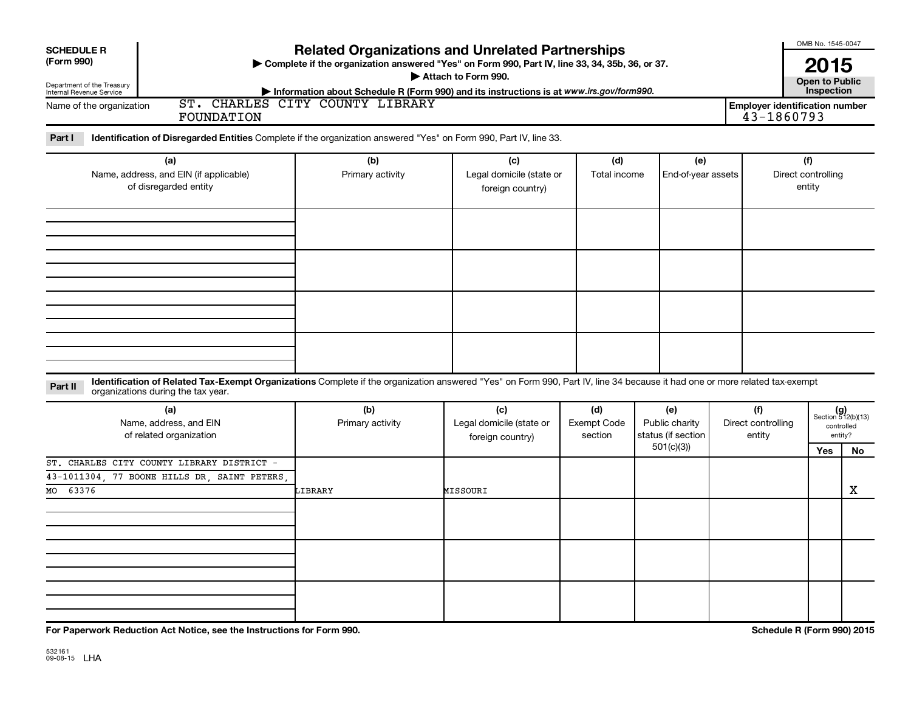| <b>SCHEDULE R</b><br>(Form 990)<br>Department of the Treasury<br>Internal Revenue Service<br>Name of the organization<br><b>FOUNDATION</b>                                                                                  | <b>Related Organizations and Unrelated Partnerships</b><br>> Complete if the organization answered "Yes" on Form 990, Part IV, line 33, 34, 35b, 36, or 37.<br>Information about Schedule R (Form 990) and its instructions is at www.irs.gov/form990.<br>ST. CHARLES CITY COUNTY LIBRARY | Attach to Form 990.                                 |                                      |                                                          | <b>Employer identification number</b><br>43-1860793 | OMB No. 1545-0047<br>2015<br><b>Open to Public</b><br>Inspection |                                                            |
|-----------------------------------------------------------------------------------------------------------------------------------------------------------------------------------------------------------------------------|-------------------------------------------------------------------------------------------------------------------------------------------------------------------------------------------------------------------------------------------------------------------------------------------|-----------------------------------------------------|--------------------------------------|----------------------------------------------------------|-----------------------------------------------------|------------------------------------------------------------------|------------------------------------------------------------|
| Part I<br>Identification of Disregarded Entities Complete if the organization answered "Yes" on Form 990, Part IV, line 33.                                                                                                 |                                                                                                                                                                                                                                                                                           |                                                     |                                      |                                                          |                                                     |                                                                  |                                                            |
| (a)<br>Name, address, and EIN (if applicable)<br>of disregarded entity                                                                                                                                                      | (b)<br>Primary activity                                                                                                                                                                                                                                                                   | (c)<br>Legal domicile (state or<br>foreign country) | (d)<br>Total income                  | (e)<br>End-of-year assets                                |                                                     | (f)<br>Direct controlling<br>entity                              |                                                            |
|                                                                                                                                                                                                                             |                                                                                                                                                                                                                                                                                           |                                                     |                                      |                                                          |                                                     |                                                                  |                                                            |
|                                                                                                                                                                                                                             |                                                                                                                                                                                                                                                                                           |                                                     |                                      |                                                          |                                                     |                                                                  |                                                            |
|                                                                                                                                                                                                                             |                                                                                                                                                                                                                                                                                           |                                                     |                                      |                                                          |                                                     |                                                                  |                                                            |
| Identification of Related Tax-Exempt Organizations Complete if the organization answered "Yes" on Form 990, Part IV, line 34 because it had one or more related tax-exempt<br>Part II<br>organizations during the tax year. |                                                                                                                                                                                                                                                                                           |                                                     |                                      |                                                          |                                                     |                                                                  |                                                            |
| (a)<br>Name, address, and EIN<br>of related organization                                                                                                                                                                    | (b)<br>Primary activity                                                                                                                                                                                                                                                                   | (c)<br>Legal domicile (state or<br>foreign country) | (d)<br><b>Exempt Code</b><br>section | (e)<br>Public charity<br>status (if section<br>501(c)(3) | (f)<br>Direct controlling<br>entity                 | <b>Yes</b>                                                       | $(g)$<br>Section 512(b)(13)<br>controlled<br>entity?<br>No |
| ST. CHARLES CITY COUNTY LIBRARY DISTRICT -<br>43-1011304, 77 BOONE HILLS DR, SAINT PETERS<br>63376<br>MO                                                                                                                    | LIBRARY                                                                                                                                                                                                                                                                                   | MISSOURI                                            |                                      |                                                          |                                                     |                                                                  | х                                                          |
|                                                                                                                                                                                                                             |                                                                                                                                                                                                                                                                                           |                                                     |                                      |                                                          |                                                     |                                                                  |                                                            |
|                                                                                                                                                                                                                             |                                                                                                                                                                                                                                                                                           |                                                     |                                      |                                                          |                                                     |                                                                  |                                                            |
|                                                                                                                                                                                                                             |                                                                                                                                                                                                                                                                                           |                                                     |                                      |                                                          |                                                     |                                                                  |                                                            |

**For Paperwork Reduction Act Notice, see the Instructions for Form 990. Schedule R (Form 990) 2015**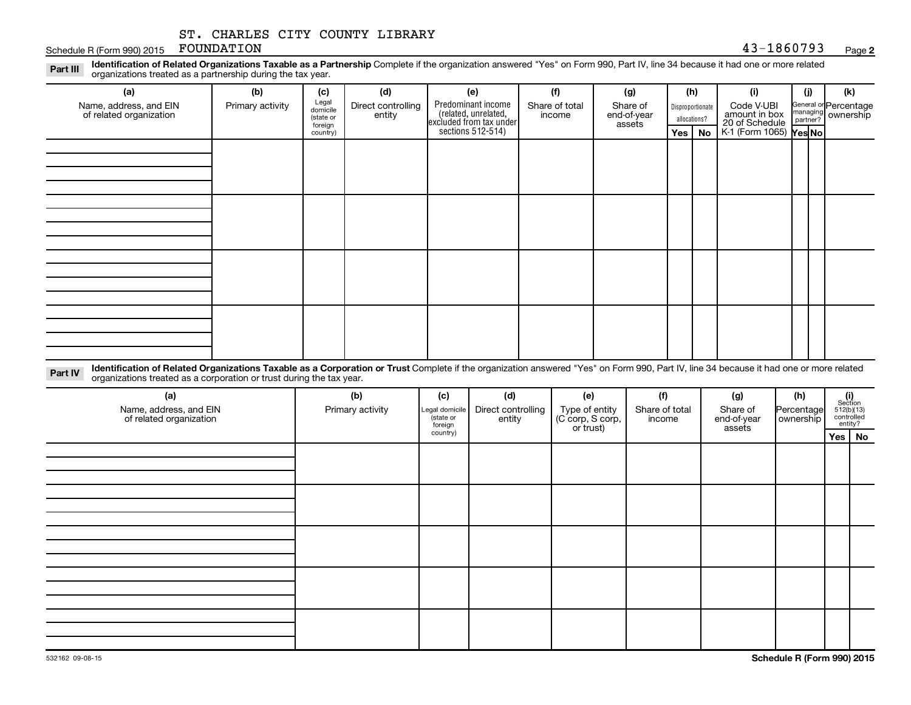### Schedule R (Form 990) 2015 FOUNDATION  $43-1860793$  Page

**2**

Part III Identification of Related Organizations Taxable as a Partnership Complete if the organization answered "Yes" on Form 990, Part IV, line 34 because it had one or more related<br>Read to the organizations tracted as a organizations treated as a partnership during the tax year.

| (b)              | (c)       | (d)                          | (e)                | (f)                      | (g)                                                                 |                                  |  | (i)        | (j) | (k)                                                                             |
|------------------|-----------|------------------------------|--------------------|--------------------------|---------------------------------------------------------------------|----------------------------------|--|------------|-----|---------------------------------------------------------------------------------|
| Primary activity | (state or | Direct controlling<br>entity | Predominant income | Share of total<br>income | Share of<br>end-of-year<br>assets                                   | Disproportionate<br>allocations? |  | Code V-UBI |     | General or Percentage<br>managing ownership                                     |
|                  | country)  |                              |                    |                          |                                                                     | Yes   No                         |  |            |     |                                                                                 |
|                  |           |                              |                    |                          |                                                                     |                                  |  |            |     |                                                                                 |
|                  |           |                              |                    |                          |                                                                     |                                  |  |            |     |                                                                                 |
|                  |           |                              |                    |                          |                                                                     |                                  |  |            |     |                                                                                 |
|                  |           |                              |                    |                          |                                                                     |                                  |  |            |     |                                                                                 |
|                  |           |                              |                    |                          |                                                                     |                                  |  |            |     |                                                                                 |
|                  |           |                              |                    |                          |                                                                     |                                  |  |            |     |                                                                                 |
|                  |           |                              |                    |                          |                                                                     |                                  |  |            |     |                                                                                 |
|                  |           |                              |                    |                          |                                                                     |                                  |  |            |     |                                                                                 |
|                  |           |                              |                    |                          |                                                                     |                                  |  |            |     |                                                                                 |
|                  |           |                              |                    |                          |                                                                     |                                  |  |            |     |                                                                                 |
|                  |           |                              |                    |                          |                                                                     |                                  |  |            |     |                                                                                 |
|                  |           |                              |                    |                          |                                                                     |                                  |  |            |     |                                                                                 |
|                  |           |                              |                    |                          |                                                                     |                                  |  |            |     |                                                                                 |
|                  |           |                              |                    |                          |                                                                     |                                  |  |            |     |                                                                                 |
|                  |           |                              |                    |                          |                                                                     |                                  |  |            |     |                                                                                 |
|                  |           |                              |                    |                          |                                                                     |                                  |  |            |     |                                                                                 |
|                  |           | Legal<br>domicile<br>foreign |                    |                          | related, unrelated,<br>excluded from tax under<br>sections 512-514) |                                  |  | (h)        |     | amount in box<br>20 of Schedule<br>$K1$ (Form 1065) $\textsf{Yes} \textsf{No} $ |

Part IV Identification of Related Organizations Taxable as a Corporation or Trust Complete if the organization answered "Yes" on Form 990, Part IV, line 34 because it had one or more related<br>Comparison tracted as a comprat organizations treated as a corporation or trust during the tax year.

| (a)<br>Name, address, and EIN<br>of related organization | (b)<br>Primary activity | (c)<br>Legal domicile<br>state or<br>foreign | (d)<br>Direct controlling<br>entity | (e)<br>Type of entity<br>(C corp, S corp,<br>or trust) | (f)<br>Share of total<br>income | (g)<br>Share of<br>end-of-year<br>assets | (h)<br>Percentage<br>  ownership | $\begin{array}{c} \textbf{(i)}\\ \text{Section}\\ 512 \text{(b)} \text{(13)}\\ \text{controlled} \\ \text{entity?} \end{array}$ |          |
|----------------------------------------------------------|-------------------------|----------------------------------------------|-------------------------------------|--------------------------------------------------------|---------------------------------|------------------------------------------|----------------------------------|---------------------------------------------------------------------------------------------------------------------------------|----------|
|                                                          |                         | country)                                     |                                     |                                                        |                                 |                                          |                                  |                                                                                                                                 | Yes   No |
|                                                          |                         |                                              |                                     |                                                        |                                 |                                          |                                  |                                                                                                                                 |          |
|                                                          |                         |                                              |                                     |                                                        |                                 |                                          |                                  |                                                                                                                                 |          |
|                                                          |                         |                                              |                                     |                                                        |                                 |                                          |                                  |                                                                                                                                 |          |
|                                                          |                         |                                              |                                     |                                                        |                                 |                                          |                                  |                                                                                                                                 |          |
|                                                          |                         |                                              |                                     |                                                        |                                 |                                          |                                  |                                                                                                                                 |          |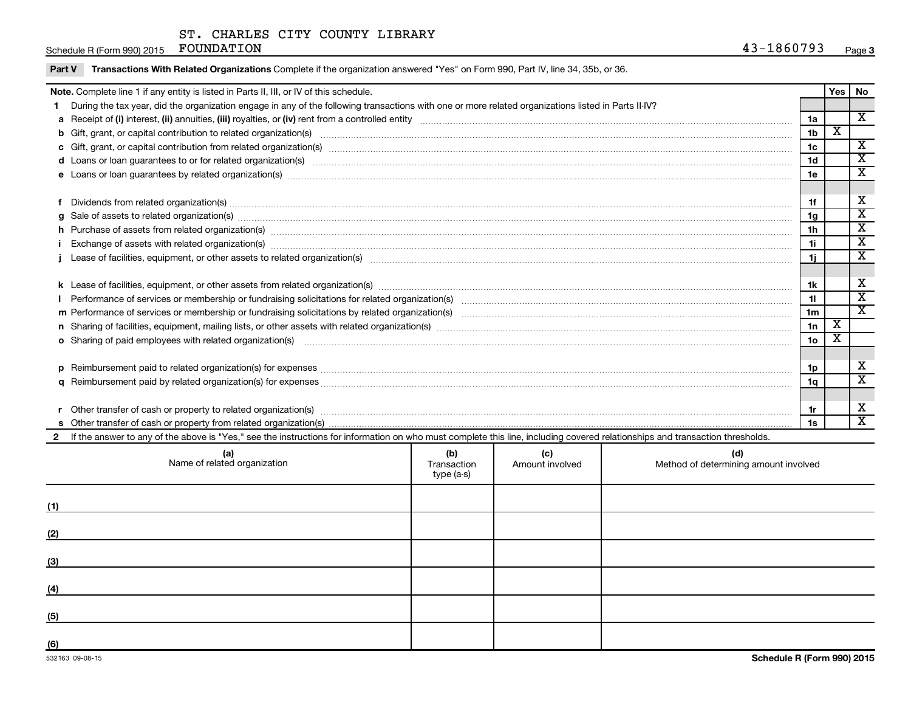Schedule R (Form 990) 2015 FOUNDATION  $43-1860793$  Page

| Part V | Transactions With Related Organizations Complete if the organization answered "Yes" on Form 990, Part IV, line 34, 35b, or 36.                                                                                                                    |                |             |                              |  |  |  |
|--------|---------------------------------------------------------------------------------------------------------------------------------------------------------------------------------------------------------------------------------------------------|----------------|-------------|------------------------------|--|--|--|
|        | Note. Complete line 1 if any entity is listed in Parts II, III, or IV of this schedule.                                                                                                                                                           |                | Yes         | <b>No</b>                    |  |  |  |
|        | During the tax year, did the organization engage in any of the following transactions with one or more related organizations listed in Parts II-IV?                                                                                               |                |             |                              |  |  |  |
|        |                                                                                                                                                                                                                                                   | 1a             |             | X                            |  |  |  |
|        |                                                                                                                                                                                                                                                   | 1 <sub>b</sub> | $\mathbf x$ |                              |  |  |  |
|        |                                                                                                                                                                                                                                                   | 1 <sub>c</sub> |             | X<br>$\overline{\mathbf{x}}$ |  |  |  |
| 1d     |                                                                                                                                                                                                                                                   |                |             |                              |  |  |  |
|        |                                                                                                                                                                                                                                                   | 1e             |             | X                            |  |  |  |
|        |                                                                                                                                                                                                                                                   |                |             | x                            |  |  |  |
| f      |                                                                                                                                                                                                                                                   | 1f             |             | $\overline{\text{x}}$        |  |  |  |
|        | 1 <sub>q</sub>                                                                                                                                                                                                                                    |                |             |                              |  |  |  |
|        | h Purchase of assets from related organization(s) manufactured and content to content the content of an architecture of assets from related organization(s) manufactured and content of the content of the content of the cont<br>1h<br>1i        |                |             |                              |  |  |  |
|        | Exchange of assets with related organization(s) material contents and content to the content of the content of the content of the content of the content of the content of the content of the content of the content of the co                    |                |             |                              |  |  |  |
|        |                                                                                                                                                                                                                                                   | -1i            |             | X                            |  |  |  |
|        |                                                                                                                                                                                                                                                   | 1k             |             | x                            |  |  |  |
|        | 11                                                                                                                                                                                                                                                |                |             |                              |  |  |  |
|        |                                                                                                                                                                                                                                                   | 1 <sub>m</sub> |             | $\overline{\mathbf{x}}$      |  |  |  |
|        |                                                                                                                                                                                                                                                   | 1n             | X           |                              |  |  |  |
|        | 10 <sub>o</sub><br>o Sharing of paid employees with related organization(s) manufactured and content to the content of the content of the content of the content of the content of the content of the content of the content of the content of th |                |             |                              |  |  |  |
|        |                                                                                                                                                                                                                                                   |                |             |                              |  |  |  |
|        |                                                                                                                                                                                                                                                   | 1p             |             | X                            |  |  |  |
|        |                                                                                                                                                                                                                                                   | 1q             |             | $\overline{\texttt{x}}$      |  |  |  |
|        |                                                                                                                                                                                                                                                   |                |             |                              |  |  |  |
|        |                                                                                                                                                                                                                                                   | 1r             |             | x                            |  |  |  |
|        |                                                                                                                                                                                                                                                   | 1s             |             | $\overline{\texttt{x}}$      |  |  |  |
|        | 2 If the answer to any of the above is "Yes," see the instructions for information on who must complete this line, including covered relationships and transaction thresholds.                                                                    |                |             |                              |  |  |  |
|        | (d)<br>(a)<br>(b)<br>(c)<br>Name of related organization<br>Transaction<br>Method of determining amount involved<br>Amount involved<br>type (a-s)                                                                                                 |                |             |                              |  |  |  |
| (1)    |                                                                                                                                                                                                                                                   |                |             |                              |  |  |  |

**(2)**

**(3)**

**(4)**

**(5)**

**(6)**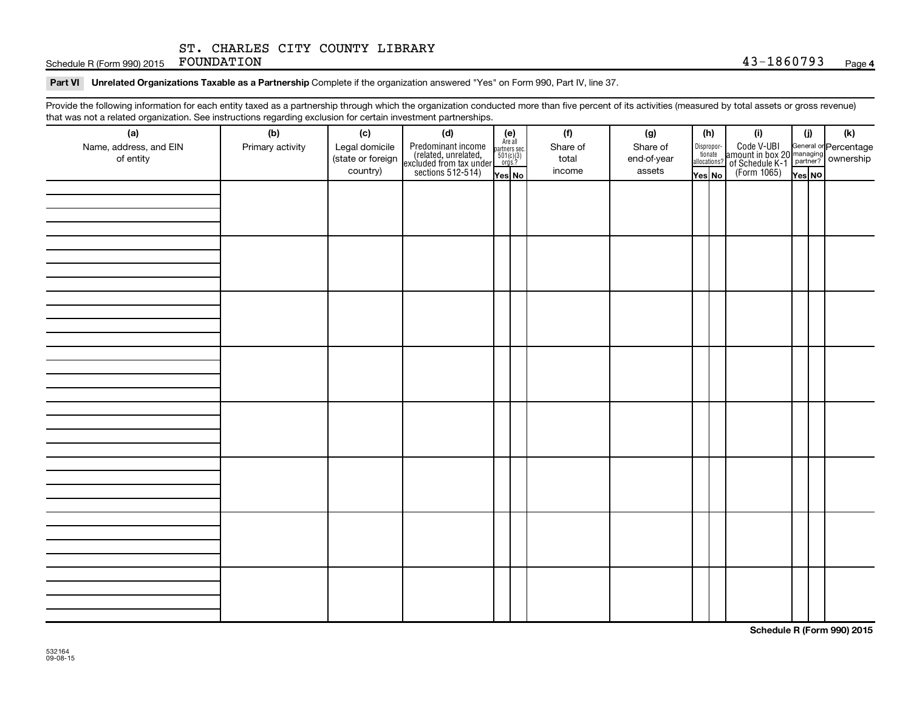Schedule R (Form 990) 2015 FOUNDATION

Part VI Unrelated Organizations Taxable as a Partnership Complete if the organization answered "Yes" on Form 990, Part IV, line 37.

Provide the following information for each entity taxed as a partnership through which the organization conducted more than five percent of its activities (measured by total assets or gross revenue) that was not a related organization. See instructions regarding exclusion for certain investment partnerships.

| (a)                    | (b)              | (c)               | (d)                                                                                        |                                                          |  | (f)      | (g)         |        | (h)                              | (i)                                                                                                         | (j)    | (k) |
|------------------------|------------------|-------------------|--------------------------------------------------------------------------------------------|----------------------------------------------------------|--|----------|-------------|--------|----------------------------------|-------------------------------------------------------------------------------------------------------------|--------|-----|
| Name, address, and EIN | Primary activity | Legal domicile    |                                                                                            |                                                          |  | Share of | Share of    |        |                                  | Code V-UBI<br>amount in box 20 managing<br>of Schedule K-1<br>(Form 1065)<br>$\overline{Y}_{\text{res}}$ No |        |     |
| of entity              |                  | (state or foreign |                                                                                            | (e)<br>Are all<br>partners sec.<br>$501(c)(3)$<br>orgs.? |  | total    | end-of-year |        | Disproportionate<br>allocations? |                                                                                                             |        |     |
|                        |                  | country)          | Predominant income<br>(related, unrelated,<br>excluded from tax under<br>sections 512-514) | Yes No                                                   |  | income   | assets      | Yes No |                                  |                                                                                                             | Yes NO |     |
|                        |                  |                   |                                                                                            |                                                          |  |          |             |        |                                  |                                                                                                             |        |     |
|                        |                  |                   |                                                                                            |                                                          |  |          |             |        |                                  |                                                                                                             |        |     |
|                        |                  |                   |                                                                                            |                                                          |  |          |             |        |                                  |                                                                                                             |        |     |
|                        |                  |                   |                                                                                            |                                                          |  |          |             |        |                                  |                                                                                                             |        |     |
|                        |                  |                   |                                                                                            |                                                          |  |          |             |        |                                  |                                                                                                             |        |     |
|                        |                  |                   |                                                                                            |                                                          |  |          |             |        |                                  |                                                                                                             |        |     |
|                        |                  |                   |                                                                                            |                                                          |  |          |             |        |                                  |                                                                                                             |        |     |
|                        |                  |                   |                                                                                            |                                                          |  |          |             |        |                                  |                                                                                                             |        |     |
|                        |                  |                   |                                                                                            |                                                          |  |          |             |        |                                  |                                                                                                             |        |     |
|                        |                  |                   |                                                                                            |                                                          |  |          |             |        |                                  |                                                                                                             |        |     |
|                        |                  |                   |                                                                                            |                                                          |  |          |             |        |                                  |                                                                                                             |        |     |
|                        |                  |                   |                                                                                            |                                                          |  |          |             |        |                                  |                                                                                                             |        |     |
|                        |                  |                   |                                                                                            |                                                          |  |          |             |        |                                  |                                                                                                             |        |     |
|                        |                  |                   |                                                                                            |                                                          |  |          |             |        |                                  |                                                                                                             |        |     |
|                        |                  |                   |                                                                                            |                                                          |  |          |             |        |                                  |                                                                                                             |        |     |
|                        |                  |                   |                                                                                            |                                                          |  |          |             |        |                                  |                                                                                                             |        |     |
|                        |                  |                   |                                                                                            |                                                          |  |          |             |        |                                  |                                                                                                             |        |     |
|                        |                  |                   |                                                                                            |                                                          |  |          |             |        |                                  |                                                                                                             |        |     |
|                        |                  |                   |                                                                                            |                                                          |  |          |             |        |                                  |                                                                                                             |        |     |
|                        |                  |                   |                                                                                            |                                                          |  |          |             |        |                                  |                                                                                                             |        |     |
|                        |                  |                   |                                                                                            |                                                          |  |          |             |        |                                  |                                                                                                             |        |     |
|                        |                  |                   |                                                                                            |                                                          |  |          |             |        |                                  |                                                                                                             |        |     |
|                        |                  |                   |                                                                                            |                                                          |  |          |             |        |                                  |                                                                                                             |        |     |
|                        |                  |                   |                                                                                            |                                                          |  |          |             |        |                                  |                                                                                                             |        |     |
|                        |                  |                   |                                                                                            |                                                          |  |          |             |        |                                  |                                                                                                             |        |     |
|                        |                  |                   |                                                                                            |                                                          |  |          |             |        |                                  |                                                                                                             |        |     |
|                        |                  |                   |                                                                                            |                                                          |  |          |             |        |                                  |                                                                                                             |        |     |
|                        |                  |                   |                                                                                            |                                                          |  |          |             |        |                                  |                                                                                                             |        |     |
|                        |                  |                   |                                                                                            |                                                          |  |          |             |        |                                  |                                                                                                             |        |     |
|                        |                  |                   |                                                                                            |                                                          |  |          |             |        |                                  |                                                                                                             |        |     |
|                        |                  |                   |                                                                                            |                                                          |  |          |             |        |                                  |                                                                                                             |        |     |
|                        |                  |                   |                                                                                            |                                                          |  |          |             |        |                                  |                                                                                                             |        |     |
|                        |                  |                   |                                                                                            |                                                          |  |          |             |        |                                  |                                                                                                             |        |     |

**Schedule R (Form 990) 2015**